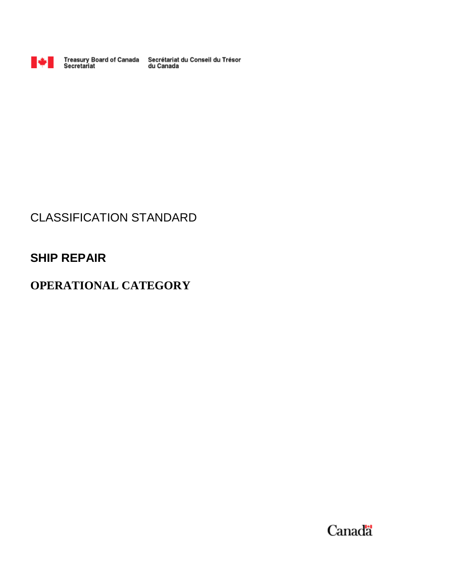

Treasury Board of Canada Secrétariat du Conseil du Trésor<br>Secretariat du Canada

# CLASSIFICATION STANDARD

# **SHIP REPAIR**

# **OPERATIONAL CATEGORY**

Canada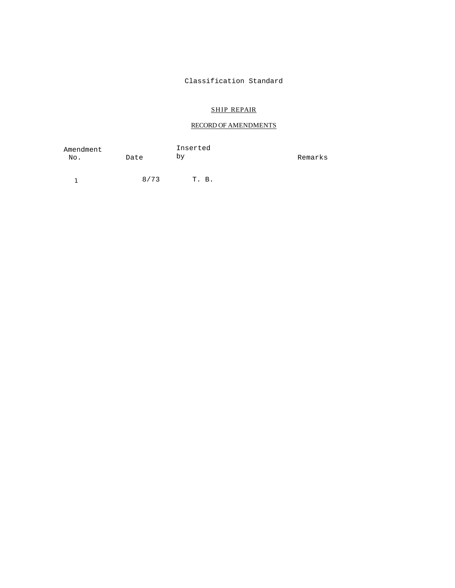## Classification Standard

# SHIP REPAIR

# RECORD OF AMENDMENTS

| Amendment<br>No. | Date | Inserted<br>by | Remarks |  |
|------------------|------|----------------|---------|--|
|                  | 8/73 | T. B.          |         |  |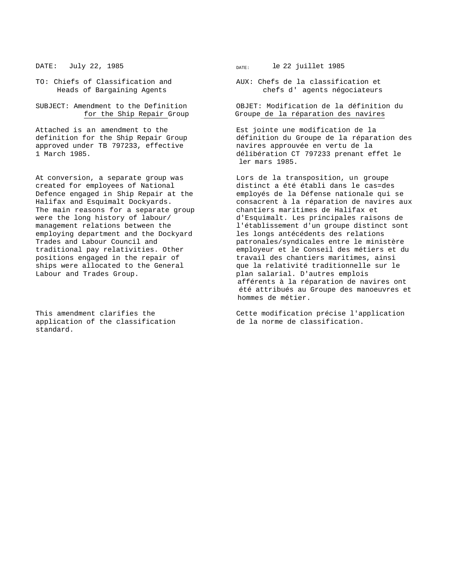- 
- 

Attached is an amendment to the Est jointe une modification de la approved under TB 797233, effective<br>1 March 1985.

created for employees of National distinct a été établi dans le cas=des The main reasons for a separate group chantiers maritimes de Halifax et employing department and the Dockyard and les longs antécédents des relations<br>Trades and Labour Council and and and patronales/syndicales entre le minis positions engaged in the repair of travail des chantiers maritimes, ainsi<br>ships were allocated to the General que la relativité traditionnelle sur le Labour and Trades Group. **plan salarial.** D'autres emplois

application of the classification de la norme de classification. standard.

DATE: July 22, 1985 DATE: le 22 juillet 1985

TO: Chiefs of Classification and AUX: Chefs de la classification et Heads of Bargaining Agents chefs d' agents négociateurs

SUBJECT: Amendment to the Definition OBJET: Modification de la définition du for the Ship Repair Group Groupe de la réparation des navires

definition for the Ship Repair Group definition du Groupe de la réparation des<br>approved under TB 797233, effective superanties approuvée en vertu de la délibération CT 797233 prenant effet le ler mars 1985.

At conversion, a separate group was Lors de la transposition, un groupe Defence engaged in Ship Repair at the employés de la Défense nationale qui se Halifax and Esquimalt Dockyards. consacrent à la réparation de navires aux were the long history of labour/ d'Esquimalt. Les principales raisons de management relations between the l'établissement d'un groupe distinct sont patronales/syndicales entre le ministère traditional pay relativities. Other employeur et le Conseil des métiers et du que la relativité traditionnelle sur le afférents à la réparation de navires ont été attribués au Groupe des manoeuvres et hommes de métier.

This amendment clarifies the Cette modification précise l'application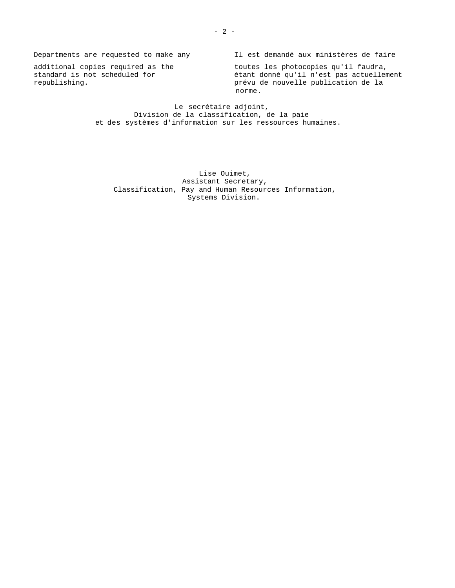Departments are requested to make any Il est demandé aux ministères de faire

additional copies required as the toutes les photocopies qu'il faudra,<br>standard is not scheduled for the tourne extent donné qu'il n'est pas actueller standard is not scheduled for  $\begin{array}{ccc} \text{etant} & \text{dom\'e} & \text{qu'il} & \text{n'est} & \text{pas} & \text{actuellement} \\ \text{republishing.} & \text{prevublication} & \text{de} & \text{pufu} \end{array}$ prévu de nouvelle publication de la norme.

> Le secrétaire adjoint, Division de la classification, de la paie et des systèmes d'information sur les ressources humaines.

Lise Ouimet, Assistant Secretary, Classification, Pay and Human Resources Information, Systems Division.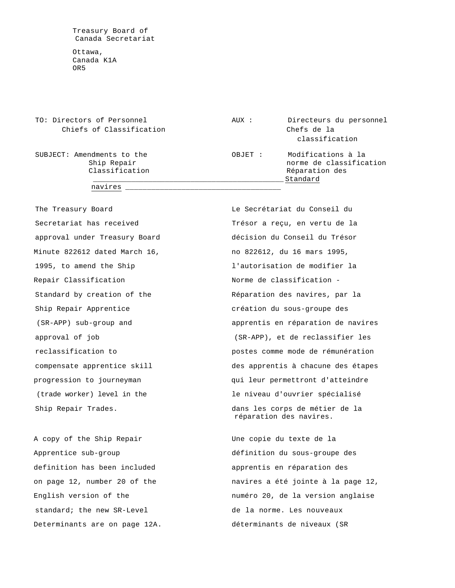Treasury Board of Canada Secretariat Ottawa, Canada K1A OR5

 ${\tt navires} \_\_$ 

TO: Directors of Personnel AUX : Directeurs du personnel Chiefs of Classification Chefs de la classification SUBJECT: Amendments to the OBJET : Modifications à la Ship Repair  $\sim$  2008 and  $\sim$  100 and  $\sim$  100 and  $\sim$  100 and  $\sim$  100 and  $\sim$  100 and  $\sim$  100 and  $\sim$  100 and  $\sim$  100 and  $\sim$  100 and  $\sim$  100 and  $\sim$  100 and  $\sim$  100 and  $\sim$  100 and  $\sim$  100 and  $\sim$  100 and Classification and the contraction of the Réparation des \_\_\_\_\_\_\_\_\_\_\_\_\_\_\_\_\_\_\_\_\_\_\_\_\_\_\_\_\_\_\_\_\_\_\_\_\_\_\_\_\_\_\_\_\_ Standard

The Treasury Board Le Secrétariat du Conseil du Minute 822612 dated March 16, no 822612, du 16 mars 1995, Repair Classification and Morme de classification -Ship Repair Apprentice création du sous-groupe des

A copy of the Ship Repair Une copie du texte de la definition has been included apprentis en réparation des standard; the new SR-Level and the lanorme. Les nouveaux Determinants are on page 12A. déterminants de niveaux (SR

Secretariat has received and the Trésor a reçu, en vertu de la approval under Treasury Board décision du Conseil du Trésor 1995, to amend the Ship l'autorisation de modifier la Standard by creation of the The Réparation des navires, par la (SR-APP) sub-group and apprentis en réparation de navires approval of job (SR-APP), et de reclassifier les reclassification to postes comme mode de rémunération compensate apprentice skill des apprentis à chacune des étapes progression to journeyman qui leur permettront d'atteindre (trade worker) level in the le niveau d'ouvrier spécialisé Ship Repair Trades.  $\qquad \qquad \qquad$  dans les corps de métier de la réparation des navires.

Apprentice sub-group définition du sous-groupe des on page 12, number 20 of the navires a été jointe à la page 12, English version of the numéro 20, de la version anglaise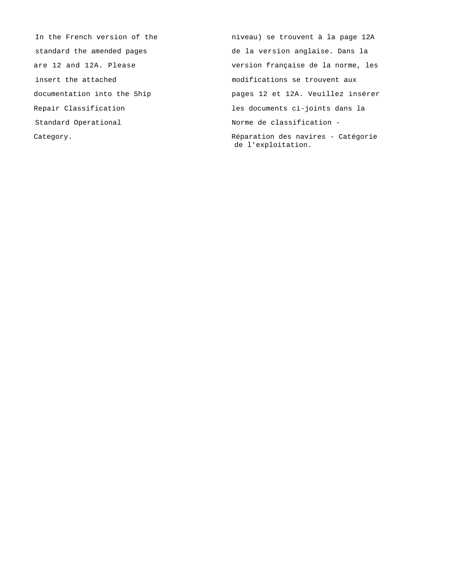Standard Operational **Norme** de classification -

In the French version of the niveau) se trouvent à la page 12A standard the amended pages de la version anglaise. Dans la are 12 and 12A. Please version française de la norme, les insert the attached modifications se trouvent aux documentation into the Ship **pages 12 et 12A**. Veuillez insérer Repair Classification and les documents ci-joints dans la Category. The contraction of the categorie of the Réparation des navires - Catégorie de l'exploitation.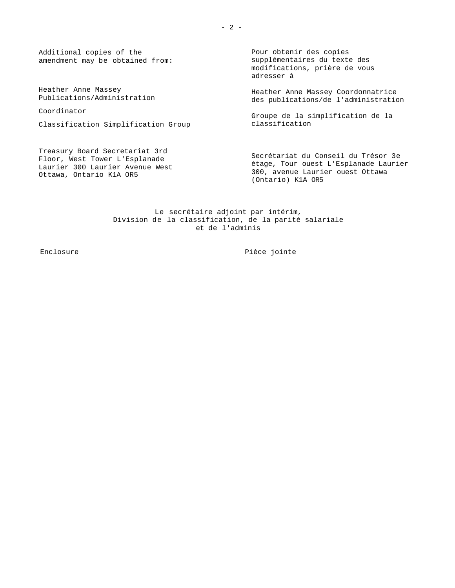Additional copies of the amendment may be obtained from:

Heather Anne Massey Publications/Administration

Coordinator

Classification Simplification Group

Treasury Board Secretariat 3rd Floor, West Tower L'Esplanade Laurier 300 Laurier Avenue West Ottawa, Ontario K1A OR5

Pour obtenir des copies supplémentaires du texte des modifications, prière de vous adresser à

Heather Anne Massey Coordonnatrice des publications/de l'administration

Groupe de la simplification de la classification

Secrétariat du Conseil du Trésor 3e étage, Tour ouest L'Esplanade Laurier 300, avenue Laurier ouest Ottawa (Ontario) K1A OR5

Le secrétaire adjoint par intérim, Division de la classification, de la parité salariale et de l'adminis

Enclosure Pièce jointe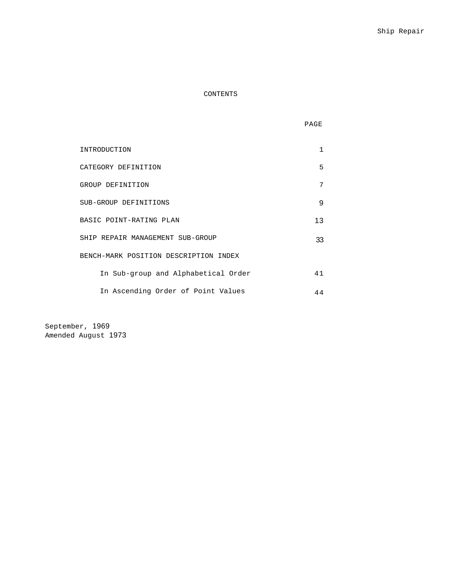### CONTENTS

|                                       | PAGE         |
|---------------------------------------|--------------|
| INTRODUCTION                          | $\mathbf{1}$ |
| CATEGORY DEFINITION                   | 5            |
| GROUP DEFINITION                      | 7            |
| SUB-GROUP DEFINITIONS                 | 9            |
| BASIC POINT-RATING PLAN               | 13           |
| SHIP REPAIR MANAGEMENT SUB-GROUP      | 33           |
| BENCH-MARK POSITION DESCRIPTION INDEX |              |
| In Sub-group and Alphabetical Order   | 41           |
| In Ascending Order of Point Values    | 44           |

September, 1969 Amended August 1973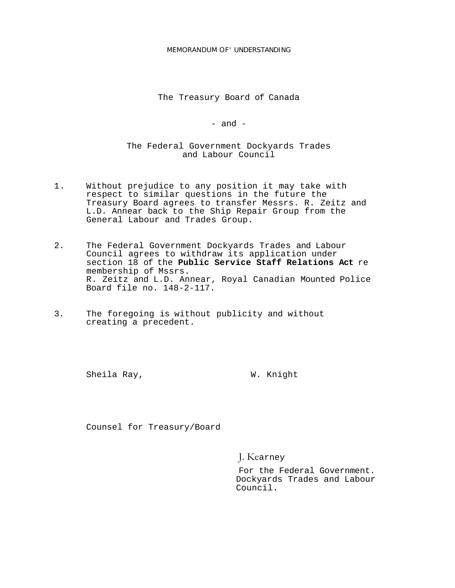# MEMORANDUM OF' UNDERSTANDING

The Treasury Board of Canada

 $-$  and  $-$ 

The Federal Government Dockyards Trades and Labour Council

- 1. Without prejudice to any position it may take with respect to similar questions in the future the Treasury Board agrees to transfer Messrs. R. Zeitz and L.D. Annear back to the Ship Repair Group from the General Labour and Trades Group.
- 2. The Federal Government Dockyards Trades and Labour Council agrees to withdraw its application under section 18 of the **Public Service Staff Relations Act** re membership of Mssrs. R. Zeitz and L.D. Annear, Royal Canadian Mounted Police Board file no. 148-2-117.
- 3. The foregoing is without publicity and without creating a precedent.

Sheila Ray, W. Knight

Counsel for Treasury/Board

J. Kearney

For the Federal Government. Dockyards Trades and Labour Council.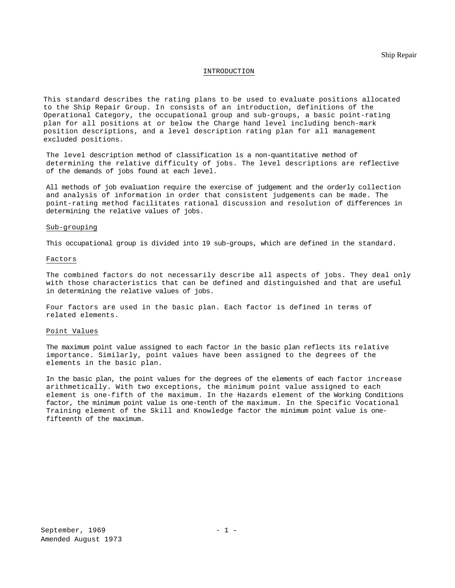#### INTRODUCTION

This standard describes the rating plans to be used to evaluate positions allocated to the Ship Repair Group. In consists of an introduction, definitions of the Operational Category, the occupational group and sub-groups, a basic point-rating plan for all positions at or below the Charge hand level including bench-mark position descriptions, and a level description rating plan for all management excluded positions.

The level description method of classification is a non-quantitative method of determining the relative difficulty of jobs. The level descriptions are reflective of the demands of jobs found at each level.

All methods of job evaluation require the exercise of judgement and the orderly collection and analysis of information in order that consistent judgements can be made. The point-rating method facilitates rational discussion and resolution of differences in determining the relative values of jobs.

#### Sub-grouping

This occupational group is divided into 19 sub-groups, which are defined in the standard.

#### Factors

The combined factors do not necessarily describe all aspects of jobs. They deal only with those characteristics that can be defined and distinguished and that are useful in determining the relative values of jobs.

Four factors are used in the basic plan. Each factor is defined in terms of related elements.

#### Point Values

The maximum point value assigned to each factor in the basic plan reflects its relative importance. Similarly, point values have been assigned to the degrees of the elements in the basic plan.

In the basic plan, the point values for the degrees of the elements of each factor increase arithmetically. With two exceptions, the minimum point value assigned to each element is one-fifth of the maximum. In the Hazards element of the Working Conditions factor, the minimum point value is one-tenth of the maximum. In the Specific Vocational Training element of the Skill and Knowledge factor the minimum point value is onefifteenth of the maximum.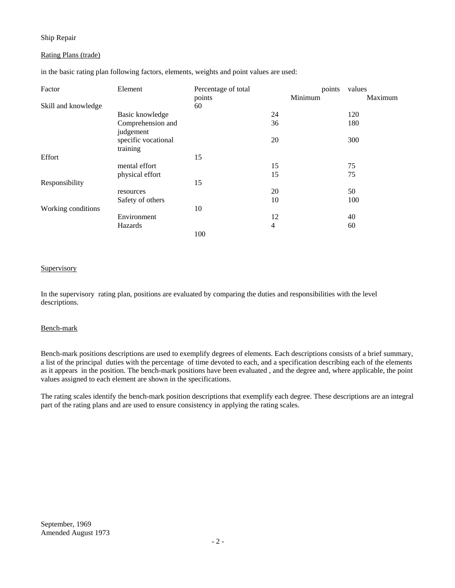# Ship Repair

# Rating Plans (trade)

in the basic rating plan following factors, elements, weights and point values are used:

| Factor              | Element                         | Percentage of total<br>points |                          | points<br>Minimum | values<br>Maximum |
|---------------------|---------------------------------|-------------------------------|--------------------------|-------------------|-------------------|
| Skill and knowledge |                                 | 60                            |                          |                   |                   |
|                     | Basic knowledge                 |                               | 24                       |                   | 120               |
|                     | Comprehension and<br>judgement  |                               | 36                       |                   | 180               |
|                     | specific vocational<br>training |                               | 20                       |                   | 300               |
| Effort              |                                 | 15                            |                          |                   |                   |
|                     | mental effort                   |                               | 15                       |                   | 75                |
|                     | physical effort                 |                               | 15                       |                   | 75                |
| Responsibility      |                                 | 15                            |                          |                   |                   |
|                     | resources                       |                               | 20                       |                   | 50                |
|                     | Safety of others                |                               | 10                       |                   | 100               |
| Working conditions  |                                 | 10                            |                          |                   |                   |
|                     | Environment                     |                               | 12                       |                   | 40                |
|                     | Hazards                         |                               | $\overline{\mathcal{L}}$ |                   | 60                |
|                     |                                 | 100                           |                          |                   |                   |

# **Supervisory**

In the supervisory rating plan, positions are evaluated by comparing the duties and responsibilities with the level descriptions.

# Bench-mark

Bench-mark positions descriptions are used to exemplify degrees of elements. Each descriptions consists of a brief summary, a list of the principal duties with the percentage of time devoted to each, and a specification describing each of the elements as it appears in the position. The bench-mark positions have been evaluated , and the degree and, where applicable, the point values assigned to each element are shown in the specifications.

The rating scales identify the bench-mark position descriptions that exemplify each degree. These descriptions are an integral part of the rating plans and are used to ensure consistency in applying the rating scales.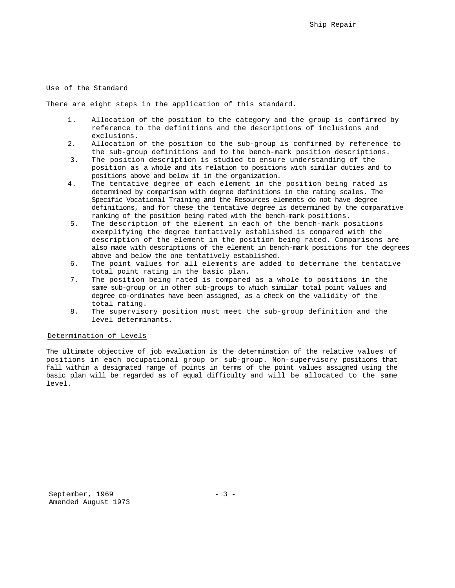### Use of the Standard

There are eight steps in the application of this standard.

- 1. Allocation of the position to the category and the group is confirmed by reference to the definitions and the descriptions of inclusions and exclusions.
- 2. Allocation of the position to the sub-group is confirmed by reference to the sub-group definitions and to the bench-mark position descriptions.
- 3. The position description is studied to ensure understanding of the position as a whole and its relation to positions with similar duties and to positions above and below it in the organization.
- 4. The tentative degree of each element in the position being rated is determined by comparison with degree definitions in the rating scales. The Specific Vocational Training and the Resources elements do not have degree definitions, and for these the tentative degree is determined by the comparative ranking of the position being rated with the bench-mark positions.
- 5. The description of the element in each of the bench-mark positions exemplifying the degree tentatively established is compared with the description of the element in the position being rated. Comparisons are also made with descriptions of the element in bench-mark positions for the degrees above and below the one tentatively established.
- 6. The point values for all elements are added to determine the tentative total point rating in the basic plan.
- 7. The position being rated is compared as a whole to positions in the same sub-group or in other sub-groups to which similar total point values and degree co-ordinates have been assigned, as a check on the validity of the total rating.
- 8. The supervisory position must meet the sub-group definition and the level determinants.

### Determination of Levels

The ultimate objective of job evaluation is the determination of the relative values of positions in each occupational group or sub-group. Non-supervisory positions that fall within a designated range of points in terms of the point values assigned using the basic plan will be regarded as of equal difficulty and will be allocated to the same level.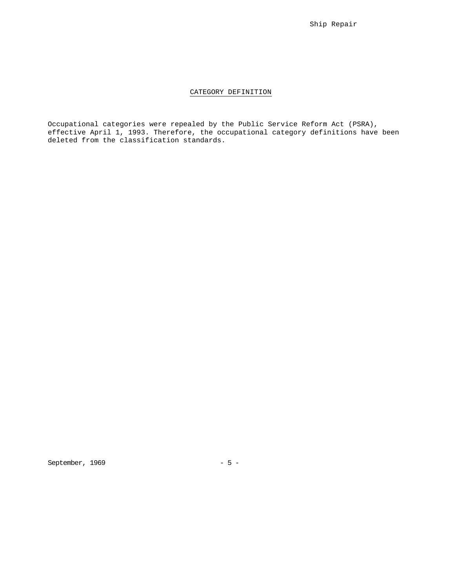Ship Repair

## CATEGORY DEFINITION

Occupational categories were repealed by the Public Service Reform Act (PSRA), effective April 1, 1993. Therefore, the occupational category definitions have been deleted from the classification standards.

September, 1969 - 5 -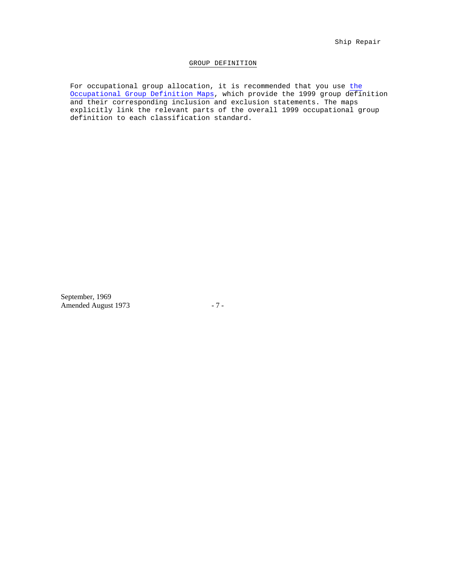### GROUP DEFINITION

For occupational group allocation, it is recommended that you use the Occupational Group Definition Maps, which provide the 1999 group definition and their corresponding inclusion and exclusion statements. The maps explicitly link the relevant parts of the overall 1999 occupational group definition to each classification standard.

September, 1969 Amended August 1973 - 7 -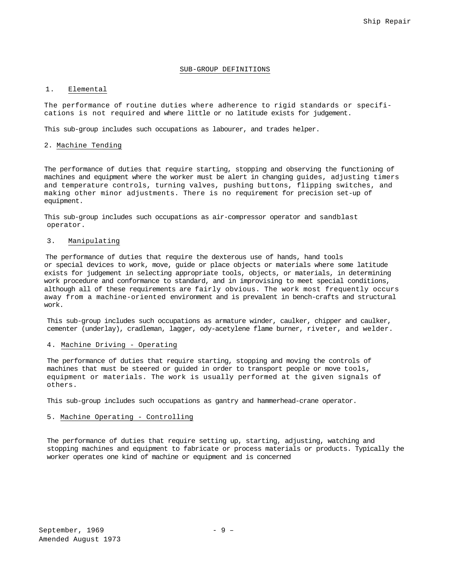### SUB-GROUP DEFINITIONS

### 1. Elemental

The performance of routine duties where adherence to rigid standards or specifications is not required and where little or no latitude exists for judgement.

This sub-group includes such occupations as labourer, and trades helper.

#### 2. Machine Tending

The performance of duties that require starting, stopping and observing the functioning of machines and equipment where the worker must be alert in changing guides, adjusting timers and temperature controls, turning valves, pushing buttons, flipping switches, and making other minor adjustments. There is no requirement for precision set-up of equipment.

This sub-group includes such occupations as air-compressor operator and sandblast operator.

#### 3. Manipulating

The performance of duties that require the dexterous use of hands, hand tools or special devices to work, move, guide or place objects or materials where some latitude exists for judgement in selecting appropriate tools, objects, or materials, in determining work procedure and conformance to standard, and in improvising to meet special conditions, although all of these requirements are fairly obvious. The work most frequently occurs away from a machine-oriented environment and is prevalent in bench-crafts and structural work.

This sub-group includes such occupations as armature winder, caulker, chipper and caulker, cementer (underlay), cradleman, lagger, ody-acetylene flame burner, riveter, and welder.

#### 4. Machine Driving - Operating

The performance of duties that require starting, stopping and moving the controls of machines that must be steered or guided in order to transport people or move tools, equipment or materials. The work is usually performed at the given signals of others.

This sub-group includes such occupations as gantry and hammerhead-crane operator.

#### 5. Machine Operating - Controlling

The performance of duties that require setting up, starting, adjusting, watching and stopping machines and equipment to fabricate or process materials or products. Typically the worker operates one kind of machine or equipment and is concerned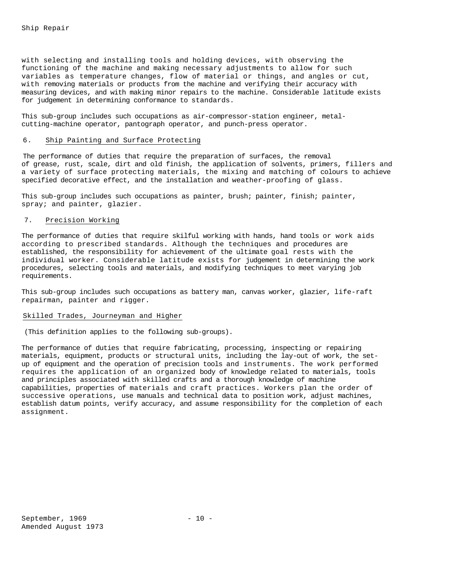with selecting and installing tools and holding devices, with observing the functioning of the machine and making necessary adjustments to allow for such variables as temperature changes, flow of material or things, and angles or cut, with removing materials or products from the machine and verifying their accuracy with measuring devices, and with making minor repairs to the machine. Considerable latitude exists for judgement in determining conformance to standards.

This sub-group includes such occupations as air-compressor-station engineer, metalcutting-machine operator, pantograph operator, and punch-press operator.

#### 6. Ship Painting and Surface Protecting

The performance of duties that require the preparation of surfaces, the removal of grease, rust, scale, dirt and old finish, the application of solvents, primers, fillers and a variety of surface protecting materials, the mixing and matching of colours to achieve specified decorative effect, and the installation and weather-proofing of glass.

This sub-group includes such occupations as painter, brush; painter, finish; painter, spray; and painter, glazier.

### 7. Precision Working

The performance of duties that require skilful working with hands, hand tools or work aids according to prescribed standards. Although the techniques and procedures are established, the responsibility for achievement of the ultimate goal rests with the individual worker. Considerable latitude exists for judgement in determining the work procedures, selecting tools and materials, and modifying techniques to meet varying job requirements.

This sub-group includes such occupations as battery man, canvas worker, glazier, life-raft repairman, painter and rigger.

#### Skilled Trades, Journeyman and Higher

(This definition applies to the following sub-groups).

The performance of duties that require fabricating, processing, inspecting or repairing materials, equipment, products or structural units, including the lay-out of work, the setup of equipment and the operation of precision tools and instruments. The work performed requires the application of an organized body of knowledge related to materials, tools and principles associated with skilled crafts and a thorough knowledge of machine capabilities, properties of materials and craft practices. Workers plan the order of successive operations, use manuals and technical data to position work, adjust machines, establish datum points, verify accuracy, and assume responsibility for the completion of each assignment.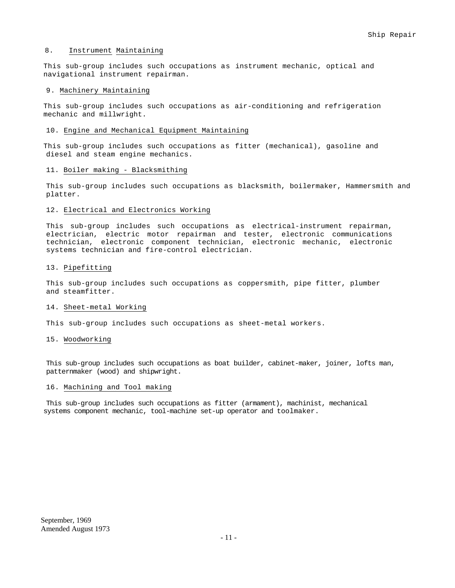#### 8. Instrument Maintaining

This sub-group includes such occupations as instrument mechanic, optical and navigational instrument repairman.

### 9. Machinery Maintaining

This sub-group includes such occupations as air-conditioning and refrigeration mechanic and millwright.

### 10. Engine and Mechanical Equipment Maintaining

This sub-group includes such occupations as fitter (mechanical), gasoline and diesel and steam engine mechanics.

### 11. Boiler making - Blacksmithing

This sub-group includes such occupations as blacksmith, boilermaker, Hammersmith and platter.

#### 12. Electrical and Electronics Working

This sub-group includes such occupations as electrical-instrument repairman, electrician, electric motor repairman and tester, electronic communications technician, electronic component technician, electronic mechanic, electronic systems technician and fire-control electrician.

#### 13. Pipefitting

This sub-group includes such occupations as coppersmith, pipe fitter, plumber and steamfitter.

### 14. Sheet-metal Working

This sub-group includes such occupations as sheet-metal workers.

#### 15. Woodworking

This sub-group includes such occupations as boat builder, cabinet-maker, joiner, lofts man, patternmaker (wood) and shipwright.

#### 16. Machining and Tool making

This sub-group includes such occupations as fitter (armament), machinist, mechanical systems component mechanic, tool-machine set-up operator and toolmaker.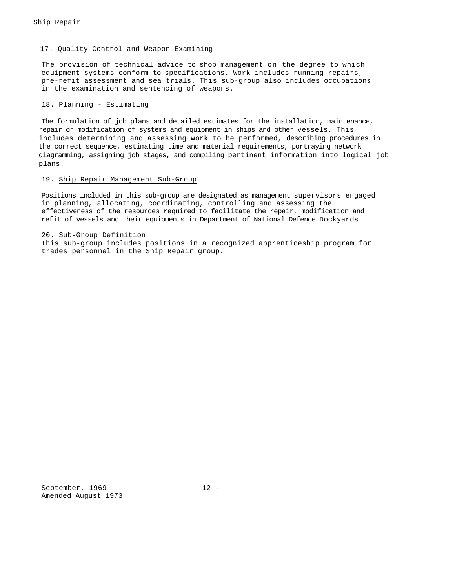### 17. Quality Control and Weapon Examining

The provision of technical advice to shop management on the degree to which equipment systems conform to specifications. Work includes running repairs, pre-refit assessment and sea trials. This sub-group also includes occupations in the examination and sentencing of weapons.

### 18. Planning - Estimating

The formulation of job plans and detailed estimates for the installation, maintenance, repair or modification of systems and equipment in ships and other vessels. This includes determining and assessing work to be performed, describing procedures in the correct sequence, estimating time and material requirements, portraying network diagramming, assigning job stages, and compiling pertinent information into logical job plans.

#### 19. Ship Repair Management Sub-Group

Positions included in this sub-group are designated as management supervisors engaged in planning, allocating, coordinating, controlling and assessing the effectiveness of the resources required to facilitate the repair, modification and refit of vessels and their equipments in Department of National Defence Dockyards

20. Sub-Group Definition This sub-group includes positions in a recognized apprenticeship program for trades personnel in the Ship Repair group.

September, 1969 - 12 -Amended August 1973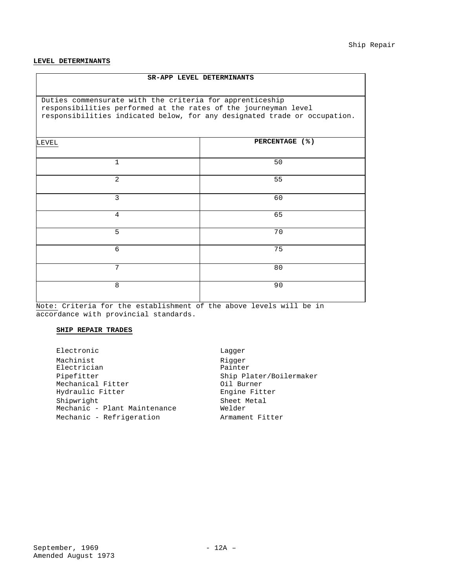### **LEVEL DETERMINANTS**

### **SR-APP LEVEL DETERMINANTS**

Duties commensurate with the criteria for apprenticeship responsibilities performed at the rates of the journeyman level responsibilities indicated below, for any designated trade or occupation.

| LEVEL          | PERCENTAGE (%) |
|----------------|----------------|
| $\mathbf{1}$   | 50             |
| 2              | 55             |
| $\mathbf{3}$   | 60             |
| $\overline{4}$ | 65             |
| 5              | 70             |
| $\sqrt{6}$     | 75             |
| $\overline{7}$ | 80             |
| $\,8\,$        | 90             |

Note: Criteria for the establishment of the above levels will be in accordance with provincial standards.

## **SHIP REPAIR TRADES**

Electronic Lagger Machinist Rigger Rectrician Rigger Rectrician Electrician Pipefitter Ship Plater/Boilermaker Mechanical Fitter **Mechanical** Fitter **Oil Burner** Hydraulic Fitter **Engine Fitter** Shipwright<br>Mechanic - Plant Maintenance Melder<br>Welder  $Mechanic - Plant Maintenance$ Mechanic - Refrigeration Mechanic - Refrigeration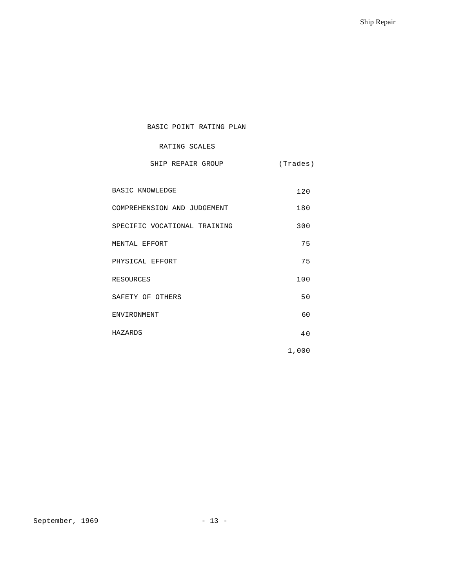BASIC POINT RATING PLAN

## RATING SCALES

| (Trades)<br>SHIP REPAIR GROUP |
|-------------------------------|
|-------------------------------|

| <b>BASIC KNOWLEDGE</b>       | 120   |
|------------------------------|-------|
| COMPREHENSION AND JUDGEMENT  | 180   |
| SPECIFIC VOCATIONAL TRAINING | 300   |
| MENTAL EFFORT                | 75    |
| PHYSICAL EFFORT              | 75    |
| RESOURCES                    | 100   |
| SAFETY OF OTHERS             | 50    |
| <b>ENVIRONMENT</b>           | 60    |
| HAZARDS                      | 40    |
|                              | 1,000 |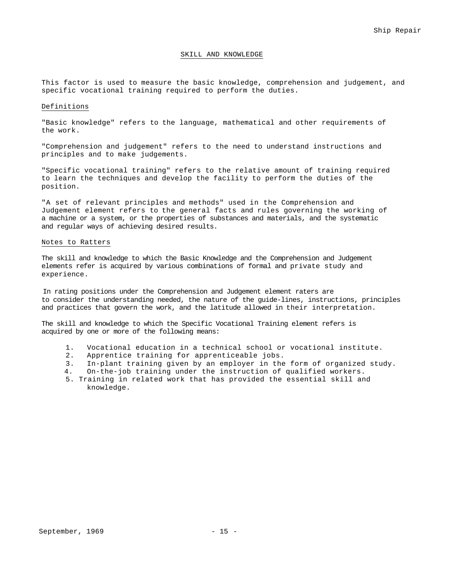#### SKILL AND KNOWLEDGE

This factor is used to measure the basic knowledge, comprehension and judgement, and specific vocational training required to perform the duties.

#### Definitions

"Basic knowledge" refers to the language, mathematical and other requirements of the work.

"Comprehension and judgement" refers to the need to understand instructions and principles and to make judgements.

"Specific vocational training" refers to the relative amount of training required to learn the techniques and develop the facility to perform the duties of the position.

"A set of relevant principles and methods" used in the Comprehension and Judgement element refers to the general facts and rules governing the working of a machine or a system, or the properties of substances and materials, and the systematic and regular ways of achieving desired results.

#### Notes to Ratters

The skill and knowledge to which the Basic Knowledge and the Comprehension and Judgement elements refer is acquired by various combinations of formal and private study and experience.

In rating positions under the Comprehension and Judgement element raters are to consider the understanding needed, the nature of the guide-lines, instructions, principles and practices that govern the work, and the latitude allowed in their interpretation.

The skill and knowledge to which the Specific Vocational Training element refers is acquired by one or more of the following means:

- 1. Vocational education in a technical school or vocational institute.<br>2. Apprentice training for apprenticeable jobs.
- Apprentice training for apprenticeable jobs.
- 3. In-plant training given by an employer in the form of organized study.
- 4. On-the-job training under the instruction of qualified workers.
- 5. Training in related work that has provided the essential skill and knowledge.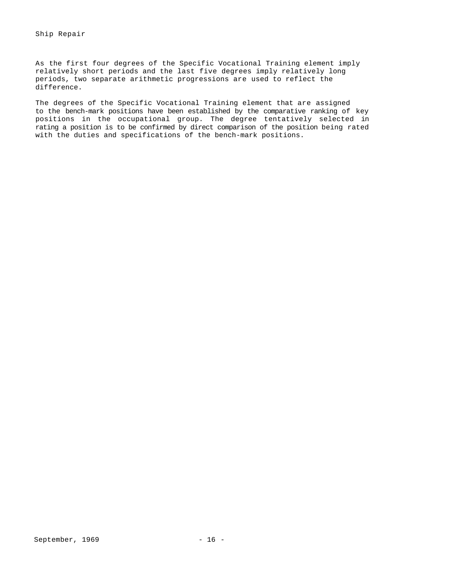As the first four degrees of the Specific Vocational Training element imply relatively short periods and the last five degrees imply relatively long periods, two separate arithmetic progressions are used to reflect the difference.

The degrees of the Specific Vocational Training element that are assigned to the bench-mark positions have been established by the comparative ranking of key positions in the occupational group. The degree tentatively selected in rating a position is to be confirmed by direct comparison of the position being rated with the duties and specifications of the bench-mark positions.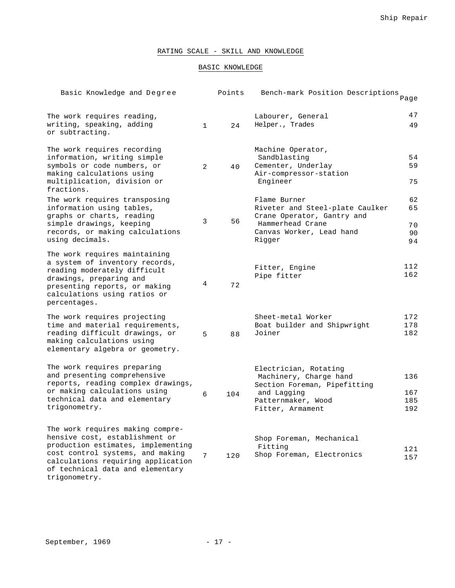## RATING SCALE - SKILL AND KNOWLEDGE

# BASIC KNOWLEDGE

| Basic Knowledge and Degree                                                                                                                                                                                             |                | Points | Bench-mark Position Descriptions                                                                                                         | Page                       |
|------------------------------------------------------------------------------------------------------------------------------------------------------------------------------------------------------------------------|----------------|--------|------------------------------------------------------------------------------------------------------------------------------------------|----------------------------|
| The work requires reading,<br>writing, speaking, adding<br>or subtracting.                                                                                                                                             | $\mathbf{1}$   | 24     | Labourer, General<br>Helper., Trades                                                                                                     | 47<br>49                   |
| The work requires recording<br>information, writing simple<br>symbols or code numbers, or<br>making calculations using<br>multiplication, division or<br>fractions.                                                    | $\overline{2}$ | 40     | Machine Operator,<br>Sandblasting<br>Cementer, Underlay<br>Air-compressor-station<br>Engineer                                            | 54<br>59<br>75             |
| The work requires transposing<br>information using tables,<br>graphs or charts, reading<br>simple drawings, keeping<br>records, or making calculations<br>using decimals.                                              | 3              | 56     | Flame Burner<br>Riveter and Steel-plate Caulker<br>Crane Operator, Gantry and<br>Hammerhead Crane<br>Canvas Worker, Lead hand<br>Rigger  | 62<br>65<br>70<br>90<br>94 |
| The work requires maintaining<br>a system of inventory records,<br>reading moderately difficult<br>drawings, preparing and<br>presenting reports, or making<br>calculations using ratios or<br>percentages.            | 4              | 72     | Fitter, Engine<br>Pipe fitter                                                                                                            | 112<br>162                 |
| The work requires projecting<br>time and material requirements,<br>reading difficult drawings, or<br>making calculations using<br>elementary algebra or geometry.                                                      | 5              | 88     | Sheet-metal Worker<br>Boat builder and Shipwright<br>Joiner                                                                              | 172<br>178<br>182          |
| The work requires preparing<br>and presenting comprehensive<br>reports, reading complex drawings,<br>or making calculations using<br>technical data and elementary<br>trigonometry.                                    | 6              | 104    | Electrician, Rotating<br>Machinery, Charge hand<br>Section Foreman, Pipefitting<br>and Lagging<br>Patternmaker, Wood<br>Fitter, Armament | 136<br>167<br>185<br>192   |
| The work requires making compre-<br>hensive cost, establishment or<br>production estimates, implementing<br>cost control systems, and making<br>calculations requiring application<br>of technical data and elementary | 7              | 120    | Shop Foreman, Mechanical<br>Fitting<br>Shop Foreman, Electronics                                                                         | 121<br>157                 |

trigonometry.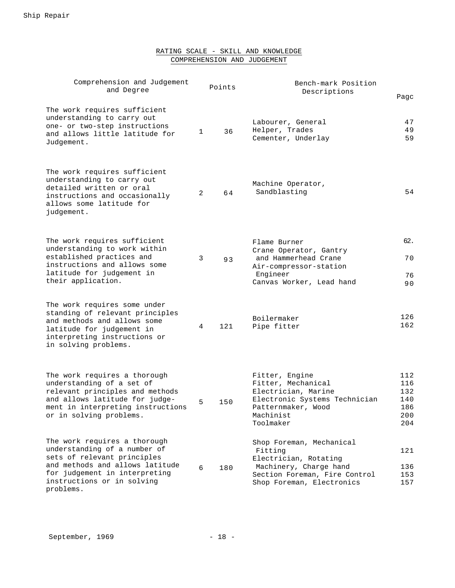# RATING SCALE - SKILL AND KNOWLEDGE COMPREHENSION AND JUDGEMENT

| Comprehension and Judgement<br>and Degree                                                                                                                                                                  |   | Points | Bench-mark Position<br>Descriptions                                                                                                                  | Pagc                                          |
|------------------------------------------------------------------------------------------------------------------------------------------------------------------------------------------------------------|---|--------|------------------------------------------------------------------------------------------------------------------------------------------------------|-----------------------------------------------|
| The work requires sufficient<br>understanding to carry out<br>one- or two-step instructions<br>and allows little latitude for<br>Judgement.                                                                | 1 | 36     | Labourer, General<br>Helper, Trades<br>Cementer, Underlay                                                                                            | 47<br>49<br>59                                |
| The work requires sufficient<br>understanding to carry out<br>detailed written or oral<br>instructions and occasionally<br>allows some latitude for<br>judgement.                                          | 2 | 64     | Machine Operator,<br>Sandblasting                                                                                                                    | 54                                            |
| The work requires sufficient<br>understanding to work within<br>established practices and<br>instructions and allows some<br>latitude for judgement in<br>their application.                               | 3 | 93     | Flame Burner<br>Crane Operator, Gantry<br>and Hammerhead Crane<br>Air-compressor-station<br>Engineer<br>Canvas Worker, Lead hand                     | 62.<br>70<br>76<br>90                         |
| The work requires some under<br>standing of relevant principles<br>and methods and allows some<br>latitude for judgement in<br>interpreting instructions or<br>in solving problems.                        | 4 | 121    | Boilermaker<br>Pipe fitter                                                                                                                           | 126<br>162                                    |
| The work requires a thorough<br>understanding of a set of<br>relevant principles and methods<br>and allows latitude for judge-<br>ment in interpreting instructions<br>or in solving problems.             | 5 | 150    | Fitter, Engine<br>Fitter, Mechanical<br>Electrician, Marine<br>Electronic Systems Technician<br>Patternmaker, Wood<br>Machinist<br>Toolmaker         | 112<br>116<br>132<br>140<br>186<br>200<br>204 |
| The work requires a thorough<br>understanding of a number of<br>sets of relevant principles<br>and methods and allows latitude<br>for judgement in interpreting<br>instructions or in solving<br>problems. | 6 | 180    | Shop Foreman, Mechanical<br>Fitting<br>Electrician, Rotating<br>Machinery, Charge hand<br>Section Foreman, Fire Control<br>Shop Foreman, Electronics | 121<br>136<br>153<br>157                      |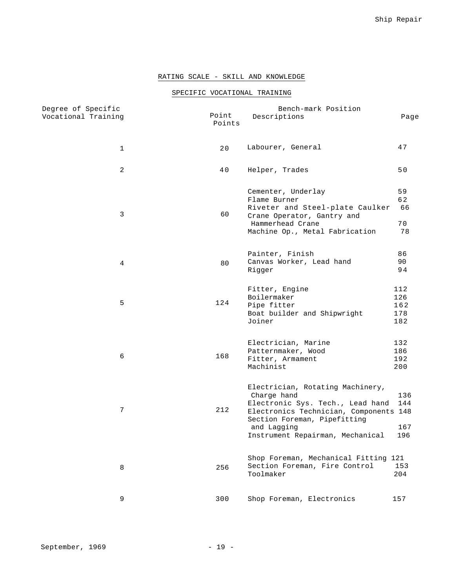## RATING SCALE - SKILL AND KNOWLEDGE

# SPECIFIC VOCATIONAL TRAINING

| Degree of Specific<br>Vocational Training | Point<br>Points | Bench-mark Position<br>Descriptions                                                                                                                                                                              | Page                            |
|-------------------------------------------|-----------------|------------------------------------------------------------------------------------------------------------------------------------------------------------------------------------------------------------------|---------------------------------|
| $\mathbf 1$                               | 20              | Labourer, General                                                                                                                                                                                                | 47                              |
| 2                                         | 40              | Helper, Trades                                                                                                                                                                                                   | 50                              |
| 3                                         | 60              | Cementer, Underlay<br>Flame Burner<br>Riveter and Steel-plate Caulker<br>Crane Operator, Gantry and<br>Hammerhead Crane<br>Machine Op., Metal Fabrication                                                        | 59<br>62<br>66<br>70<br>78      |
| 4                                         | 80              | Painter, Finish<br>Canvas Worker, Lead hand<br>Rigger                                                                                                                                                            | 86<br>90<br>94                  |
| 5                                         | 124             | Fitter, Engine<br>Boilermaker<br>Pipe fitter<br>Boat builder and Shipwright<br>Joiner                                                                                                                            | 112<br>126<br>162<br>178<br>182 |
| 6                                         | 168             | Electrician, Marine<br>Patternmaker, Wood<br>Fitter, Armament<br>Machinist                                                                                                                                       | 132<br>186<br>192<br>200        |
| 7                                         | 212             | Electrician, Rotating Machinery,<br>Charge hand<br>Electronic Sys. Tech., Lead hand<br>Electronics Technician, Components 148<br>Section Foreman, Pipefitting<br>and Lagging<br>Instrument Repairman, Mechanical | 136<br>144<br>167<br>196        |
| 8                                         | 256             | Shop Foreman, Mechanical Fitting 121<br>Section Foreman, Fire Control<br>Toolmaker                                                                                                                               | 153<br>204                      |
| 9                                         | 300             | Shop Foreman, Electronics                                                                                                                                                                                        | 157                             |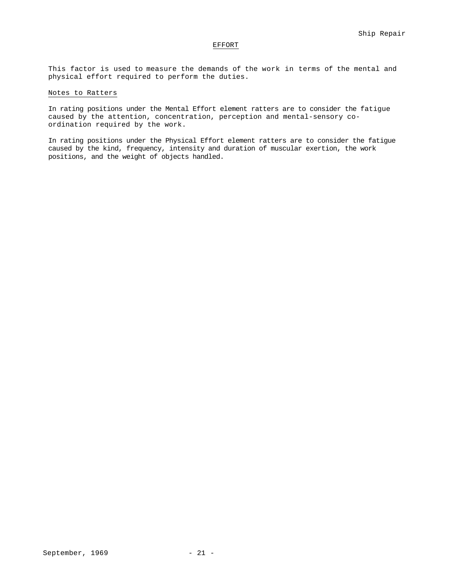### EFFORT

This factor is used to measure the demands of the work in terms of the mental and physical effort required to perform the duties.

#### Notes to Ratters

In rating positions under the Mental Effort element ratters are to consider the fatigue caused by the attention, concentration, perception and mental-sensory coordination required by the work.

In rating positions under the Physical Effort element ratters are to consider the fatigue caused by the kind, frequency, intensity and duration of muscular exertion, the work positions, and the weight of objects handled.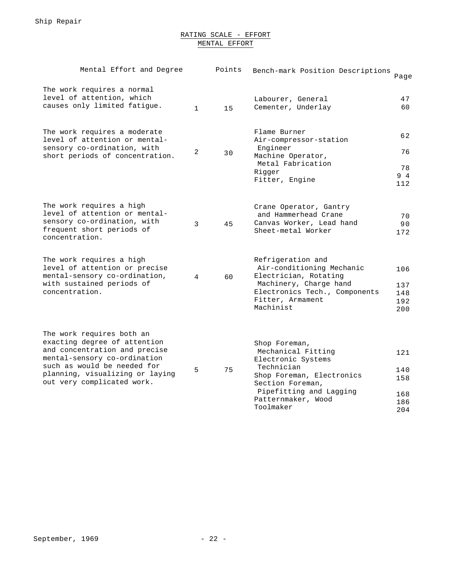# RATING SCALE - EFFORT MENTAL EFFORT

| Mental Effort and Degree                                                                                                                                                                                                   |                | Points | Bench-mark Position Descriptions                                                                                                                                                       | Page                                   |
|----------------------------------------------------------------------------------------------------------------------------------------------------------------------------------------------------------------------------|----------------|--------|----------------------------------------------------------------------------------------------------------------------------------------------------------------------------------------|----------------------------------------|
| The work requires a normal<br>level of attention, which<br>causes only limited fatigue.                                                                                                                                    | $\mathbf{1}$   | 15     | Labourer, General<br>Cementer, Underlay                                                                                                                                                | 47<br>60                               |
| The work requires a moderate<br>level of attention or mental-<br>sensory co-ordination, with<br>short periods of concentration.                                                                                            | 2              | 30     | Flame Burner<br>Air-compressor-station<br>Engineer<br>Machine Operator,<br>Metal Fabrication<br>Rigger<br>Fitter, Engine                                                               | 62<br>76<br>78<br>9 4<br>112           |
| The work requires a high<br>level of attention or mental-<br>sensory co-ordination, with<br>frequent short periods of<br>concentration.                                                                                    | 3              | 45     | Crane Operator, Gantry<br>and Hammerhead Crane<br>Canvas Worker, Lead hand<br>Sheet-metal Worker                                                                                       | 70<br>90<br>172                        |
| The work requires a high<br>level of attention or precise<br>mental-sensory co-ordination,<br>with sustained periods of<br>concentration.                                                                                  | $\overline{4}$ | 60     | Refrigeration and<br>Air-conditioning Mechanic<br>Electrician, Rotating<br>Machinery, Charge hand<br>Electronics Tech., Components<br>Fitter, Armament<br>Machinist                    | 106<br>137<br>148<br>192<br>200        |
| The work requires both an<br>exacting degree of attention<br>and concentration and precise<br>mental-sensory co-ordination<br>such as would be needed for<br>planning, visualizing or laying<br>out very complicated work. | 5              | 75     | Shop Foreman,<br>Mechanical Fitting<br>Electronic Systems<br>Technician<br>Shop Foreman, Electronics<br>Section Foreman,<br>Pipefitting and Lagging<br>Patternmaker, Wood<br>Toolmaker | 121<br>140<br>158<br>168<br>186<br>201 |

204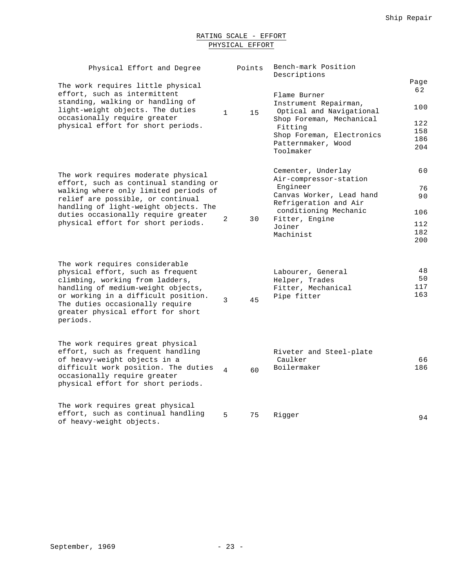# RATING SCALE - EFFORT PHYSICAL EFFORT

| Physical Effort and Degree                                                                                                                                                                                                                                                       |              | Points | Bench-mark Position<br>Descriptions                                                                                                                                             | Page                                       |
|----------------------------------------------------------------------------------------------------------------------------------------------------------------------------------------------------------------------------------------------------------------------------------|--------------|--------|---------------------------------------------------------------------------------------------------------------------------------------------------------------------------------|--------------------------------------------|
| The work requires little physical<br>effort, such as intermittent<br>standing, walking or handling of<br>light-weight objects. The duties<br>occasionally require greater<br>physical effort for short periods.                                                                  | $\mathbf{1}$ | 15     | Flame Burner<br>Instrument Repairman,<br>Optical and Navigational<br>Shop Foreman, Mechanical<br>Fitting<br>Shop Foreman, Electronics<br>Patternmaker, Wood<br>Toolmaker        | 62<br>100<br>122<br>158<br>186<br>204      |
| The work requires moderate physical<br>effort, such as continual standing or<br>walking where only limited periods of<br>relief are possible, or continual<br>handling of light-weight objects. The<br>duties occasionally require greater<br>physical effort for short periods. | 2            | 30     | Cementer, Underlay<br>Air-compressor-station<br>Engineer<br>Canvas Worker, Lead hand<br>Refrigeration and Air<br>conditioning Mechanic<br>Fitter, Engine<br>Joiner<br>Machinist | 60<br>76<br>90<br>106<br>112<br>182<br>200 |
| The work requires considerable<br>physical effort, such as frequent<br>climbing, working from ladders,<br>handling of medium-weight objects,<br>or working in a difficult position.<br>The duties occasionally require<br>greater physical effort for short<br>periods.          | 3            | 45     | Labourer, General<br>Helper, Trades<br>Fitter, Mechanical<br>Pipe fitter                                                                                                        | 48<br>50<br>117<br>163                     |
| The work requires great physical<br>effort, such as frequent handling<br>of heavy-weight objects in a<br>difficult work position. The duties<br>occasionally require greater                                                                                                     | 4            | 60     | Riveter and Steel-plate<br>Caulker<br>Boilermaker                                                                                                                               | 66<br>186                                  |

| The work requires great physical     |  |           |  |
|--------------------------------------|--|-----------|--|
| effort, such as continual handling 5 |  | 75 Rigger |  |
| of heavy-weight objects.             |  |           |  |

occasionally require greater

physical effort for short periods.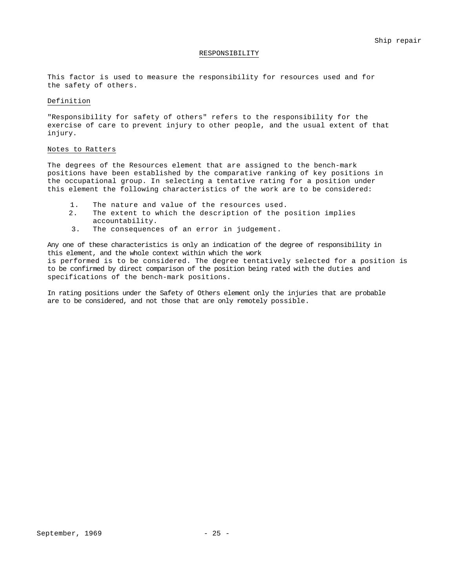#### RESPONSIBILITY

This factor is used to measure the responsibility for resources used and for the safety of others.

#### Definition

"Responsibility for safety of others" refers to the responsibility for the exercise of care to prevent injury to other people, and the usual extent of that injury.

### Notes to Ratters

The degrees of the Resources element that are assigned to the bench-mark positions have been established by the comparative ranking of key positions in the occupational group. In selecting a tentative rating for a position under this element the following characteristics of the work are to be considered:

- 1. The nature and value of the resources used.
- 2. The extent to which the description of the position implies accountability.
- 3. The consequences of an error in judgement.

Any one of these characteristics is only an indication of the degree of responsibility in this element, and the whole context within which the work is performed is to be considered. The degree tentatively selected for a position is to be confirmed by direct comparison of the position being rated with the duties and specifications of the bench-mark positions.

In rating positions under the Safety of Others element only the injuries that are probable are to be considered, and not those that are only remotely possible.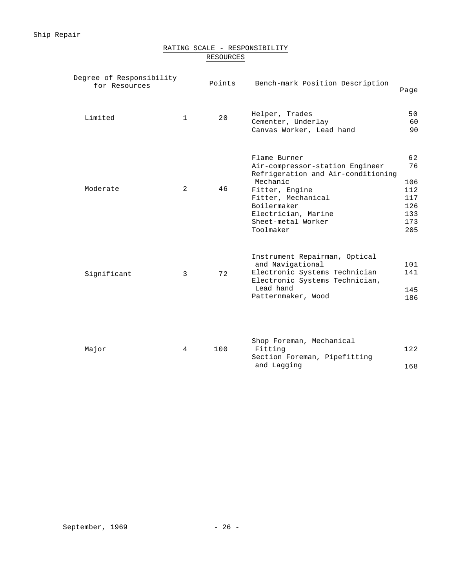# RATING SCALE - RESPONSIBILITY RESOURCES

| Degree of Responsibility<br>for Resources |              | Points | Bench-mark Position Description                                                                                                                                                                                    | Page                                                      |
|-------------------------------------------|--------------|--------|--------------------------------------------------------------------------------------------------------------------------------------------------------------------------------------------------------------------|-----------------------------------------------------------|
| Limited                                   | $\mathbf{1}$ | 20     | Helper, Trades<br>Cementer, Underlay<br>Canvas Worker, Lead hand                                                                                                                                                   | 50<br>60<br>90                                            |
| Moderate                                  | 2            | 46     | Flame Burner<br>Air-compressor-station Engineer<br>Refrigeration and Air-conditioning<br>Mechanic<br>Fitter, Engine<br>Fitter, Mechanical<br>Boilermaker<br>Electrician, Marine<br>Sheet-metal Worker<br>Toolmaker | 62<br>76<br>106<br>112<br>117<br>126<br>133<br>173<br>205 |
| Significant                               | 3            | 72     | Instrument Repairman, Optical<br>and Navigational<br>Electronic Systems Technician<br>Electronic Systems Technician,<br>Lead hand<br>Patternmaker, Wood                                                            | 101<br>141<br>145<br>186                                  |
| Major                                     | 4            | 100    | Shop Foreman, Mechanical<br>Fitting<br>Section Foreman, Pipefitting                                                                                                                                                | 122                                                       |

and Lagging

168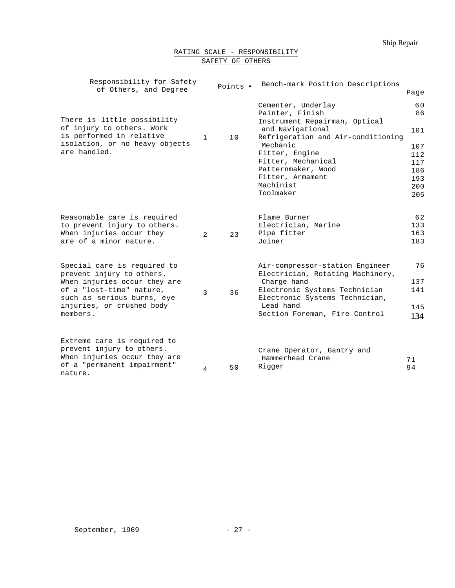Ship Repair

# RATING SCALE - RESPONSIBILITY SAFETY OF OTHERS

| Responsibility for Safety<br>of Others, and Degree       |   | Points . | Bench-mark Position Descriptions                                       | Page     |
|----------------------------------------------------------|---|----------|------------------------------------------------------------------------|----------|
| There is little possibility                              |   |          | Cementer, Underlay<br>Painter, Finish<br>Instrument Repairman, Optical | 60<br>86 |
| of injury to others. Work<br>is performed in relative    |   | 10       | and Navigational<br>Refrigeration and Air-conditioning                 | 101      |
| isolation, or no heavy objects                           |   |          | Mechanic                                                               | 107      |
| are handled.                                             |   |          | Fitter, Engine                                                         | 112      |
|                                                          |   |          | Fitter, Mechanical                                                     | 117      |
|                                                          |   |          | Patternmaker, Wood                                                     | 186      |
|                                                          |   |          | Fitter, Armament                                                       | 193      |
|                                                          |   |          | Machinist                                                              | 200      |
|                                                          |   |          | Toolmaker                                                              | 205      |
| Reasonable care is required                              |   |          | Flame Burner                                                           | 62       |
| to prevent injury to others.                             |   |          | Electrician, Marine                                                    | 133      |
| When injuries occur they                                 | 2 | 23       | Pipe fitter                                                            | 163      |
| are of a minor nature.                                   |   |          | Joiner                                                                 | 183      |
| Special care is required to                              |   |          | Air-compressor-station Engineer                                        | 76       |
| prevent injury to others.                                |   |          | Electrician, Rotating Machinery,                                       |          |
| When injuries occur they are                             |   |          | Charge hand                                                            | 137      |
| of a "lost-time" nature,<br>such as serious burns, eye   | 3 | 36       | Electronic Systems Technician<br>Electronic Systems Technician,        | 141      |
| injuries, or crushed body                                |   |          | Lead hand                                                              | 145      |
| members.                                                 |   |          | Section Foreman, Fire Control                                          | 134      |
|                                                          |   |          |                                                                        |          |
| Extreme care is required to<br>prevent injury to others. |   |          |                                                                        |          |
| When injuries occur they are                             |   |          | Crane Operator, Gantry and<br>Hammerhead Crane                         |          |
| of a "permanent impairment"                              |   |          | Rigger                                                                 | 71       |
| nature.                                                  | 4 | 50       |                                                                        | 94       |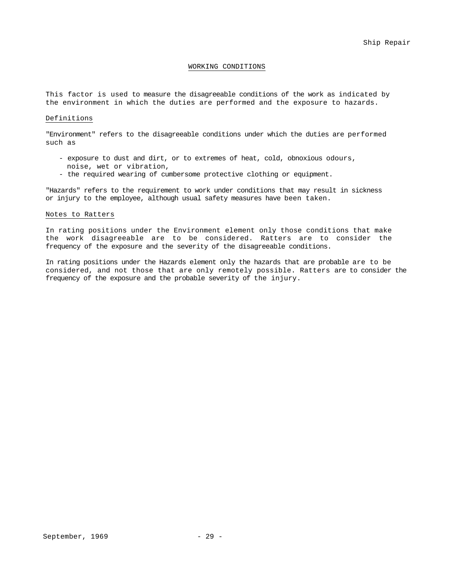#### WORKING CONDITIONS

This factor is used to measure the disagreeable conditions of the work as indicated by the environment in which the duties are performed and the exposure to hazards.

### Definitions

"Environment" refers to the disagreeable conditions under which the duties are performed such as

- exposure to dust and dirt, or to extremes of heat, cold, obnoxious odours, noise, wet or vibration,
- the required wearing of cumbersome protective clothing or equipment.

"Hazards" refers to the requirement to work under conditions that may result in sickness or injury to the employee, although usual safety measures have been taken.

### Notes to Ratters

In rating positions under the Environment element only those conditions that make the work disagreeable are to be considered. Ratters are to consider the frequency of the exposure and the severity of the disagreeable conditions.

In rating positions under the Hazards element only the hazards that are probable are to be considered, and not those that are only remotely possible. Ratters are to consider the frequency of the exposure and the probable severity of the injury.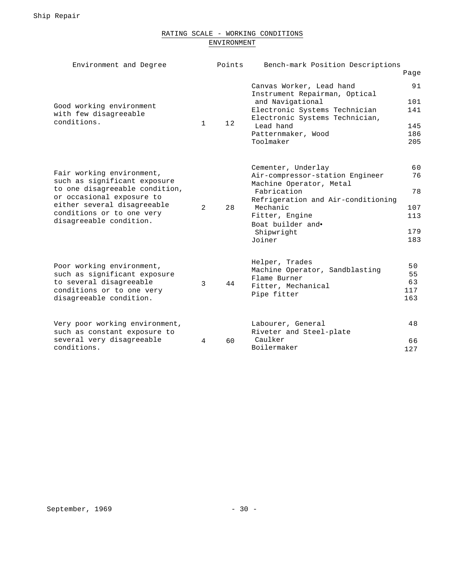# RATING SCALE - WORKING CONDITIONS ENVIRONMENT

| Environment and Degree                                                                                                                                                                                                            | Points | Bench-mark Position Descriptions                                                                                                                                                                                 |                                            |
|-----------------------------------------------------------------------------------------------------------------------------------------------------------------------------------------------------------------------------------|--------|------------------------------------------------------------------------------------------------------------------------------------------------------------------------------------------------------------------|--------------------------------------------|
|                                                                                                                                                                                                                                   |        |                                                                                                                                                                                                                  | Page                                       |
| Good working environment<br>with few disagreeable<br>conditions.<br>$\mathbf{1}$                                                                                                                                                  | 12     | Canvas Worker, Lead hand<br>Instrument Repairman, Optical<br>and Navigational<br>Electronic Systems Technician<br>Electronic Systems Technician,<br>Lead hand<br>Patternmaker, Wood<br>Toolmaker                 | 91<br>101<br>141<br>145<br>186<br>205      |
| Fair working environment,<br>such as significant exposure<br>to one disagreeable condition,<br>or occasional exposure to<br>either several disagreeable<br>$\mathfrak{D}$<br>conditions or to one very<br>disagreeable condition. | 28     | Cementer, Underlay<br>Air-compressor-station Engineer<br>Machine Operator, Metal<br>Fabrication<br>Refrigeration and Air-conditioning<br>Mechanic<br>Fitter, Engine<br>Boat builder and.<br>Shipwright<br>Joiner | 60<br>76<br>78<br>107<br>113<br>179<br>183 |
| Poor working environment,<br>such as significant exposure<br>to several disagreeable<br>3<br>conditions or to one very<br>disagreeable condition.                                                                                 | 44     | Helper, Trades<br>Machine Operator, Sandblasting<br>Flame Burner<br>Fitter, Mechanical<br>Pipe fitter                                                                                                            | 50<br>55<br>63<br>117<br>163               |
| Very poor working environment,<br>such as constant exposure to<br>several very disagreeable<br>4<br>conditions.                                                                                                                   | 60     | Labourer, General<br>Riveter and Steel-plate<br>Caulker<br>Boilermaker                                                                                                                                           | 48<br>66<br>127                            |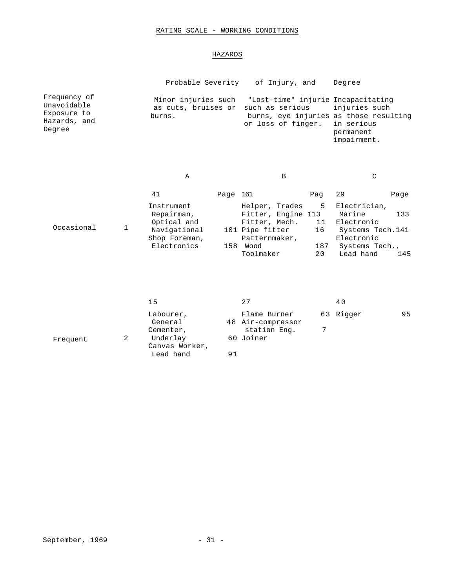# HAZARDS

|                                                                      |        | Probable Severity of Injury, and                                                                                                                                                       | Degree                   |
|----------------------------------------------------------------------|--------|----------------------------------------------------------------------------------------------------------------------------------------------------------------------------------------|--------------------------|
| Frequency of<br>Unavoidable<br>Exposure to<br>Hazards, and<br>Degree | burns. | Minor injuries such "Lost-time" injurie Incapacitating<br>as cuts, bruises or such as serious injuries such<br>burns, eye injuries as those resulting<br>or loss of finger. in serious | permanent<br>impairment. |

|            | Α                                                                                       |          | В                                                                                                                 |                            | C                                                                                                                    |  |
|------------|-----------------------------------------------------------------------------------------|----------|-------------------------------------------------------------------------------------------------------------------|----------------------------|----------------------------------------------------------------------------------------------------------------------|--|
|            | 41                                                                                      | Page 161 |                                                                                                                   | Pag                        | 29<br>Page                                                                                                           |  |
| Occasional | Instrument<br>Repairman,<br>Optical and<br>Navigational<br>Shop Foreman,<br>Electronics | 158      | Helper,<br>Trades<br>Fitter, Engine 113<br>Fitter, Mech.<br>101 Pipe fitter<br>Patternmaker,<br>Wood<br>Toolmaker | 5<br>11<br>16<br>187<br>20 | Electrician,<br>Marine<br>133<br>Electronic<br>Systems Tech. 141<br>Electronic<br>Systems Tech.,<br>Lead hand<br>145 |  |

|               | 15                                                                                 | 27                                                             | 40        |    |
|---------------|------------------------------------------------------------------------------------|----------------------------------------------------------------|-----------|----|
| 2<br>Frequent | Labourer,<br>General<br>Cementer,<br>Underlay<br>Canvas Worker,<br>Lead hand<br>91 | Flame Burner<br>48 Air-compressor<br>station Eng.<br>60 Joiner | 63 Rigger | 95 |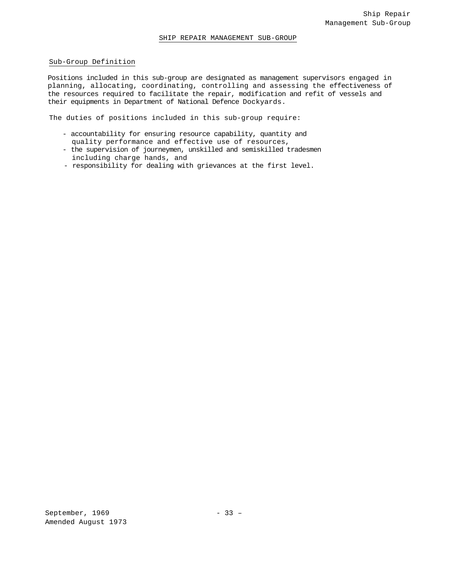### Sub-Group Definition

Positions included in this sub-group are designated as management supervisors engaged in planning, allocating, coordinating, controlling and assessing the effectiveness of the resources required to facilitate the repair, modification and refit of vessels and their equipments in Department of National Defence Dockyards.

The duties of positions included in this sub-group require:

- accountability for ensuring resource capability, quantity and quality performance and effective use of resources,
- the supervision of journeymen, unskilled and semiskilled tradesmen including charge hands, and
- responsibility for dealing with grievances at the first level.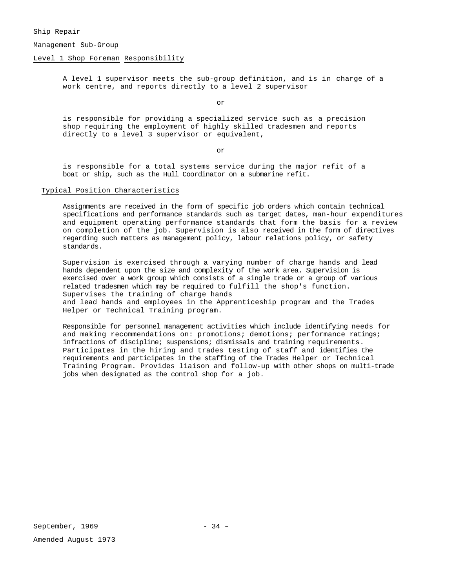Ship Repair

Management Sub-Group

#### Level 1 Shop Foreman Responsibility

A level 1 supervisor meets the sub-group definition, and is in charge of a work centre, and reports directly to a level 2 supervisor

or

is responsible for providing a specialized service such as a precision shop requiring the employment of highly skilled tradesmen and reports directly to a level 3 supervisor or equivalent,

or

is responsible for a total systems service during the major refit of a boat or ship, such as the Hull Coordinator on a submarine refit.

#### Typical Position Characteristics

Assignments are received in the form of specific job orders which contain technical specifications and performance standards such as target dates, man-hour expenditures and equipment operating performance standards that form the basis for a review on completion of the job. Supervision is also received in the form of directives regarding such matters as management policy, labour relations policy, or safety standards.

Supervision is exercised through a varying number of charge hands and lead hands dependent upon the size and complexity of the work area. Supervision is exercised over a work group which consists of a single trade or a group of various related tradesmen which may be required to fulfill the shop's function. Supervises the training of charge hands and lead hands and employees in the Apprenticeship program and the Trades Helper or Technical Training program.

Responsible for personnel management activities which include identifying needs for and making recommendations on: promotions; demotions; performance ratings; infractions of discipline; suspensions; dismissals and training requirements. Participates in the hiring and trades testing of staff and identifies the requirements and participates in the staffing of the Trades Helper or Technical Training Program. Provides liaison and follow-up with other shops on multi-trade jobs when designated as the control shop for a job.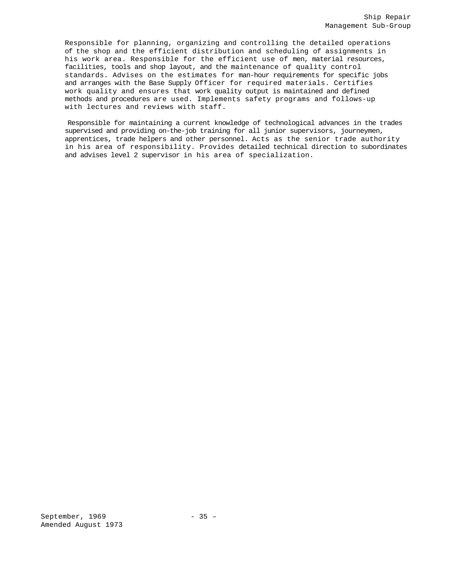Responsible for planning, organizing and controlling the detailed operations of the shop and the efficient distribution and scheduling of assignments in his work area. Responsible for the efficient use of men, material resources, facilities, tools and shop layout, and the maintenance of quality control standards. Advises on the estimates for man-hour requirements for specific jobs and arranges with the Base Supply Officer for required materials. Certifies work quality and ensures that work quality output is maintained and defined methods and procedures are used. Implements safety programs and follows-up with lectures and reviews with staff.

Responsible for maintaining a current knowledge of technological advances in the trades supervised and providing on-the-job training for all junior supervisors, journeymen, apprentices, trade helpers and other personnel. Acts as the senior trade authority in his area of responsibility. Provides detailed technical direction to subordinates and advises level 2 supervisor in his area of specialization.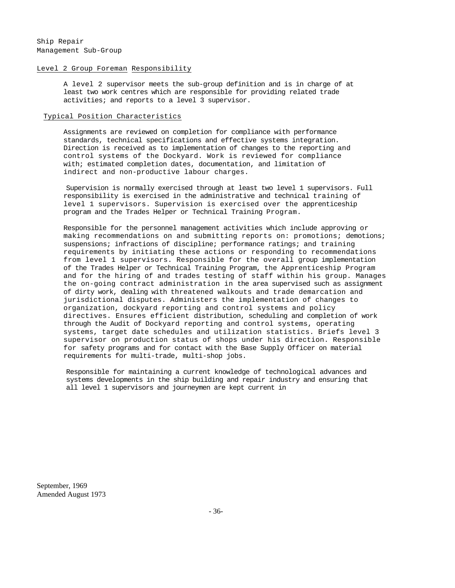### Level 2 Group Foreman Responsibility

A level 2 supervisor meets the sub-group definition and is in charge of at least two work centres which are responsible for providing related trade activities; and reports to a level 3 supervisor.

#### Typical Position Characteristics

Assignments are reviewed on completion for compliance with performance standards, technical specifications and effective systems integration. Direction is received as to implementation of changes to the reporting and control systems of the Dockyard. Work is reviewed for compliance with; estimated completion dates, documentation, and limitation of indirect and non-productive labour charges.

Supervision is normally exercised through at least two level 1 supervisors. Full responsibility is exercised in the administrative and technical training of level 1 supervisors. Supervision is exercised over the apprenticeship program and the Trades Helper or Technical Training Program.

Responsible for the personnel management activities which include approving or making recommendations on and submitting reports on: promotions; demotions; suspensions; infractions of discipline; performance ratings; and training requirements by initiating these actions or responding to recommendations from level 1 supervisors. Responsible for the overall group implementation of the Trades Helper or Technical Training Program, the Apprenticeship Program and for the hiring of and trades testing of staff within his group. Manages the on-going contract administration in the area supervised such as assignment of dirty work, dealing with threatened walkouts and trade demarcation and jurisdictional disputes. Administers the implementation of changes to organization, dockyard reporting and control systems and policy directives. Ensures efficient distribution, scheduling and completion of work through the Audit of Dockyard reporting and control systems, operating systems, target date schedules and utilization statistics. Briefs level 3 supervisor on production status of shops under his direction. Responsible for safety programs and for contact with the Base Supply Officer on material requirements for multi-trade, multi-shop jobs.

Responsible for maintaining a current knowledge of technological advances and systems developments in the ship building and repair industry and ensuring that all level 1 supervisors and journeymen are kept current in

September, 1969 Amended August 1973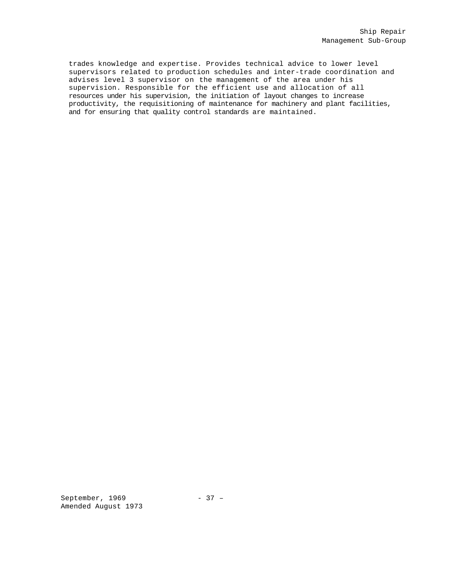trades knowledge and expertise. Provides technical advice to lower level supervisors related to production schedules and inter-trade coordination and advises level 3 supervisor on the management of the area under his supervision. Responsible for the efficient use and allocation of all resources under his supervision, the initiation of layout changes to increase productivity, the requisitioning of maintenance for machinery and plant facilities, and for ensuring that quality control standards are maintained.

September, 1969 - 37 -Amended August 1973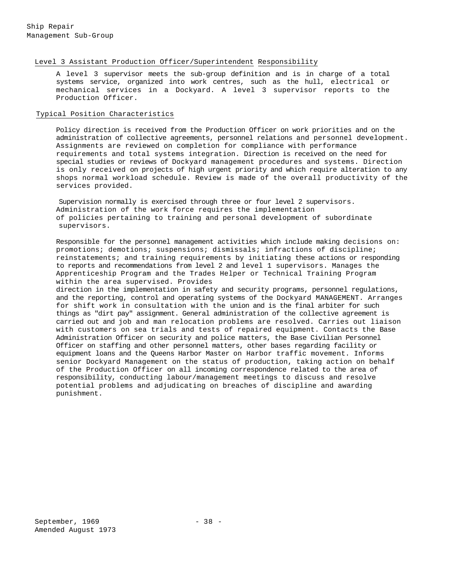#### Level 3 Assistant Production Officer/Superintendent Responsibility

A level 3 supervisor meets the sub-group definition and is in charge of a total systems service, organized into work centres, such as the hull, electrical or mechanical services in a Dockyard. A level 3 supervisor reports to the Production Officer.

## Typical Position Characteristics

Policy direction is received from the Production Officer on work priorities and on the administration of collective agreements, personnel relations and personnel development. Assignments are reviewed on completion for compliance with performance requirements and total systems integration. Direction is received on the need for special studies or reviews of Dockyard management procedures and systems. Direction is only received on projects of high urgent priority and which require alteration to any shops normal workload schedule. Review is made of the overall productivity of the services provided.

Supervision normally is exercised through three or four level 2 supervisors. Administration of the work force requires the implementation of policies pertaining to training and personal development of subordinate supervisors.

Responsible for the personnel management activities which include making decisions on: promotions; demotions; suspensions; dismissals; infractions of discipline; reinstatements; and training requirements by initiating these actions or responding to reports and recommendations from level 2 and level 1 supervisors. Manages the Apprenticeship Program and the Trades Helper or Technical Training Program within the area supervised. Provides

direction in the implementation in safety and security programs, personnel regulations, and the reporting, control and operating systems of the Dockyard MANAGEMENT. Arranges for shift work in consultation with the union and is the final arbiter for such things as "dirt pay" assignment. General administration of the collective agreement is carried out and job and man relocation problems are resolved. Carries out liaison with customers on sea trials and tests of repaired equipment. Contacts the Base Administration Officer on security and police matters, the Base Civilian Personnel Officer on staffing and other personnel matters, other bases regarding facility or equipment loans and the Queens Harbor Master on Harbor traffic movement. Informs senior Dockyard Management on the status of production, taking action on behalf of the Production Officer on all incoming correspondence related to the area of responsibility, conducting labour/management meetings to discuss and resolve potential problems and adjudicating on breaches of discipline and awarding punishment.

September, 1969 - 38 -Amended August 1973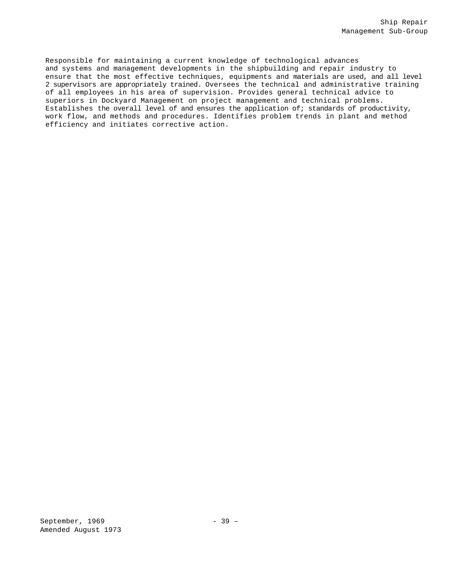Responsible for maintaining a current knowledge of technological advances and systems and management developments in the shipbuilding and repair industry to ensure that the most effective techniques, equipments and materials are used, and all level 2 supervisors are appropriately trained. Oversees the technical and administrative training of all employees in his area of supervision. Provides general technical advice to superiors in Dockyard Management on project management and technical problems. Establishes the overall level of and ensures the application of; standards of productivity, work flow, and methods and procedures. Identifies problem trends in plant and method efficiency and initiates corrective action.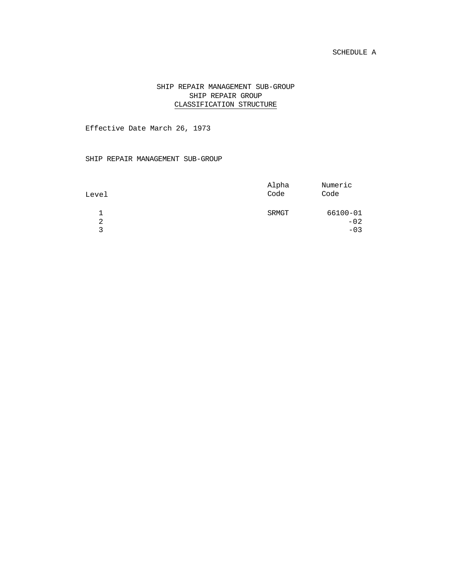# SCHEDULE A

# SHIP REPAIR MANAGEMENT SUB-GROUP SHIP REPAIR GROUP CLASSIFICATION STRUCTURE

Effective Date March 26, 1973

SHIP REPAIR MANAGEMENT SUB-GROUP

| Level | Alpha<br>Code | Numeric<br>Code   |
|-------|---------------|-------------------|
| 2     | SRMGT         | 66100-01<br>$-02$ |
| 3     |               | $-03$             |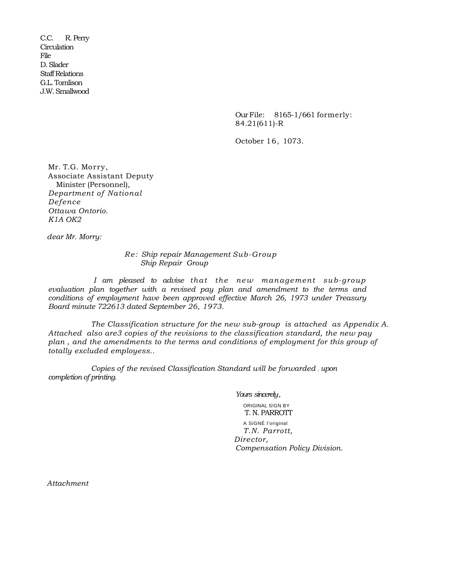C.C. R. Perry **Circulation** File D. Slader Staff Relations G.L. Tomlison J.W. Smallwood

> Our File: 8165-1/661 formerly: 84.21(611)-R

October 16, 1073.

Mr. T.G. Morry, Associate Assistant Deputy Minister (Personnel), *Department of National Defence Ottawa Ontorio. K1A OK2* 

*dear Mr. Morry:* 

# *Re: Ship repair Management Sub-Group Ship Repair Group*

*I am pleased to advise that the new management sub-group evaluation plan together with a revised pay plan and amendment to the terms and conditions of employment have been approved effective March 26, 1973 under Treasury Board minute 722613 dated September 26, 1973.* 

*The Classification structure for the new sub-group is attached as Appendix A. Attached also are3 copies of the revisions to the classification standard, the new pay plan , and the amendments to the terms and conditions of employment for this group of totally excluded employess..* 

*Copies of the revised Classification Standard will be forwarded* , *upon completion of printing.* 

*Yours sincerely ,* 

ORIGINAL S!GN BY T. N. PARROTT A SiGNÉ l'original *T.N. Parrott, Director, Compensation Policy Division.* 

*Attachment*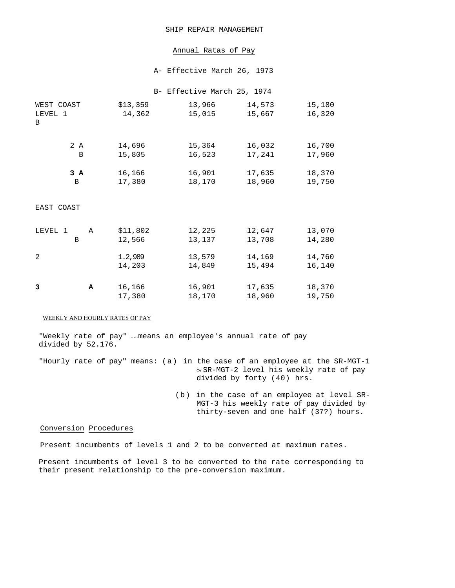## SHIP REPAIR MANAGEMENT

## Annual Ratas of Pay

## A- Effective March 26, 1973

|                            |              |                    | B- Effective March 25, 1974 |                  |                  |
|----------------------------|--------------|--------------------|-----------------------------|------------------|------------------|
| WEST COAST<br>LEVEL 1<br>B |              | \$13,359<br>14,362 | 13,966<br>15,015            | 14,573<br>15,667 | 15,180<br>16,320 |
| 2A<br>B                    |              | 14,696<br>15,805   | 15,364<br>16,523            | 16,032<br>17,241 | 16,700<br>17,960 |
| 3A<br>B                    |              | 16,166<br>17,380   | 16,901<br>18,170            | 17,635<br>18,960 | 18,370<br>19,750 |
| EAST COAST                 |              |                    |                             |                  |                  |
| LEVEL 1<br>B               | $\mathbb{A}$ | \$11,802<br>12,566 | 12,225<br>13,137            | 12,647<br>13,708 | 13,070<br>14,280 |
| 2                          |              | 1.2,989<br>14,203  | 13,579<br>14,849            | 14,169<br>15,494 | 14,760<br>16,140 |
| 3                          | A            | 16,166<br>17,380   | 16,901<br>18,170            | 17,635<br>18,960 | 18,370<br>19,750 |

## WEEKLY AND HOURLY RATES OF PAY

"Weekly rate of pay" nnwmeans an employee's annual rate of pay divided by 52.176.

- "Hourly rate of pay" means: (a) in the case of an employee at the SR-MGT-1 *Or* SR-MGT-2 level his weekly rate of pay divided by forty (40) hrs.
	- (b) in the case of an employee at level SR-MGT-3 his weekly rate of pay divided by thirty-seven and one half (37?) hours.

# Conversion Procedures

Present incumbents of levels 1 and 2 to be converted at maximum rates.

Present incumbents of level 3 to be converted to the rate corresponding to their present relationship to the pre-conversion maximum.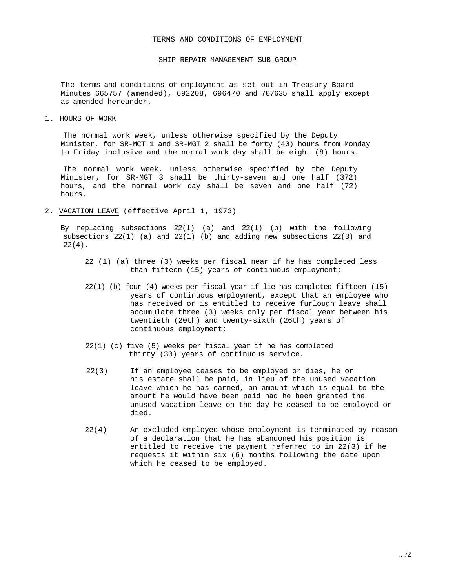#### TERMS AND CONDITIONS OF EMPLOYMENT

#### SHIP REPAIR MANAGEMENT SUB-GROUP

The terms and conditions of employment as set out in Treasury Board Minutes 665757 (amended), 692208, 696470 and 707635 shall apply except as amended hereunder.

1. HOURS OF WORK

The normal work week, unless otherwise specified by the Deputy Minister, for SR-MCT 1 and SR-MGT 2 shall be forty (40) hours from Monday to Friday inclusive and the normal work day shall be eight (8) hours.

The normal work week, unless otherwise specified by the Deputy Minister, for SR-MGT 3 shall be thirty-seven and one half (372) hours, and the normal work day shall be seven and one half (72) hours.

2. VACATION LEAVE (effective April 1, 1973)

By replacing subsections 22(l) (a) and 22(l) (b) with the following subsections  $22(1)$  (a) and  $22(1)$  (b) and adding new subsections  $22(3)$  and 22(4).

- 22 (1) (a) three (3) weeks per fiscal near if he has completed less than fifteen (15) years of continuous employment;
- 22(1) (b) four (4) weeks per fiscal year if lie has completed fifteen (15) years of continuous employment, except that an employee who has received or is entitled to receive furlough leave shall accumulate three (3) weeks only per fiscal year between his twentieth (20th) and twenty-sixth (26th) years of continuous employment;
- 22(1) (c) five (5) weeks per fiscal year if he has completed thirty (30) years of continuous service.
- 22(3) If an employee ceases to be employed or dies, he or his estate shall be paid, in lieu of the unused vacation leave which he has earned, an amount which is equal to the amount he would have been paid had he been granted the unused vacation leave on the day he ceased to be employed or died.
- 22(4) An excluded employee whose employment is terminated by reason of a declaration that he has abandoned his position is entitled to receive the payment referred to in 22(3) if he requests it within six (6) months following the date upon which he ceased to be employed.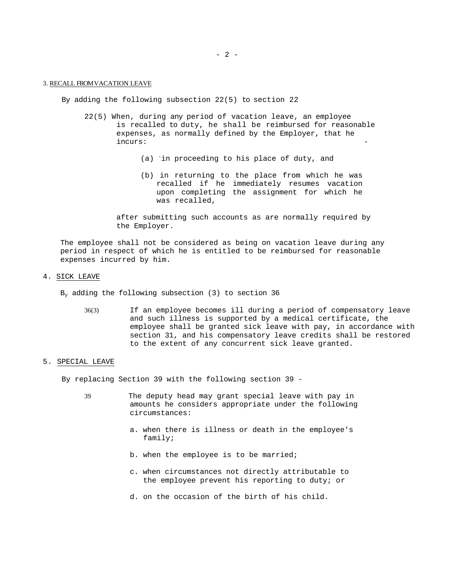- 2 -

#### 3. RECALL FROM VACATION LEAVE

By adding the following subsection 22(5) to section 22

- 22(5) When, during any period of vacation leave, an employee is recalled to duty, he shall be reimbursed for reasonable expenses, as normally defined by the Employer, that he incurs: -
	- (a) in proceeding to his place of duty, and
	- (b) in returning to the place from which he was recalled if he immediately resumes vacation upon completing the assignment for which he was recalled,

after submitting such accounts as are normally required by the Employer.

The employee shall not be considered as being on vacation leave during any period in respect of which he is entitled to be reimbursed for reasonable expenses incurred by him.

## 4. SICK LEAVE

By adding the following subsection (3) to section 36

36(3) If an employee becomes ill during a period of compensatory leave and such illness is supported by a medical certificate, the employee shall be granted sick leave with pay, in accordance with section 31, and his compensatory leave credits shall be restored to the extent of any concurrent sick leave granted.

## 5. SPECIAL LEAVE

By replacing Section 39 with the following section 39 -

- 39 The deputy head may grant special leave with pay in amounts he considers appropriate under the following circumstances:
	- a. when there is illness or death in the employee's family;
	- b. when the employee is to be married;
	- c. when circumstances not directly attributable to the employee prevent his reporting to duty; or
	- d. on the occasion of the birth of his child.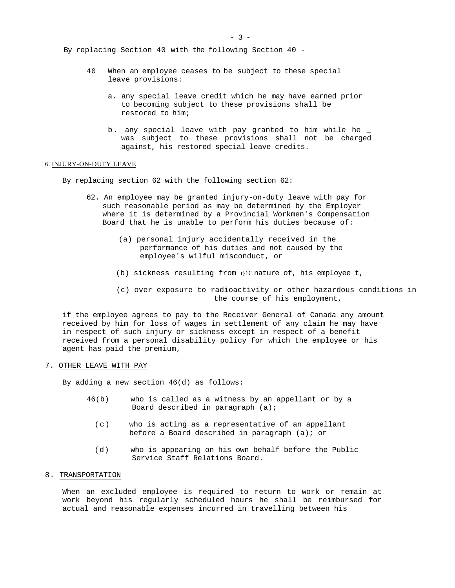By replacing Section 40 with the following Section 40 -

- 40 When an employee ceases to be subject to these special leave provisions:
	- a. any special leave credit which he may have earned prior to becoming subject to these provisions shall be restored to him;
	- b. any special leave with pay granted to him while he \_ was subject to these provisions shall not be charged against, his restored special leave credits.

#### 6. INJURY-ON-DUTY LEAVE

By replacing section 62 with the following section 62:

- 62. An employee may be granted injury-on-duty leave with pay for such reasonable period as may be determined by the Employer where it is determined by a Provincial Workmen's Compensation Board that he is unable to perform his duties because of:
	- (a) personal injury accidentally received in the performance of his duties and not caused by the employee's wilful misconduct, or
	- (b) sickness resulting from t}1C nature of, his employee t,
	- (c) over exposure to radioactivity or other hazardous conditions in the course of his employment,

if the employee agrees to pay to the Receiver General of Canada any amount received by him for loss of wages in settlement of any claim he may have in respect of such injury or sickness except in respect of a benefit received from a personal disability policy for which the employee or his agent has paid the premium,

#### 7. OTHER LEAVE WITH PAY

By adding a new section 46(d) as follows:

- 46(b) who is called as a witness by an appellant or by a Board described in paragraph (a);
	- (c) who is acting as a representative of an appellant before a Board described in paragraph (a); or
	- (d) who is appearing on his own behalf before the Public Service Staff Relations Board.

## 8. TRANSPORTATION

When an excluded employee is required to return to work or remain at work beyond his regularly scheduled hours he shall be reimbursed for actual and reasonable expenses incurred in travelling between his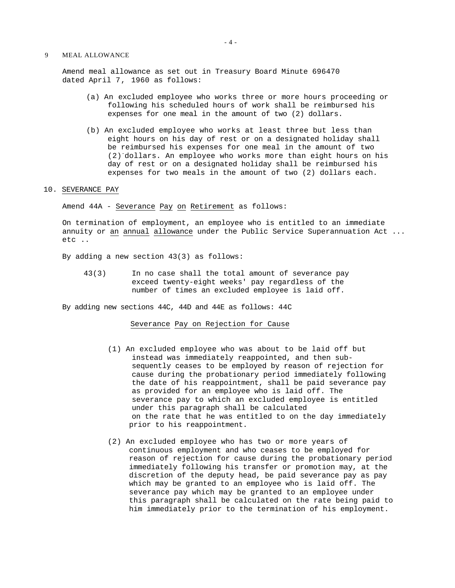#### MEAL ALLOWANCE

Amend meal allowance as set out in Treasury Board Minute 696470 dated April 7, 1960 as follows:

- (a) An excluded employee who works three or more hours proceeding or following his scheduled hours of work shall be reimbursed his expenses for one meal in the amount of two (2) dollars.
- (b) An excluded employee who works at least three but less than eight hours on his day of rest or on a designated holiday shall be reimbursed his expenses for one meal in the amount of two (2)- dollars. An employee who works more than eight hours on his day of rest or on a designated holiday shall be reimbursed his expenses for two meals in the amount of two (2) dollars each.

#### 10. SEVERANCE PAY

Amend 44A - Severance Pay on Retirement as follows:

On termination of employment, an employee who is entitled to an immediate annuity or an annual allowance under the Public Service Superannuation Act ... etc ..

By adding a new section 43(3) as follows:

43(3) In no case shall the total amount of severance pay exceed twenty-eight weeks' pay regardless of the number of times an excluded employee is laid off.

By adding new sections 44C, 44D and 44E as follows: 44C

#### Severance Pay on Rejection for Cause

- (1) An excluded employee who was about to be laid off but instead was immediately reappointed, and then subsequently ceases to be employed by reason of rejection for cause during the probationary period immediately following the date of his reappointment, shall be paid severance pay as provided for an employee who is laid off. The severance pay to which an excluded employee is entitled under this paragraph shall be calculated on the rate that he was entitled to on the day immediately prior to his reappointment.
- (2) An excluded employee who has two or more years of continuous employment and who ceases to be employed for reason of rejection for cause during the probationary period immediately following his transfer or promotion may, at the discretion of the deputy head, be paid severance pay as pay which may be granted to an employee who is laid off. The severance pay which may be granted to an employee under this paragraph shall be calculated on the rate being paid to him immediately prior to the termination of his employment.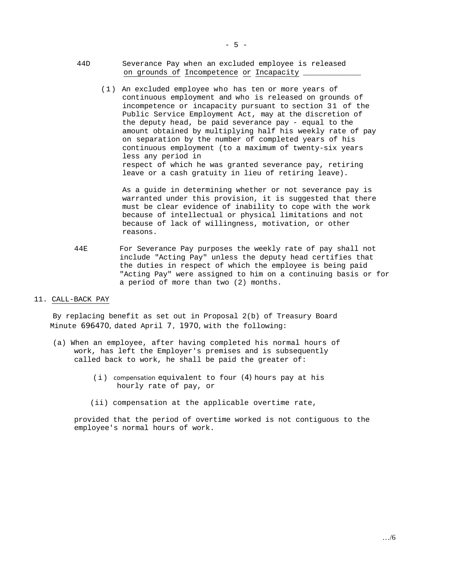- 44D Severance Pay when an excluded employee is released on grounds of Incompetence or Incapacity \_
	- (1) An excluded employee who has ten or more years of continuous employment and who is released on grounds of incompetence or incapacity pursuant to section 31 of the Public Service Employment Act, may at the discretion of the deputy head, be paid severance pay - equal to the amount obtained by multiplying half his weekly rate of pay on separation by the number of completed years of his continuous employment (to a maximum of twenty-six years less any period in respect of which he was granted severance pay, retiring leave or a cash gratuity in lieu of retiring leave).

As a guide in determining whether or not severance pay is warranted under this provision, it is suggested that there must be clear evidence of inability to cope with the work because of intellectual or physical limitations and not because of lack of willingness, motivation, or other reasons.

44E For Severance Pay purposes the weekly rate of pay shall not include "Acting Pay" unless the deputy head certifies that the duties in respect of which the employee is being paid "Acting Pay" were assigned to him on a continuing basis or for a period of more than two (2) months.

## 11. CALL-BACK PAY

By replacing benefit as set out in Proposal 2(b) of Treasury Board Minute 696470, dated April 7, 1970, with the following:

- (a) When an employee, after having completed his normal hours of work, has left the Employer's premises and is subsequently called back to work, he shall be paid the greater of:
	- (i) compensation equivalent to four *(4)* hours pay at his hourly rate of pay, or
	- (ii) compensation at the applicable overtime rate,

provided that the period of overtime worked is not contiguous to the employee's normal hours of work.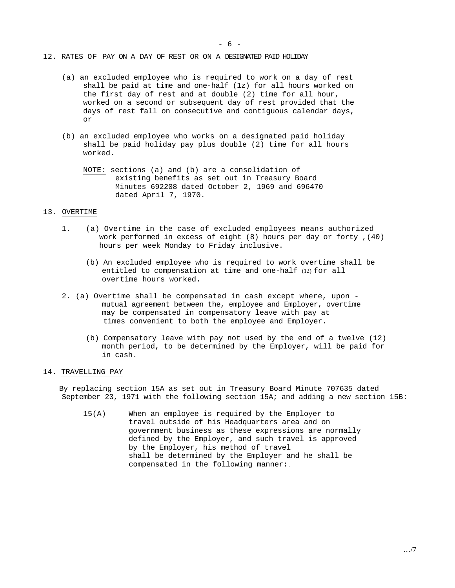$- 6 -$ 

## 12. RATES OF PAY ON A DAY OF REST OR ON A DESIGNATED PAID HOLIDAY

- (a) an excluded employee who is required to work on a day of rest shall be paid at time and one-half (1z) for all hours worked on the first day of rest and at double (2) time for all hour, worked on a second or subsequent day of rest provided that the days of rest fall on consecutive and contiguous calendar days, or
- (b) an excluded employee who works on a designated paid holiday shall be paid holiday pay plus double (2) time for all hours worked.
	- NOTE: sections (a) and (b) are a consolidation of existing benefits as set out in Treasury Board Minutes 692208 dated October 2, 1969 and 696470 dated April 7, 1970.

## 13. OVERTIME

- 1. (a) Overtime in the case of excluded employees means authorized work performed in excess of eight (8) hours per day or forty ,(40) hours per week Monday to Friday inclusive.
	- (b) An excluded employee who is required to work overtime shall be entitled to compensation at time and one-half (12) for all overtime hours worked.
- 2. (a) Overtime shall be compensated in cash except where, upon mutual agreement between the, employee and Employer, overtime may be compensated in compensatory leave with pay at times convenient to both the employee and Employer.
	- (b) Compensatory leave with pay not used by the end of a twelve (12) month period, to be determined by the Employer, will be paid for in cash.

# 14. TRAVELLING PAY

By replacing section 15A as set out in Treasury Board Minute 707635 dated September 23, 1971 with the following section 15A; and adding a new section 15B:

15(A) When an employee is required by the Employer to travel outside of his Headquarters area and on government business as these expressions are normally defined by the Employer, and such travel is approved by the Employer, his method of travel shall be determined by the Employer and he shall be compensated in the following manner:.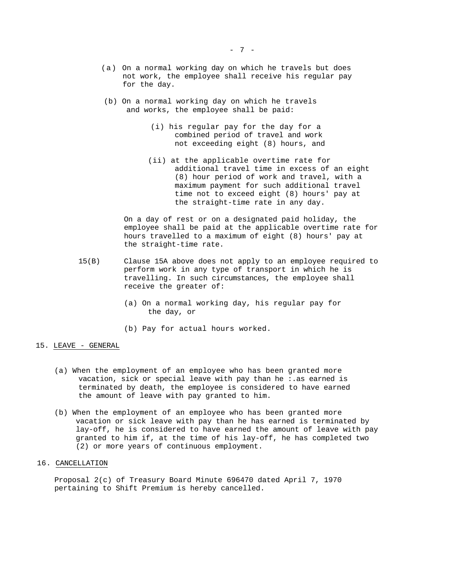- (a) On a normal working day on which he travels but does not work, the employee shall receive his regular pay for the day.
- (b) On a normal working day on which he travels and works, the employee shall be paid:
	- (i) his regular pay for the day for a combined period of travel and work not exceeding eight (8) hours, and
	- (ii) at the applicable overtime rate for additional travel time in excess of an eight (8) hour period of work and travel, with a maximum payment for such additional travel time not to exceed eight (8) hours' pay at the straight-time rate in any day.

On a day of rest or on a designated paid holiday, the employee shall be paid at the applicable overtime rate for hours travelled to a maximum of eight (8) hours' pay at the straight-time rate.

- 15(B) Clause 15A above does not apply to an employee required to perform work in any type of transport in which he is travelling. In such circumstances, the employee shall receive the greater of:
	- (a) On a normal working day, his regular pay for the day, or
	- (b) Pay for actual hours worked.

#### 15. LEAVE - GENERAL

- (a) When the employment of an employee who has been granted more vacation, sick or special leave with pay than he :.as earned is terminated by death, the employee is considered to have earned the amount of leave with pay granted to him.
- (b) When the employment of an employee who has been granted more vacation or sick leave with pay than he has earned is terminated by lay-off, he is considered to have earned the amount of leave with pay granted to him if, at the time of his lay-off, he has completed two (2) or more years of continuous employment.

## 16. CANCELLATION

Proposal 2(c) of Treasury Board Minute 696470 dated April 7, 1970 pertaining to Shift Premium is hereby cancelled.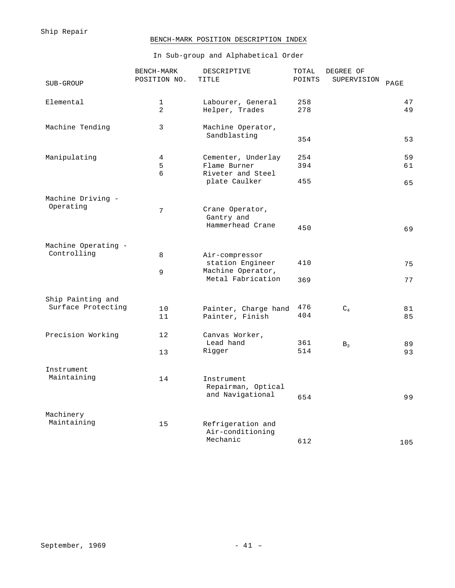Ship Repair

# BENCH-MARK POSITION DESCRIPTION INDEX

# In Sub-group and Alphabetical Order

| SUB-GROUP                               | BENCH-MARK<br>POSITION NO.    | DESCRIPTIVE<br>TITLE                                    | TOTAL<br>POINTS | DEGREE OF<br>SUPERVISION | PAGE     |
|-----------------------------------------|-------------------------------|---------------------------------------------------------|-----------------|--------------------------|----------|
| Elemental                               | $\mathbf 1$<br>$\overline{a}$ | Labourer, General<br>Helper, Trades                     | 258<br>278      |                          | 47<br>49 |
| Machine Tending                         | 3                             | Machine Operator,<br>Sandblasting                       | 354             |                          | 53       |
| Manipulating                            | $\overline{4}$<br>5<br>6      | Cementer, Underlay<br>Flame Burner<br>Riveter and Steel | 254<br>394      |                          | 59<br>61 |
| Machine Driving -<br>Operating          | $\overline{7}$                | plate Caulker<br>Crane Operator,<br>Gantry and          | 455             |                          | 65       |
| Machine Operating -                     |                               | Hammerhead Crane                                        | 450             |                          | 69       |
| Controlling                             | 8<br>9                        | Air-compressor<br>station Engineer<br>Machine Operator, | 410             |                          | 75       |
|                                         |                               | Metal Fabrication                                       | 369             |                          | 77       |
| Ship Painting and<br>Surface Protecting | 10<br>11                      | Painter, Charge hand<br>Painter, Finish                 | 476<br>404      | C <sub>4</sub>           | 81<br>85 |
| Precision Working                       | 12<br>13                      | Canvas Worker,<br>Lead hand<br>Rigger                   | 361<br>514      | $B_3$                    | 89<br>93 |
| Instrument<br>Maintaining               | 14                            | Instrument<br>Repairman, Optical<br>and Navigational    | 654             |                          | 99       |
| Machinery<br>Maintaining                | 15                            | Refrigeration and<br>Air-conditioning<br>Mechanic       | 612             |                          | 105      |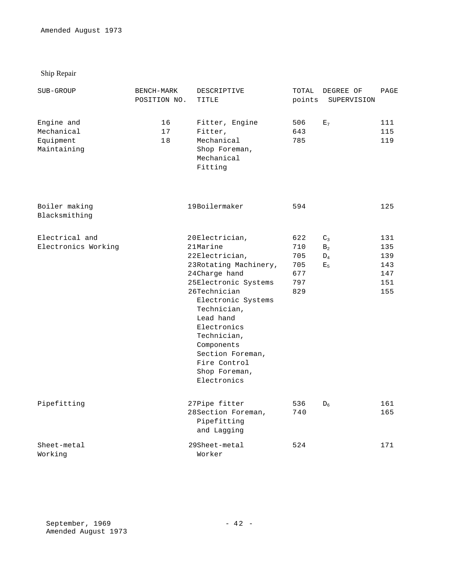# Ship Repair

| SUB-GROUP                                            | BENCH-MARK<br>POSITION NO. | DESCRIPTIVE<br>TITLE                                                                                                                                                                                                                                                                              | TOTAL<br>points                               | DEGREE OF<br>SUPERVISION                  | PAGE                                          |
|------------------------------------------------------|----------------------------|---------------------------------------------------------------------------------------------------------------------------------------------------------------------------------------------------------------------------------------------------------------------------------------------------|-----------------------------------------------|-------------------------------------------|-----------------------------------------------|
| Engine and<br>Mechanical<br>Equipment<br>Maintaining | 16<br>17<br>18             | Fitter, Engine<br>Fitter,<br>Mechanical<br>Shop Foreman,<br>Mechanical<br>Fitting                                                                                                                                                                                                                 | 506<br>643<br>785                             | $E_7$                                     | 111<br>115<br>119                             |
| Boiler making<br>Blacksmithing                       |                            | 19Boilermaker                                                                                                                                                                                                                                                                                     | 594                                           |                                           | 125                                           |
| Electrical and<br>Electronics Working                |                            | 20Electrician,<br>21Marine<br>22Electrician,<br>23Rotating Machinery,<br>24 Charge hand<br>25Electronic Systems<br>26Technician<br>Electronic Systems<br>Technician,<br>Lead hand<br>Electronics<br>Technician,<br>Components<br>Section Foreman,<br>Fire Control<br>Shop Foreman,<br>Electronics | 622<br>710<br>705<br>705<br>677<br>797<br>829 | $C_3$<br>$B_2$<br>$D_4$<br>E <sub>5</sub> | 131<br>135<br>139<br>143<br>147<br>151<br>155 |
| Pipefitting                                          |                            | 27Pipe fitter<br>28 Section Foreman,<br>Pipefitting<br>and Lagging                                                                                                                                                                                                                                | 536<br>740                                    | $D_6$                                     | 161<br>165                                    |
| Sheet-metal<br>Working                               |                            | 29Sheet-metal<br>Worker                                                                                                                                                                                                                                                                           | 524                                           |                                           | 171                                           |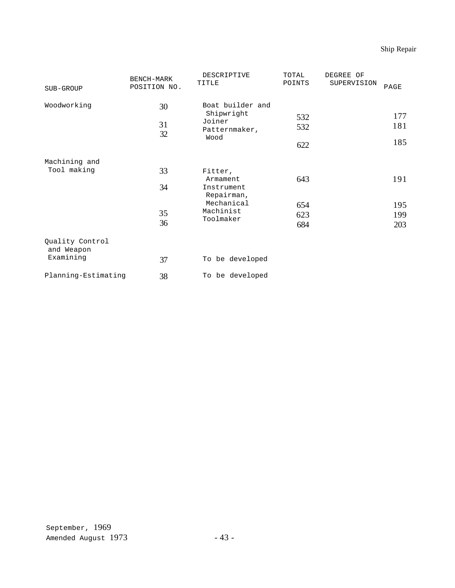| SUB-GROUP                     | BENCH-MARK<br>POSITION NO. | DESCRIPTIVE<br>TITLE           | TOTAL<br>POINTS | DEGREE OF<br>SUPERVISION | PAGE |
|-------------------------------|----------------------------|--------------------------------|-----------------|--------------------------|------|
| Woodworking                   | 30                         | Boat builder and<br>Shipwright |                 |                          | 177  |
|                               | 31<br>32                   | Joiner<br>Patternmaker,        | 532<br>532      |                          | 181  |
|                               |                            | Wood                           | 622             |                          | 185  |
| Machining and                 |                            |                                |                 |                          |      |
| Tool making                   | 33                         | Fitter,<br>Armament            | 643             |                          | 191  |
|                               | 34                         | Instrument<br>Repairman,       |                 |                          |      |
|                               |                            | Mechanical                     | 654             |                          | 195  |
|                               | 35                         | Machinist<br>Toolmaker         | 623             |                          | 199  |
|                               | 36                         |                                | 684             |                          | 203  |
| Quality Control<br>and Weapon |                            |                                |                 |                          |      |
| Examining                     | 37                         | To be developed                |                 |                          |      |
| Planning-Estimating           | 38                         | To be developed                |                 |                          |      |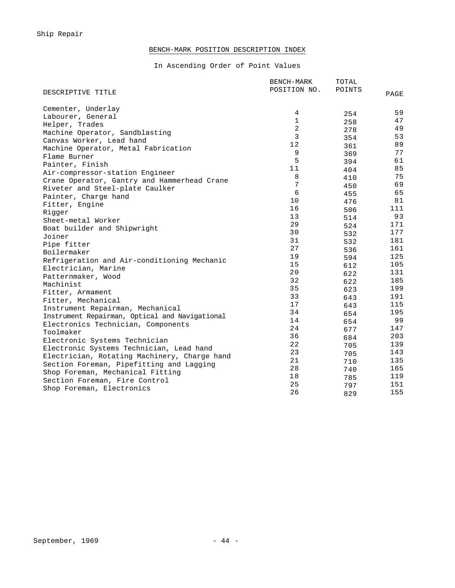# BENCH-MARK POSITION DESCRIPTION INDEX

# In Ascending Order of Point Values

|                                                | <b>BENCH-MARK</b> | TOTAL  |      |
|------------------------------------------------|-------------------|--------|------|
| DESCRIPTIVE TITLE                              | POSITION NO.      | POINTS | PAGE |
|                                                |                   |        |      |
| Cementer, Underlay                             |                   |        |      |
| Labourer, General                              | 4                 | 254    | 59   |
| Helper, Trades                                 | $\mathbf{1}$      | 258    | 47   |
| Machine Operator, Sandblasting                 | $\overline{2}$    | 278    | 49   |
| Canvas Worker, Lead hand                       | 3                 | 354    | 53   |
| Machine Operator, Metal Fabrication            | 12                | 361    | 89   |
| Flame Burner                                   | 9                 | 369    | 77   |
| Painter, Finish                                | 5                 | 394    | 61   |
| Air-compressor-station Engineer                | 11                | 404    | 85   |
| Crane Operator, Gantry and Hammerhead Crane    | 8                 | 410    | 75   |
| Riveter and Steel-plate Caulker                | 7                 | 450    | 69   |
| Painter, Charge hand                           | 6                 | 455    | 65   |
| Fitter, Engine                                 | 10                | 476    | 81   |
|                                                | 16                | 506    | 111  |
| Rigger<br>Sheet-metal Worker                   | 13                | 514    | 93   |
|                                                | 29                | 524    | 171  |
| Boat builder and Shipwright                    | 30                | 532    | 177  |
| Joiner                                         | 31                | 532    | 181  |
| Pipe fitter                                    | 27                | 536    | 161  |
| Boilermaker                                    | 19                | 594    | 125  |
| Refrigeration and Air-conditioning Mechanic    | 15                | 612    | 105  |
| Electrician, Marine                            | 20                | 622    | 131  |
| Patternmaker, Wood                             | 32                | 622    | 185  |
| Machinist                                      | 35                | 623    | 199  |
| Fitter, Armament                               | 33                | 643    | 191  |
| Fitter, Mechanical                             | 17                | 643    | 115  |
| Instrument Repairman, Mechanical               | 34                | 654    | 195  |
| Instrument Repairman, Optical and Navigational | 14                | 654    | 99   |
| Electronics Technician, Components             | 24                | 677    | 147  |
| Toolmaker                                      | 36                | 684    | 203  |
| Electronic Systems Technician                  | 22                | 705    | 139  |
| Electronic Systems Technician, Lead hand       | 23                | 705    | 143  |
| Electrician, Rotating Machinery, Charge hand   | 21                | 710    | 135  |
| Section Foreman, Pipefitting and Lagging       | 28                |        | 165  |
| Shop Foreman, Mechanical Fitting               | 18                | 740    | 119  |
| Section Foreman, Fire Control                  | 25                | 785    | 151  |
| Shop Foreman, Electronics                      | 26                | 797    | 155  |
|                                                |                   | 829    |      |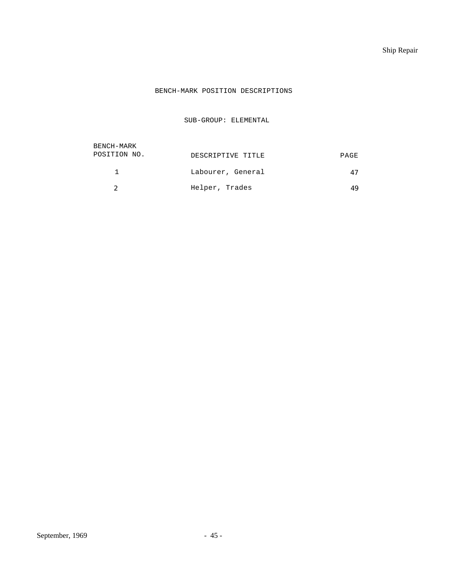# BENCH-MARK POSITION DESCRIPTIONS

# SUB-GROUP: ELEMENTAL

# BENCH-MARK<br>POSITION NO. DESCRIPTIVE TITLE PAGE 1 Labourer, General 47 2 Helper, Trades 49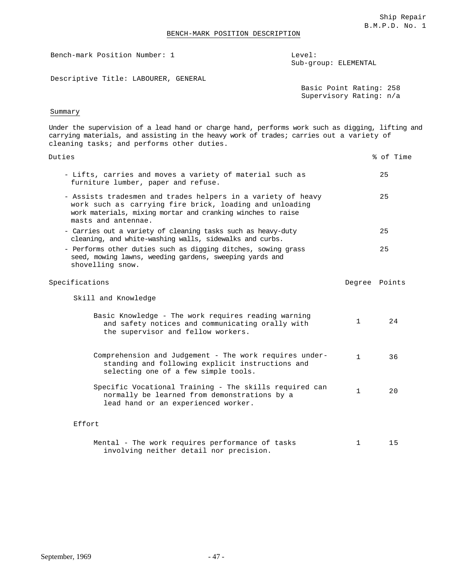Bench-mark Position Number: 1 Level:

Sub-group: ELEMENTAL

Descriptive Title: LABOURER, GENERAL

# Basic Point Rating: 258 Supervisory Rating: n/a

## Summary

Under the supervision of a lead hand or charge hand, performs work such as digging, lifting and carrying materials, and assisting in the heavy work of trades; carries out a variety of cleaning tasks; and performs other duties.

| Duties                                                                                                                                                                                                        |               | % of Time |
|---------------------------------------------------------------------------------------------------------------------------------------------------------------------------------------------------------------|---------------|-----------|
| - Lifts, carries and moves a variety of material such as<br>furniture lumber, paper and refuse.                                                                                                               |               | 25        |
| - Assists tradesmen and trades helpers in a variety of heavy<br>work such as carrying fire brick, loading and unloading<br>work materials, mixing mortar and cranking winches to raise<br>masts and antennae. |               | 25        |
| - Carries out a variety of cleaning tasks such as heavy-duty<br>cleaning, and white-washing walls, sidewalks and curbs.                                                                                       |               | 25        |
| - Performs other duties such as digging ditches, sowing grass<br>seed, mowing lawns, weeding gardens, sweeping yards and<br>shovelling snow.                                                                  |               | 25        |
| Specifications                                                                                                                                                                                                | Degree Points |           |
| Skill and Knowledge                                                                                                                                                                                           |               |           |
| Basic Knowledge - The work requires reading warning<br>and safety notices and communicating orally with<br>the supervisor and fellow workers.                                                                 | $\mathbf{1}$  | 24        |
| Comprehension and Judgement - The work requires under-<br>standing and following explicit instructions and<br>selecting one of a few simple tools.                                                            | 1             | 36        |
| Specific Vocational Training - The skills required can<br>normally be learned from demonstrations by a<br>lead hand or an experienced worker.                                                                 | $\mathbf{1}$  | 20        |
| Effort                                                                                                                                                                                                        |               |           |
| Mental - The work requires performance of tasks                                                                                                                                                               | 1             | 15        |

involving neither detail nor precision.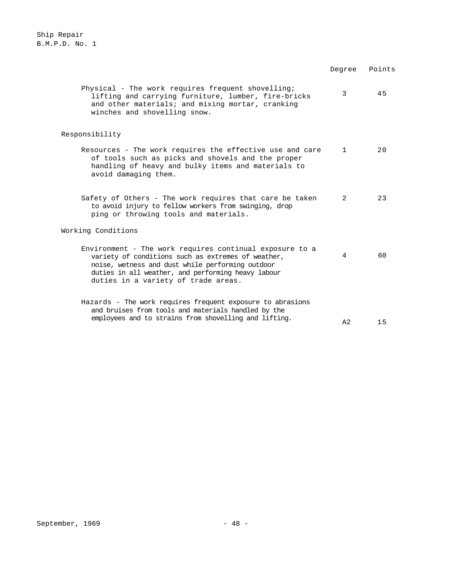|                                                                                                                                                                                                                                                                | Degree         | Points |
|----------------------------------------------------------------------------------------------------------------------------------------------------------------------------------------------------------------------------------------------------------------|----------------|--------|
| Physical - The work requires frequent shovelling;<br>lifting and carrying furniture, lumber, fire-bricks<br>and other materials; and mixing mortar, cranking<br>winches and shovelling snow.                                                                   | 3              | 45     |
| Responsibility                                                                                                                                                                                                                                                 |                |        |
| Resources - The work requires the effective use and care<br>of tools such as picks and shovels and the proper<br>handling of heavy and bulky items and materials to<br>avoid damaging them.                                                                    | $\mathbf{1}$   | 20     |
| Safety of Others - The work requires that care be taken<br>to avoid injury to fellow workers from swinging, drop<br>ping or throwing tools and materials.                                                                                                      | 2              | 23     |
| Working Conditions                                                                                                                                                                                                                                             |                |        |
| Environment - The work requires continual exposure to a<br>variety of conditions such as extremes of weather,<br>noise, wetness and dust while performing outdoor<br>duties in all weather, and performing heavy labour<br>duties in a variety of trade areas. | 4              | 60     |
| Hazards - The work requires frequent exposure to abrasions<br>and bruises from tools and materials handled by the<br>employees and to strains from shovelling and lifting.                                                                                     | A <sub>2</sub> | 15     |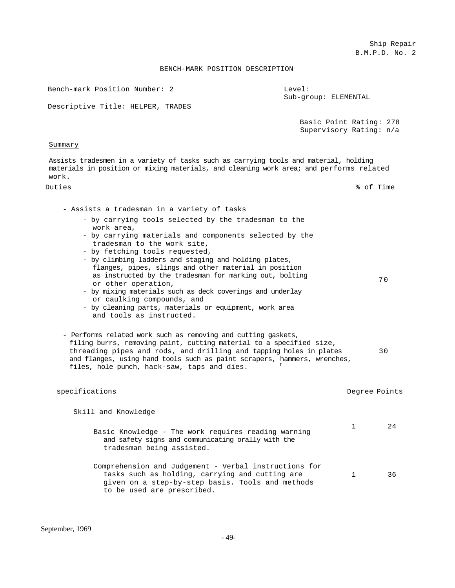Ship Repair B.M.P.D. No. 2

#### BENCH-MARK POSITION DESCRIPTION

Bench-mark Position Number: 2

Level: Sub-group: ELEMENTAL

Descriptive Title: HELPER, TRADES

Basic Point Rating: 278 Supervisory Rating: n/a

Summary

Assists tradesmen in a variety of tasks such as carrying tools and material, holding materials in position or mixing materials, and cleaning work area; and performs related work.

Duties % of Time

70

- Assists a tradesman in a variety of tasks
	- by carrying tools selected by the tradesman to the work area,
	- by carrying materials and components selected by the tradesman to the work site,
	- by fetching tools requested,
	- by climbing ladders and staging and holding plates, flanges, pipes, slings and other material in position as instructed by the tradesman for marking out, bolting or other operation,
	- by mixing materials such as deck coverings and underlay or caulking compounds, and
	- by cleaning parts, materials or equipment, work area and tools as instructed.

- Performs related work such as removing and cutting gaskets, filing burrs, removing paint, cutting material to a specified size, threading pipes and rods, and drilling and tapping holes in plates and flanges, using hand tools such as paint scrapers, hammers, wrenches, files, hole punch, hack-saw, taps and dies. 30

| specifications                                                                                                                                                                             | Degree Points |
|--------------------------------------------------------------------------------------------------------------------------------------------------------------------------------------------|---------------|
| Skill and Knowledge                                                                                                                                                                        |               |
| Basic Knowledge - The work requires reading warning<br>and safety signs and communicating orally with the<br>tradesman being assisted.                                                     | 24            |
| Comprehension and Judgement - Verbal instructions for<br>tasks such as holding, carrying and cutting are<br>given on a step-by-step basis. Tools and methods<br>to be used are prescribed. | 36            |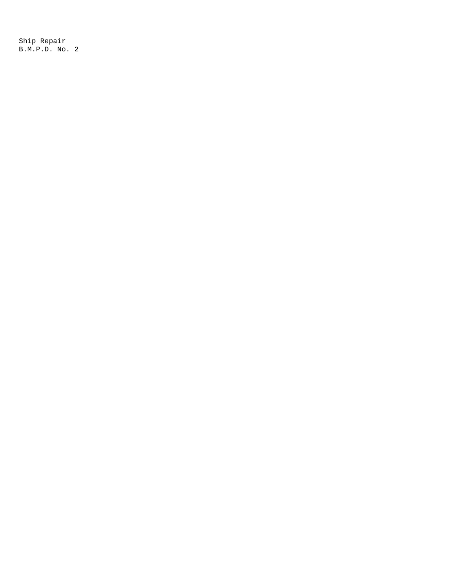Ship Repair B.M.P.D. No. 2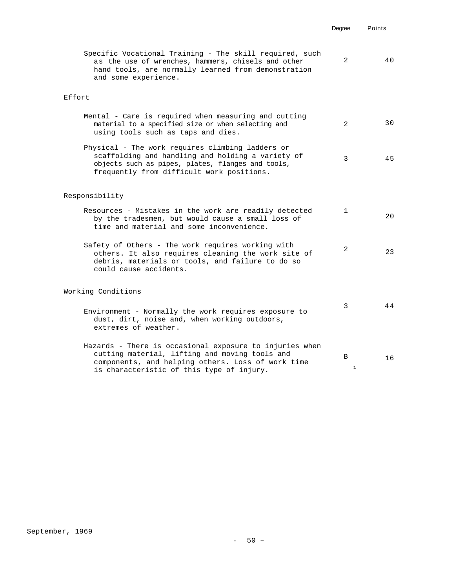|                                                                                                                                                                                                             | Degree            | Points |
|-------------------------------------------------------------------------------------------------------------------------------------------------------------------------------------------------------------|-------------------|--------|
| Specific Vocational Training - The skill required, such<br>as the use of wrenches, hammers, chisels and other<br>hand tools, are normally learned from demonstration<br>and some experience.                | $\overline{2}$    | 40     |
| Effort                                                                                                                                                                                                      |                   |        |
| Mental - Care is required when measuring and cutting<br>material to a specified size or when selecting and<br>using tools such as taps and dies.                                                            | $\overline{2}$    | 3 O    |
| Physical - The work requires climbing ladders or<br>scaffolding and handling and holding a variety of<br>objects such as pipes, plates, flanges and tools,<br>frequently from difficult work positions.     | 3                 | 45     |
| Responsibility                                                                                                                                                                                              |                   |        |
| Resources - Mistakes in the work are readily detected<br>by the tradesmen, but would cause a small loss of<br>time and material and some inconvenience.                                                     | $\mathbf{1}$      | 20     |
| Safety of Others - The work requires working with<br>others. It also requires cleaning the work site of<br>debris, materials or tools, and failure to do so<br>could cause accidents.                       | $\overline{2}$    | 23     |
| Working Conditions                                                                                                                                                                                          |                   |        |
| Environment - Normally the work requires exposure to<br>dust, dirt, noise and, when working outdoors,<br>extremes of weather.                                                                               | 3                 | 44     |
| Hazards - There is occasional exposure to injuries when<br>cutting material, lifting and moving tools and<br>components, and helping others. Loss of work time<br>is characteristic of this type of injury. | В<br>$\mathbf{1}$ | 16     |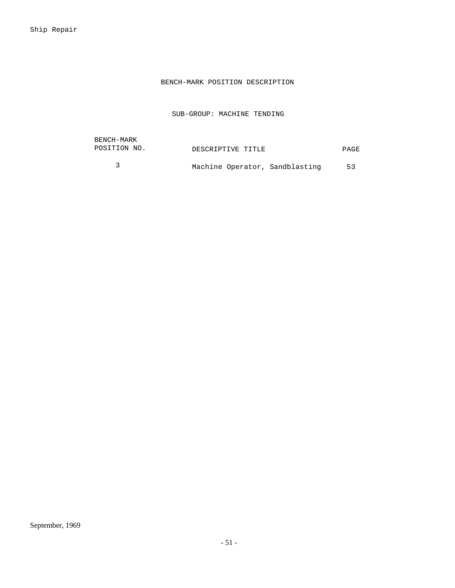# BENCH-MARK POSITION DESCRIPTION

## SUB-GROUP: MACHINE TENDING

BENCH-MARK POSITION NO. 3 DESCRIPTIVE TITLE PAGE Machine Operator, Sandblasting 53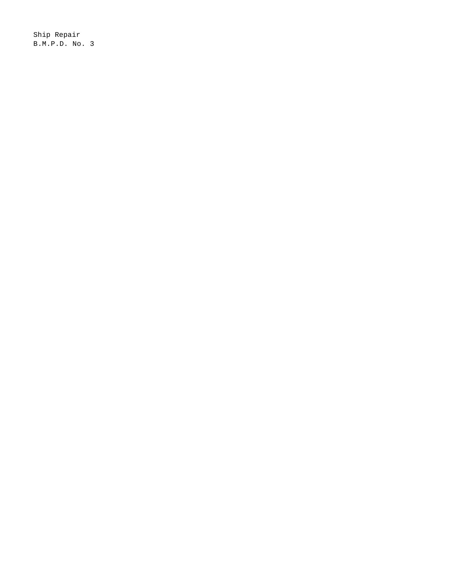Ship Repair B.M.P.D. No. 3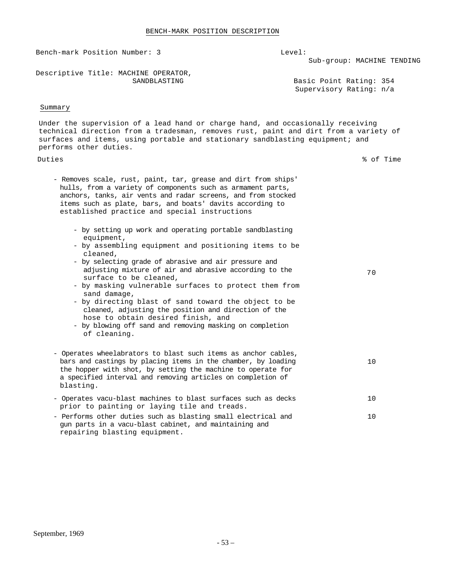|  |  | BENCH-MARK POSITION DESCRIPTION |
|--|--|---------------------------------|
|--|--|---------------------------------|

| Bench-mark Position Number: 3                                                                                                                                                                                                                                                                                                                                                                                                                                                                                                                                                                                                                                                                                                                                                                                                                                                                                       | Level:<br>Sub-group: MACHINE TENDING               |
|---------------------------------------------------------------------------------------------------------------------------------------------------------------------------------------------------------------------------------------------------------------------------------------------------------------------------------------------------------------------------------------------------------------------------------------------------------------------------------------------------------------------------------------------------------------------------------------------------------------------------------------------------------------------------------------------------------------------------------------------------------------------------------------------------------------------------------------------------------------------------------------------------------------------|----------------------------------------------------|
| Descriptive Title: MACHINE OPERATOR,<br>SANDBLASTING                                                                                                                                                                                                                                                                                                                                                                                                                                                                                                                                                                                                                                                                                                                                                                                                                                                                | Basic Point Rating: 354<br>Supervisory Rating: n/a |
| Summary                                                                                                                                                                                                                                                                                                                                                                                                                                                                                                                                                                                                                                                                                                                                                                                                                                                                                                             |                                                    |
| Under the supervision of a lead hand or charge hand, and occasionally receiving<br>technical direction from a tradesman, removes rust, paint and dirt from a variety of<br>surfaces and items, using portable and stationary sandblasting equipment; and<br>performs other duties.                                                                                                                                                                                                                                                                                                                                                                                                                                                                                                                                                                                                                                  |                                                    |
| Duties                                                                                                                                                                                                                                                                                                                                                                                                                                                                                                                                                                                                                                                                                                                                                                                                                                                                                                              | % of Time                                          |
| - Removes scale, rust, paint, tar, grease and dirt from ships'<br>hulls, from a variety of components such as armament parts,<br>anchors, tanks, air vents and radar screens, and from stocked<br>items such as plate, bars, and boats' davits according to<br>established practice and special instructions<br>- by setting up work and operating portable sandblasting<br>equipment,<br>- by assembling equipment and positioning items to be<br>cleaned,<br>- by selecting grade of abrasive and air pressure and<br>adjusting mixture of air and abrasive according to the<br>surface to be cleaned,<br>- by masking vulnerable surfaces to protect them from<br>sand damage,<br>- by directing blast of sand toward the object to be<br>cleaned, adjusting the position and direction of the<br>hose to obtain desired finish, and<br>- by blowing off sand and removing masking on completion<br>of cleaning. | 70                                                 |
| - Operates wheelabrators to blast such items as anchor cables,<br>bars and castings by placing items in the chamber, by loading<br>the hopper with shot, by setting the machine to operate for<br>a specified interval and removing articles on completion of<br>blasting.                                                                                                                                                                                                                                                                                                                                                                                                                                                                                                                                                                                                                                          | 10                                                 |
| - Operates vacu-blast machines to blast surfaces such as decks<br>prior to painting or laying tile and treads.                                                                                                                                                                                                                                                                                                                                                                                                                                                                                                                                                                                                                                                                                                                                                                                                      | 10                                                 |
| - Performs other duties such as blasting small electrical and<br>gun parts in a vacu-blast cabinet, and maintaining and<br>repairing blasting equipment.                                                                                                                                                                                                                                                                                                                                                                                                                                                                                                                                                                                                                                                                                                                                                            | 10                                                 |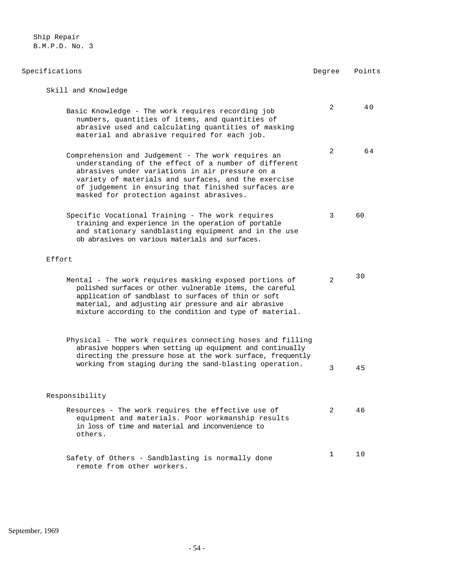| Specifications                                                                                                                                                                                                                                                                                                          | Degree | Points |
|-------------------------------------------------------------------------------------------------------------------------------------------------------------------------------------------------------------------------------------------------------------------------------------------------------------------------|--------|--------|
| Skill and Knowledge                                                                                                                                                                                                                                                                                                     |        |        |
| Basic Knowledge - The work requires recording job<br>numbers, quantities of items, and quantities of<br>abrasive used and calculating quantities of masking<br>material and abrasive required for each job.                                                                                                             | 2      | 40     |
| Comprehension and Judgement - The work requires an<br>understanding of the effect of a number of different<br>abrasives under variations in air pressure on a<br>variety of materials and surfaces, and the exercise<br>of judgement in ensuring that finished surfaces are<br>masked for protection against abrasives. | 2      | 64     |
| Specific Vocational Training - The work requires<br>training and experience in the operation of portable<br>and stationary sandblasting equipment and in the use<br>ob abrasives on various materials and surfaces.                                                                                                     | 3      | 60     |
| Effort                                                                                                                                                                                                                                                                                                                  |        |        |
| Mental - The work requires masking exposed portions of<br>polished surfaces or other vulnerable items, the careful<br>application of sandblast to surfaces of thin or soft<br>material, and adjusting air pressure and air abrasive<br>mixture according to the condition and type of material.                         | 2      | 30     |
| Physical - The work requires connecting hoses and filling<br>abrasive hoppers when setting up equipment and continually<br>directing the pressure hose at the work surface, frequently<br>working from staging during the sand-blasting operation.                                                                      | 3      | 45     |
| Responsibility                                                                                                                                                                                                                                                                                                          |        |        |
| Resources - The work requires the effective use of<br>equipment and materials. Poor workmanship results<br>in loss of time and material and inconvenience to<br>others.                                                                                                                                                 | 2      | 46     |
| Safety of Others - Sandblasting is normally done<br>remote from other workers.                                                                                                                                                                                                                                          | 1      | 10     |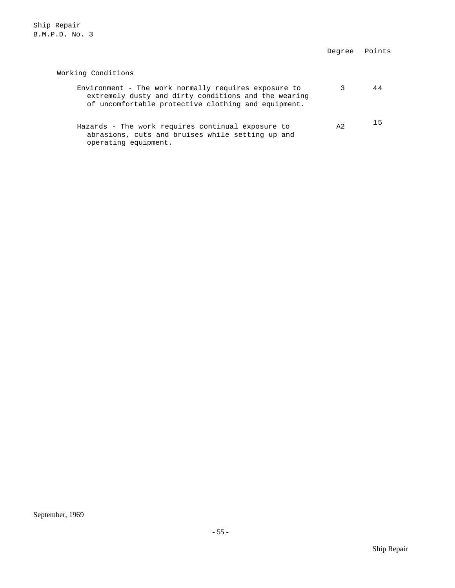# Working Conditions

| Environment - The work normally requires exposure to<br>extremely dusty and dirty conditions and the wearing<br>of uncomfortable protective clothing and equipment. |                |    |
|---------------------------------------------------------------------------------------------------------------------------------------------------------------------|----------------|----|
| Hazards - The work requires continual exposure to<br>abrasions, cuts and bruises while setting up and<br>operating equipment.                                       | A <sub>2</sub> | 15 |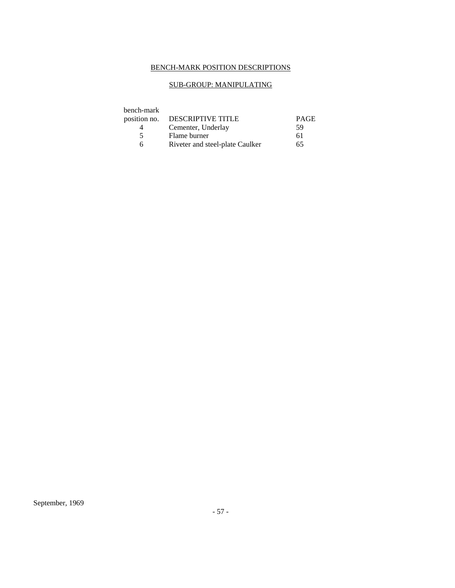# BENCH-MARK POSITION DESCRIPTIONS

# SUB-GROUP: MANIPULATING

| bench-mark   |                                 |             |
|--------------|---------------------------------|-------------|
| position no. | <b>DESCRIPTIVE TITLE</b>        | <b>PAGE</b> |
|              | Cementer, Underlay              | 59          |
| 5            | Flame burner                    | 61          |
| 6            | Riveter and steel-plate Caulker | 65          |

September, 1969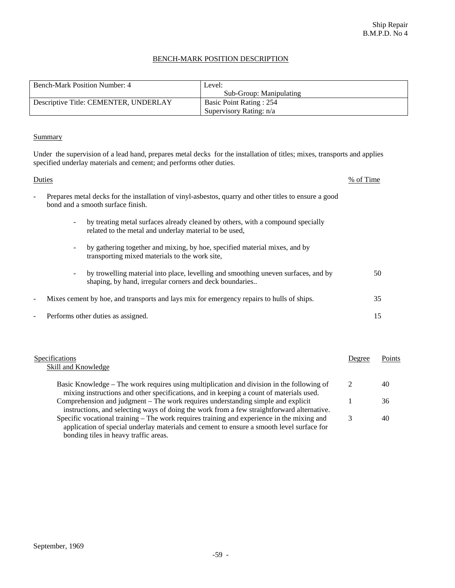# BENCH-MARK POSITION DESCRIPTION

| <b>Bench-Mark Position Number: 4</b>  | Level:                   |
|---------------------------------------|--------------------------|
|                                       | Sub-Group: Manipulating  |
| Descriptive Title: CEMENTER, UNDERLAY | Basic Point Rating : 254 |
|                                       | Supervisory Rating: n/a  |

# **Summary**

Under the supervision of a lead hand, prepares metal decks for the installation of titles; mixes, transports and applies specified underlay materials and cement; and performs other duties.

| Duties                   |    |                                                                                                                                               | % of Time |
|--------------------------|----|-----------------------------------------------------------------------------------------------------------------------------------------------|-----------|
| $\overline{\phantom{a}}$ |    | Prepares metal decks for the installation of vinyl-asbestos, quarry and other titles to ensure a good<br>bond and a smooth surface finish.    |           |
|                          |    | by treating metal surfaces already cleaned by others, with a compound specially<br>related to the metal and underlay material to be used,     |           |
|                          | ۰. | by gathering together and mixing, by hoe, specified material mixes, and by<br>transporting mixed materials to the work site,                  |           |
|                          | ۰. | by trowelling material into place, levelling and smoothing uneven surfaces, and by<br>shaping, by hand, irregular corners and deck boundaries | 50        |
| $\overline{\phantom{a}}$ |    | Mixes cement by hoe, and transports and lays mix for emergency repairs to hulls of ships.                                                     | 35        |
|                          |    | Performs other duties as assigned.                                                                                                            | 15        |

| <b>Specifications</b>                                                                                                                                                                   | Degree        | Points |
|-----------------------------------------------------------------------------------------------------------------------------------------------------------------------------------------|---------------|--------|
| Skill and Knowledge                                                                                                                                                                     |               |        |
| Basic Knowledge – The work requires using multiplication and division in the following of                                                                                               | $\mathcal{L}$ | 40     |
| mixing instructions and other specifications, and in keeping a count of materials used.                                                                                                 |               |        |
| Comprehension and judgment – The work requires understanding simple and explicit<br>instructions, and selecting ways of doing the work from a few straightforward alternative.          |               | 36     |
| Specific vocational training – The work requires training and experience in the mixing and<br>application of special underlay materials and cement to ensure a smooth level surface for |               | 40     |
| bonding tiles in heavy traffic areas.                                                                                                                                                   |               |        |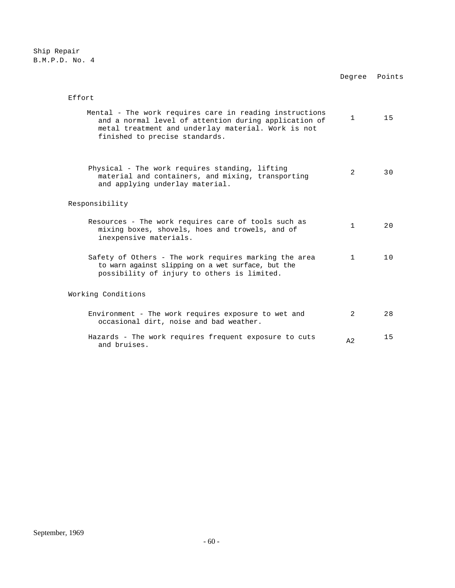# Ship Repair B.M.P.D. No. 4

| Effort                                                                                                                                                                                                   |                |    |  |
|----------------------------------------------------------------------------------------------------------------------------------------------------------------------------------------------------------|----------------|----|--|
| Mental - The work requires care in reading instructions<br>and a normal level of attention during application of<br>metal treatment and underlay material. Work is not<br>finished to precise standards. | 1              | 15 |  |
| Physical - The work requires standing, lifting<br>material and containers, and mixing, transporting<br>and applying underlay material.                                                                   | 2              | 30 |  |
| Responsibility                                                                                                                                                                                           |                |    |  |
| Resources - The work requires care of tools such as<br>mixing boxes, shovels, hoes and trowels, and of<br>inexpensive materials.                                                                         | 1              | 20 |  |
| Safety of Others - The work requires marking the area<br>to warn against slipping on a wet surface, but the<br>possibility of injury to others is limited.                                               | $\mathbf{1}$   | 10 |  |
| Working Conditions                                                                                                                                                                                       |                |    |  |
| Environment - The work requires exposure to wet and<br>occasional dirt, noise and bad weather.                                                                                                           | 2              | 28 |  |
| Hazards - The work requires frequent exposure to cuts<br>and bruises.                                                                                                                                    | A <sub>2</sub> | 15 |  |

Degree Points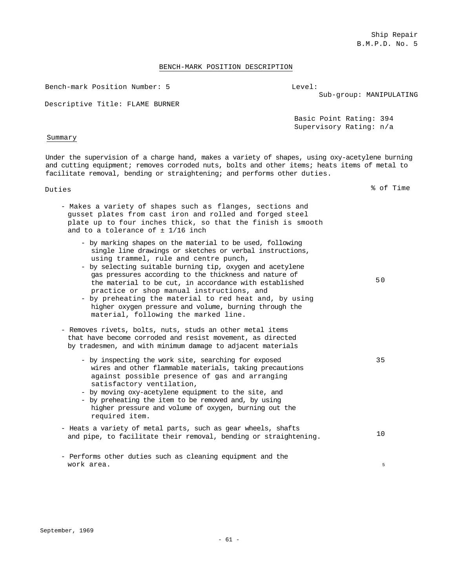#### BENCH-MARK POSITION DESCRIPTION

Bench-mark Position Number: 5

Level:

Sub-group: MANIPULATING

Descriptive Title: FLAME BURNER

Basic Point Rating: 394 Supervisory Rating: n/a

Summary

Under the supervision of a charge hand, makes a variety of shapes, using oxy-acetylene burning and cutting equipment; removes corroded nuts, bolts and other items; heats items of metal to facilitate removal, bending or straightening; and performs other duties.

Duties % of Time

50

- Makes a variety of shapes such as flanges, sections and gusset plates from cast iron and rolled and forged steel plate up to four inches thick, so that the finish is smooth and to a tolerance of  $\pm$  1/16 inch
	- by marking shapes on the material to be used, following single line drawings or sketches or verbal instructions, using trammel, rule and centre punch,
	- by selecting suitable burning tip, oxygen and acetylene gas pressures according to the thickness and nature of the material to be cut, in accordance with established practice or shop manual instructions, and
	- by preheating the material to red heat and, by using higher oxygen pressure and volume, burning through the material, following the marked line.
- Removes rivets, bolts, nuts, studs an other metal items that have become corroded and resist movement, as directed by tradesmen, and with minimum damage to adjacent materials
	- by inspecting the work site, searching for exposed wires and other flammable materials, taking precautions against possible presence of gas and arranging satisfactory ventilation, - by moving oxy-acetylene equipment to the site, and 35
	- by preheating the item to be removed and, by using higher pressure and volume of oxygen, burning out the required item.
- Heats a variety of metal parts, such as gear wheels, shafts and pipe, to facilitate their removal, bending or straightening.
- Performs other duties such as cleaning equipment and the work area.  $\frac{5}{5}$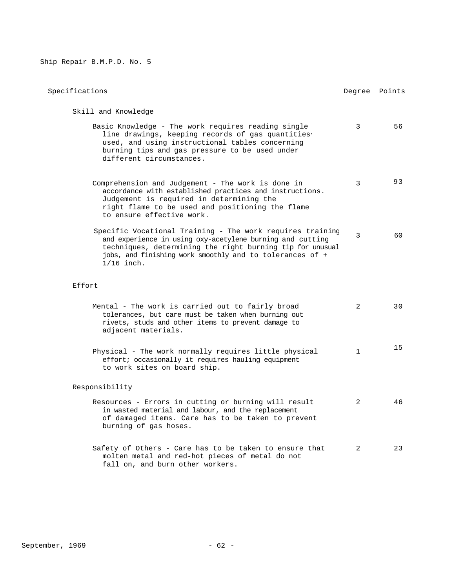Ship Repair B.M.P.D. No. 5

| Specifications                                                                                                                                                                                                                                                  |                | Degree Points |
|-----------------------------------------------------------------------------------------------------------------------------------------------------------------------------------------------------------------------------------------------------------------|----------------|---------------|
| Skill and Knowledge                                                                                                                                                                                                                                             |                |               |
| Basic Knowledge - The work requires reading single<br>line drawings, keeping records of gas quantities'<br>used, and using instructional tables concerning<br>burning tips and gas pressure to be used under<br>different circumstances.                        | 3              | 56            |
| Comprehension and Judgement - The work is done in<br>accordance with established practices and instructions.<br>Judgement is required in determining the<br>right flame to be used and positioning the flame<br>to ensure effective work.                       | 3              | 93            |
| Specific Vocational Training - The work requires training<br>and experience in using oxy-acetylene burning and cutting<br>techniques, determining the right burning tip for unusual<br>jobs, and finishing work smoothly and to tolerances of +<br>$1/16$ inch. | 3              | 60            |
| Effort                                                                                                                                                                                                                                                          |                |               |
| Mental - The work is carried out to fairly broad<br>tolerances, but care must be taken when burning out<br>rivets, studs and other items to prevent damage to<br>adjacent materials.                                                                            | 2              | 30            |
| Physical - The work normally requires little physical<br>effort; occasionally it requires hauling equipment<br>to work sites on board ship.                                                                                                                     | $\mathbf{1}$   | 15            |
| Responsibility                                                                                                                                                                                                                                                  |                |               |
| Resources - Errors in cutting or burning will result<br>in wasted material and labour, and the replacement<br>of damaged items. Care has to be taken to prevent<br>burning of gas hoses.                                                                        | $\overline{2}$ | 46            |
| Safety of Others - Care has to be taken to ensure that<br>molten metal and red-hot pieces of metal do not<br>fall on, and burn other workers.                                                                                                                   | $\overline{2}$ | 23            |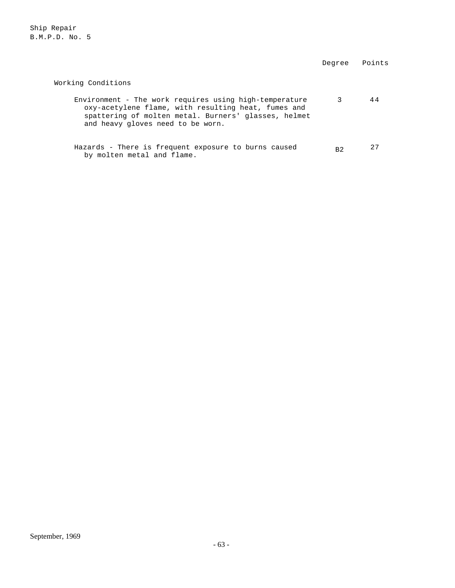|                                                                                                                                                                                                            | Degree         | Points |
|------------------------------------------------------------------------------------------------------------------------------------------------------------------------------------------------------------|----------------|--------|
| Working Conditions                                                                                                                                                                                         |                |        |
| Environment - The work requires using high-temperature<br>oxy-acetylene flame, with resulting heat, fumes and<br>spattering of molten metal. Burners' glasses, helmet<br>and heavy gloves need to be worn. | 3              | 44     |
| Hazards - There is frequent exposure to burns caused<br>by molten metal and flame.                                                                                                                         | B <sub>2</sub> | 27     |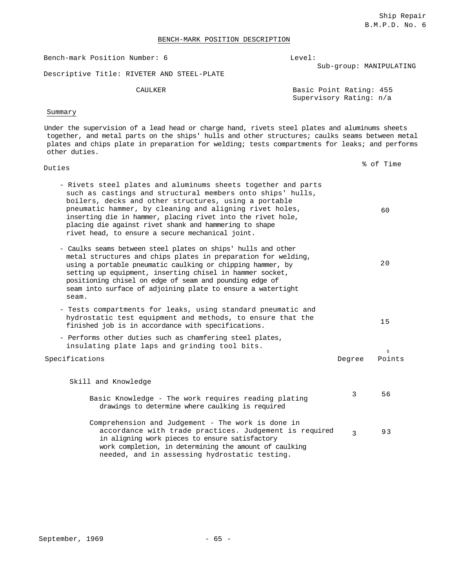| Bench-mark Position Number: 6                                                                                                                                                                                                                                                                                                                                                                                                | Level:                                             |               |                         |
|------------------------------------------------------------------------------------------------------------------------------------------------------------------------------------------------------------------------------------------------------------------------------------------------------------------------------------------------------------------------------------------------------------------------------|----------------------------------------------------|---------------|-------------------------|
| Descriptive Title: RIVETER AND STEEL-PLATE                                                                                                                                                                                                                                                                                                                                                                                   |                                                    |               | Sub-group: MANIPULATING |
|                                                                                                                                                                                                                                                                                                                                                                                                                              |                                                    |               |                         |
| <b>CAULKER</b>                                                                                                                                                                                                                                                                                                                                                                                                               | Basic Point Rating: 455<br>Supervisory Rating: n/a |               |                         |
| Summary                                                                                                                                                                                                                                                                                                                                                                                                                      |                                                    |               |                         |
| Under the supervision of a lead head or charge hand, rivets steel plates and aluminums sheets<br>together, and metal parts on the ships' hulls and other structures; caulks seams between metal<br>plates and chips plate in preparation for welding; tests compartments for leaks; and performs<br>other duties.                                                                                                            |                                                    |               |                         |
| Duties                                                                                                                                                                                                                                                                                                                                                                                                                       |                                                    |               | % of Time               |
| - Rivets steel plates and aluminums sheets together and parts<br>such as castings and structural members onto ships' hulls,<br>boilers, decks and other structures, using a portable<br>pneumatic hammer, by cleaning and aligning rivet holes,<br>inserting die in hammer, placing rivet into the rivet hole,<br>placing die against rivet shank and hammering to shape<br>rivet head, to ensure a secure mechanical joint. |                                                    |               | 60                      |
| - Caulks seams between steel plates on ships' hulls and other<br>metal structures and chips plates in preparation for welding,<br>using a portable pneumatic caulking or chipping hammer, by<br>setting up equipment, inserting chisel in hammer socket,<br>positioning chisel on edge of seam and pounding edge of<br>seam into surface of adjoining plate to ensure a watertight<br>seam.                                  |                                                    |               | 20                      |
| - Tests compartments for leaks, using standard pneumatic and<br>hydrostatic test equipment and methods, to ensure that the<br>finished job is in accordance with specifications.                                                                                                                                                                                                                                             |                                                    |               | 15                      |
| - Performs other duties such as chamfering steel plates,<br>insulating plate laps and grinding tool bits.                                                                                                                                                                                                                                                                                                                    |                                                    |               |                         |
| Specifications                                                                                                                                                                                                                                                                                                                                                                                                               |                                                    | Degree        | 5<br>Points             |
| Skill and Knowledge                                                                                                                                                                                                                                                                                                                                                                                                          |                                                    |               |                         |
| Basic Knowledge - The work requires reading plating<br>drawings to determine where caulking is required                                                                                                                                                                                                                                                                                                                      |                                                    | 3             | 56                      |
| Comprehension and Judgement - The work is done in<br>accordance with trade practices. Judgement is required<br>in aligning work pieces to ensure satisfactory<br>work completion, in determining the amount of caulking<br>needed, and in assessing hydrostatic testing.                                                                                                                                                     |                                                    | $\mathcal{E}$ | 93                      |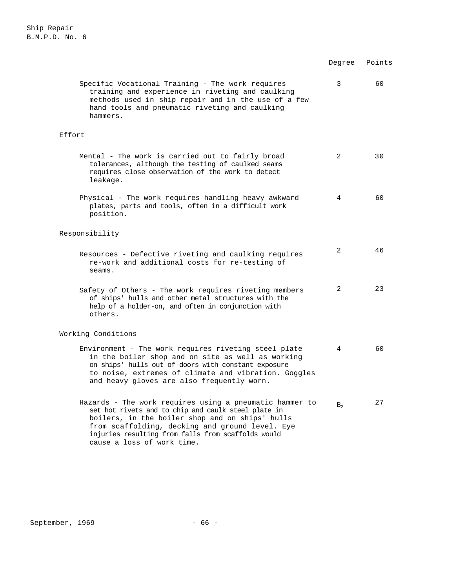|                                                                                                                                                                                                                                                                                                          | Degree         | Points |
|----------------------------------------------------------------------------------------------------------------------------------------------------------------------------------------------------------------------------------------------------------------------------------------------------------|----------------|--------|
| Specific Vocational Training - The work requires<br>training and experience in riveting and caulking<br>methods used in ship repair and in the use of a few<br>hand tools and pneumatic riveting and caulking<br>hammers.                                                                                | 3              | 60     |
| Effort                                                                                                                                                                                                                                                                                                   |                |        |
| Mental - The work is carried out to fairly broad<br>tolerances, although the testing of caulked seams<br>requires close observation of the work to detect<br>leakage.                                                                                                                                    | 2              | 30     |
| Physical - The work requires handling heavy awkward<br>plates, parts and tools, often in a difficult work<br>position.                                                                                                                                                                                   | 4              | 60     |
| Responsibility                                                                                                                                                                                                                                                                                           |                |        |
| Resources - Defective riveting and caulking requires<br>re-work and additional costs for re-testing of<br>seams.                                                                                                                                                                                         | 2              | 46     |
| Safety of Others - The work requires riveting members<br>of ships' hulls and other metal structures with the<br>help of a holder-on, and often in conjunction with<br>others.                                                                                                                            | 2              | 23     |
| Working Conditions                                                                                                                                                                                                                                                                                       |                |        |
| Environment - The work requires riveting steel plate<br>in the boiler shop and on site as well as working<br>on ships' hulls out of doors with constant exposure<br>to noise, extremes of climate and vibration. Goggles<br>and heavy gloves are also frequently worn.                                   | 4              | 60     |
| Hazards - The work requires using a pneumatic hammer to<br>set hot rivets and to chip and caulk steel plate in<br>boilers, in the boiler shop and on ships' hulls<br>from scaffolding, decking and ground level. Eye<br>injuries resulting from falls from scaffolds would<br>cause a loss of work time. | B <sub>2</sub> | 27     |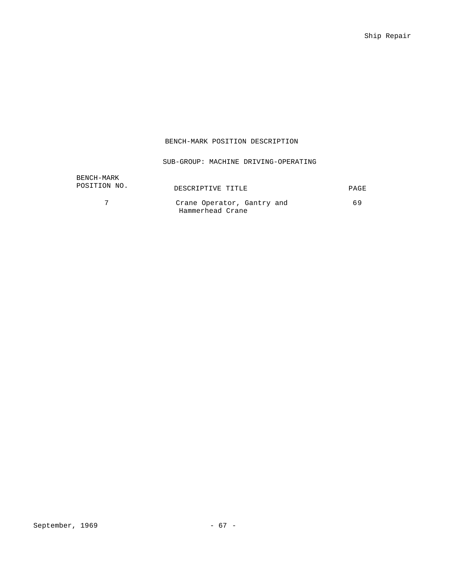SUB-GROUP: MACHINE DRIVING-OPERATING

# BENCH-MARK

| POSITION NO. | DESCRIPTIVE TITLE                              | <b>PAGE</b> |
|--------------|------------------------------------------------|-------------|
|              | Crane Operator, Gantry and<br>Hammerhead Crane | 69          |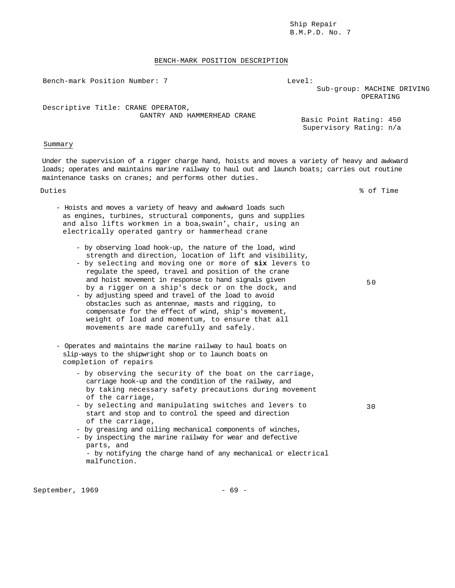Ship Repair B.M.P.D. No. 7

## BENCH-MARK POSITION DESCRIPTION

| Bench-mark Position Number: 7                                                                                                                                                                                                                                                                                                                                                                                                                                                                                                                                                                                                                                                                                                                                                                                                                                                                    | Level:<br>Sub-group: MACHINE DRIVING<br>OPERATING  |
|--------------------------------------------------------------------------------------------------------------------------------------------------------------------------------------------------------------------------------------------------------------------------------------------------------------------------------------------------------------------------------------------------------------------------------------------------------------------------------------------------------------------------------------------------------------------------------------------------------------------------------------------------------------------------------------------------------------------------------------------------------------------------------------------------------------------------------------------------------------------------------------------------|----------------------------------------------------|
| Descriptive Title: CRANE OPERATOR,<br>GANTRY AND HAMMERHEAD CRANE                                                                                                                                                                                                                                                                                                                                                                                                                                                                                                                                                                                                                                                                                                                                                                                                                                | Basic Point Rating: 450<br>Supervisory Rating: n/a |
| Summary                                                                                                                                                                                                                                                                                                                                                                                                                                                                                                                                                                                                                                                                                                                                                                                                                                                                                          |                                                    |
| Under the supervision of a rigger charge hand, hoists and moves a variety of heavy and awkward<br>loads; operates and maintains marine railway to haul out and launch boats; carries out routine<br>maintenance tasks on cranes; and performs other duties.                                                                                                                                                                                                                                                                                                                                                                                                                                                                                                                                                                                                                                      |                                                    |
| Duties                                                                                                                                                                                                                                                                                                                                                                                                                                                                                                                                                                                                                                                                                                                                                                                                                                                                                           | % of Time                                          |
| - Hoists and moves a variety of heavy and awkward loads such<br>as engines, turbines, structural components, guns and supplies<br>and also lifts workmen in a boa <sub>t</sub> swain' <sub>s</sub> chair, using an<br>electrically operated gantry or hammerhead crane<br>- by observing load hook-up, the nature of the load, wind<br>strength and direction, location of lift and visibility,<br>- by selecting and moving one or more of six levers to<br>regulate the speed, travel and position of the crane<br>and hoist movement in response to hand signals given<br>by a rigger on a ship's deck or on the dock, and<br>- by adjusting speed and travel of the load to avoid<br>obstacles such as antennae, masts and rigging, to<br>compensate for the effect of wind, ship's movement,<br>weight of load and momentum, to ensure that all<br>movements are made carefully and safely. | 50                                                 |
| - Operates and maintains the marine railway to haul boats on<br>slip-ways to the shipwright shop or to launch boats on<br>completion of repairs<br>- by observing the security of the boat on the carriage,<br>carriage hook-up and the condition of the railway, and<br>by taking necessary safety precautions during movement<br>of the carriage,<br>- by selecting and manipulating switches and levers to<br>start and stop and to control the speed and direction<br>of the carriage,<br>- by greasing and oiling mechanical components of winches,<br>- by inspecting the marine railway for wear and defective<br>parts, and<br>- by notifying the charge hand of any mechanical or electrical<br>malfunction.                                                                                                                                                                            | 30                                                 |

September, 1969 - 69 -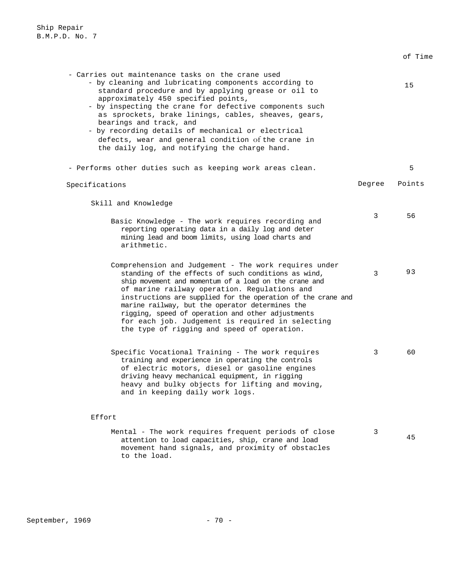|                     |                                                                                                                                                                                                                                                                                                                                                                                                                                                                                                  |        | of Time |
|---------------------|--------------------------------------------------------------------------------------------------------------------------------------------------------------------------------------------------------------------------------------------------------------------------------------------------------------------------------------------------------------------------------------------------------------------------------------------------------------------------------------------------|--------|---------|
|                     | - Carries out maintenance tasks on the crane used<br>- by cleaning and lubricating components according to<br>standard procedure and by applying grease or oil to<br>approximately 450 specified points,<br>- by inspecting the crane for defective components such<br>as sprockets, brake linings, cables, sheaves, gears,<br>bearings and track, and<br>- by recording details of mechanical or electrical<br>defects, wear and general condition of the crane in                              |        | 15      |
|                     | the daily log, and notifying the charge hand.                                                                                                                                                                                                                                                                                                                                                                                                                                                    |        |         |
|                     | - Performs other duties such as keeping work areas clean.                                                                                                                                                                                                                                                                                                                                                                                                                                        |        | 5       |
| Specifications      |                                                                                                                                                                                                                                                                                                                                                                                                                                                                                                  | Degree | Points  |
| Skill and Knowledge |                                                                                                                                                                                                                                                                                                                                                                                                                                                                                                  |        |         |
|                     | Basic Knowledge - The work requires recording and<br>reporting operating data in a daily log and deter<br>mining lead and boom limits, using load charts and<br>arithmetic.                                                                                                                                                                                                                                                                                                                      | 3      | 56      |
|                     | Comprehension and Judgement - The work requires under<br>standing of the effects of such conditions as wind,<br>ship movement and momentum of a load on the crane and<br>of marine railway operation. Regulations and<br>instructions are supplied for the operation of the crane and<br>marine railway, but the operator determines the<br>rigging, speed of operation and other adjustments<br>for each job. Judgement is required in selecting<br>the type of rigging and speed of operation. | 3      | 93      |
|                     | Specific Vocational Training - The work requires<br>training and experience in operating the controls<br>of electric motors, diesel or gasoline engines<br>driving heavy mechanical equipment, in rigging<br>heavy and bulky objects for lifting and moving,<br>and in keeping daily work logs.                                                                                                                                                                                                  | 3      | 60      |
| Effort              |                                                                                                                                                                                                                                                                                                                                                                                                                                                                                                  |        |         |
|                     | Mental - The work requires frequent periods of close                                                                                                                                                                                                                                                                                                                                                                                                                                             | 3      |         |

attention to load capacities, ship, crane and load movement hand signals, and proximity of obstacles to the load. 45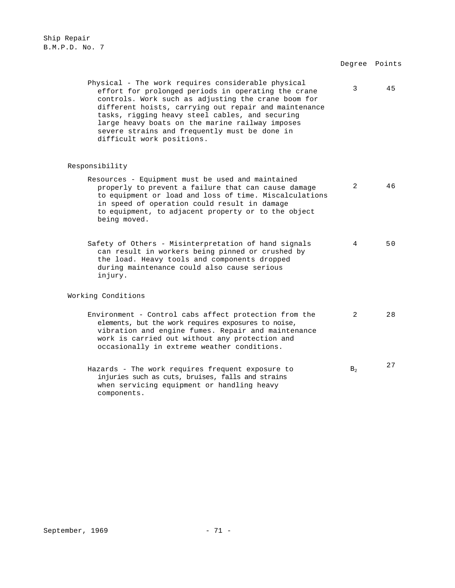Degree Points

| Physical - The work requires considerable physical<br>effort for prolonged periods in operating the crane<br>controls. Work such as adjusting the crane boom for<br>different hoists, carrying out repair and maintenance<br>tasks, rigging heavy steel cables, and securing<br>large heavy boats on the marine railway imposes<br>severe strains and frequently must be done in<br>difficult work positions. | 3              | 45 |
|---------------------------------------------------------------------------------------------------------------------------------------------------------------------------------------------------------------------------------------------------------------------------------------------------------------------------------------------------------------------------------------------------------------|----------------|----|
| Responsibility                                                                                                                                                                                                                                                                                                                                                                                                |                |    |
| Resources - Equipment must be used and maintained<br>properly to prevent a failure that can cause damage<br>to equipment or load and loss of time. Miscalculations<br>in speed of operation could result in damage<br>to equipment, to adjacent property or to the object<br>being moved.                                                                                                                     | 2              | 46 |
| Safety of Others - Misinterpretation of hand signals<br>can result in workers being pinned or crushed by<br>the load. Heavy tools and components dropped<br>during maintenance could also cause serious<br>injury.                                                                                                                                                                                            | 4              | 50 |
| Working Conditions                                                                                                                                                                                                                                                                                                                                                                                            |                |    |
| Environment - Control cabs affect protection from the<br>elements, but the work requires exposures to noise,<br>vibration and engine fumes. Repair and maintenance<br>work is carried out without any protection and<br>occasionally in extreme weather conditions.                                                                                                                                           | 2              | 28 |
| Hazards - The work requires frequent exposure to<br>injuries such as cuts, bruises, falls and strains<br>when servicing equipment or handling heavy<br>components.                                                                                                                                                                                                                                            | B <sub>2</sub> | 27 |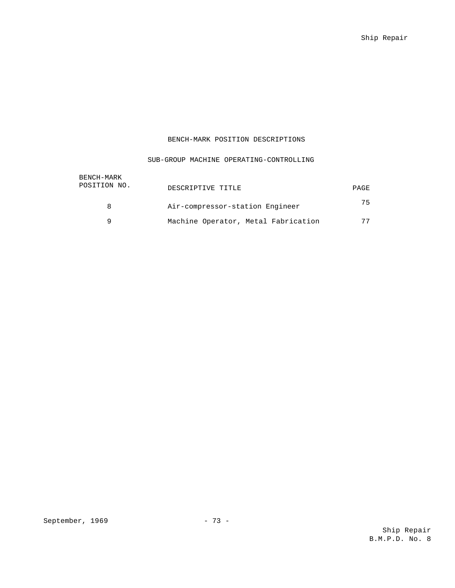## SUB-GROUP MACHINE OPERATING-CONTROLLING

| BENCH-MARK<br>POSITION NO. | DESCRIPTIVE TITLE                   | PAGE |
|----------------------------|-------------------------------------|------|
| R                          | Air-compressor-station Engineer     | 75   |
| a                          | Machine Operator, Metal Fabrication |      |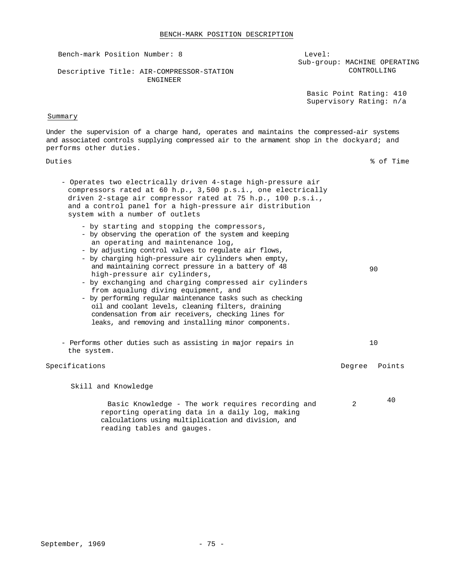| Bench-mark Position Number: 8                                                                                                                                                                                                                                                                                                                                                                                                                                                                                                                                                                                                                                                         | Level:<br>Sub-group: MACHINE OPERATING             |             |
|---------------------------------------------------------------------------------------------------------------------------------------------------------------------------------------------------------------------------------------------------------------------------------------------------------------------------------------------------------------------------------------------------------------------------------------------------------------------------------------------------------------------------------------------------------------------------------------------------------------------------------------------------------------------------------------|----------------------------------------------------|-------------|
| Descriptive Title: AIR-COMPRESSOR-STATION<br>ENGINEER                                                                                                                                                                                                                                                                                                                                                                                                                                                                                                                                                                                                                                 |                                                    | CONTROLLING |
|                                                                                                                                                                                                                                                                                                                                                                                                                                                                                                                                                                                                                                                                                       | Basic Point Rating: 410<br>Supervisory Rating: n/a |             |
| Summary                                                                                                                                                                                                                                                                                                                                                                                                                                                                                                                                                                                                                                                                               |                                                    |             |
| Under the supervision of a charge hand, operates and maintains the compressed-air systems<br>and associated controls supplying compressed air to the armament shop in the dockyard; and<br>performs other duties.                                                                                                                                                                                                                                                                                                                                                                                                                                                                     |                                                    |             |
| Duties                                                                                                                                                                                                                                                                                                                                                                                                                                                                                                                                                                                                                                                                                |                                                    | % of Time   |
| - Operates two electrically driven 4-stage high-pressure air<br>compressors rated at 60 h.p., 3,500 p.s.i., one electrically<br>driven 2-stage air compressor rated at 75 h.p., 100 p.s.i.,<br>and a control panel for a high-pressure air distribution<br>system with a number of outlets                                                                                                                                                                                                                                                                                                                                                                                            |                                                    |             |
| - by starting and stopping the compressors,<br>- by observing the operation of the system and keeping<br>an operating and maintenance log,<br>- by adjusting control valves to regulate air flows,<br>- by charging high-pressure air cylinders when empty,<br>and maintaining correct pressure in a battery of 48<br>high-pressure air cylinders,<br>- by exchanging and charging compressed air cylinders<br>from aqualung diving equipment, and<br>- by performing regular maintenance tasks such as checking<br>oil and coolant levels, cleaning filters, draining<br>condensation from air receivers, checking lines for<br>leaks, and removing and installing minor components. |                                                    | 90          |
| - Performs other duties such as assisting in major repairs in<br>the system.                                                                                                                                                                                                                                                                                                                                                                                                                                                                                                                                                                                                          |                                                    | 10          |
| Specifications                                                                                                                                                                                                                                                                                                                                                                                                                                                                                                                                                                                                                                                                        | Degree                                             | Points      |
| Skill and Knowledge                                                                                                                                                                                                                                                                                                                                                                                                                                                                                                                                                                                                                                                                   |                                                    |             |
| Basic Knowledge - The work requires recording and<br>reporting operating data in a daily log, making<br>calculations using multiplication and division, and<br>reading tables and gauges.                                                                                                                                                                                                                                                                                                                                                                                                                                                                                             | 2                                                  | 40          |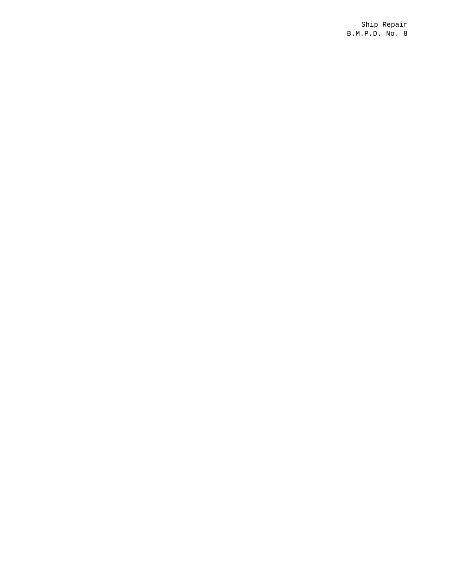Ship Repair B.M.P.D. No. 8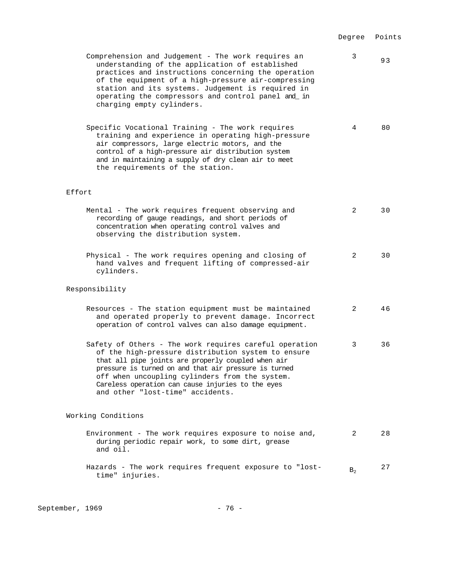|                                                                                                                                                                                                                                                                                                                                                                        | Degree  | Points |
|------------------------------------------------------------------------------------------------------------------------------------------------------------------------------------------------------------------------------------------------------------------------------------------------------------------------------------------------------------------------|---------|--------|
| Comprehension and Judgement - The work requires an<br>understanding of the application of established<br>practices and instructions concerning the operation<br>of the equipment of a high-pressure air-compressing<br>station and its systems. Judgement is required in<br>operating the compressors and control panel and in<br>charging empty cylinders.            | 3       | 93     |
| Specific Vocational Training - The work requires<br>training and experience in operating high-pressure<br>air compressors, large electric motors, and the<br>control of a high-pressure air distribution system<br>and in maintaining a supply of dry clean air to meet<br>the requirements of the station.                                                            | 4       | 80     |
| Effort                                                                                                                                                                                                                                                                                                                                                                 |         |        |
| Mental - The work requires frequent observing and<br>recording of gauge readings, and short periods of<br>concentration when operating control valves and<br>observing the distribution system.                                                                                                                                                                        | 2       | 30     |
| Physical - The work requires opening and closing of<br>hand valves and frequent lifting of compressed-air<br>cylinders.                                                                                                                                                                                                                                                | 2       | 30     |
| Responsibility                                                                                                                                                                                                                                                                                                                                                         |         |        |
| Resources - The station equipment must be maintained<br>and operated properly to prevent damage. Incorrect<br>operation of control valves can also damage equipment.                                                                                                                                                                                                   | 2       | 46     |
| Safety of Others - The work requires careful operation<br>of the high-pressure distribution system to ensure<br>that all pipe joints are properly coupled when air<br>pressure is turned on and that air pressure is turned<br>off when uncoupling cylinders from the system.<br>Careless operation can cause injuries to the eyes<br>and other "lost-time" accidents. | 3       | 36     |
| Working Conditions                                                                                                                                                                                                                                                                                                                                                     |         |        |
| Environment - The work requires exposure to noise and,<br>during periodic repair work, to some dirt, grease<br>and oil.                                                                                                                                                                                                                                                | 2       | 28     |
| Hazards - The work requires frequent exposure to "lost-<br>time" injuries.                                                                                                                                                                                                                                                                                             | $B_{2}$ | 27     |

September, 1969 - 76 -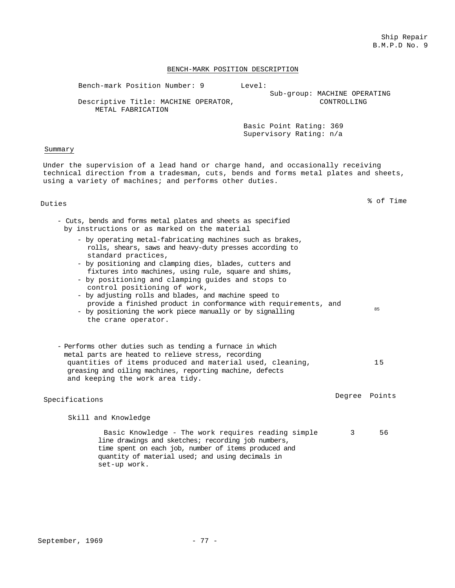| Bench-mark Position Number: 9                             | $I$ <sub>e</sub> $v$ e $\overline{I}$ :<br>Sub-group: MACHINE OPERATING |
|-----------------------------------------------------------|-------------------------------------------------------------------------|
| Descriptive Title: MACHINE OPERATOR,<br>METAL FABRICATION | CONTROLLING                                                             |
|                                                           | Basic Point Rating: 369<br>Supervisory Rating: n/a                      |

#### Summary

Under the supervision of a lead hand or charge hand, and occasionally receiving technical direction from a tradesman, cuts, bends and forms metal plates and sheets, using a variety of machines; and performs other duties.

Duties % of Time

- Cuts, bends and forms metal plates and sheets as specified by instructions or as marked on the material
	- by operating metal-fabricating machines such as brakes, rolls, shears, saws and heavy-duty presses according to standard practices,
	- by positioning and clamping dies, blades, cutters and fixtures into machines, using rule, square and shims,
	- by positioning and clamping guides and stops to control positioning of work,
	- by adjusting rolls and blades, and machine speed to provide a finished product in conformance with requirements, and 85
	- by positioning the work piece manually or by signalling the crane operator.
- Performs other duties such as tending a furnace in which metal parts are heated to relieve stress, recording quantities of items produced and material used, cleaning, greasing and oiling machines, reporting machine, defects and keeping the work area tidy. 15

Specifications and the Specifications of the Specifications of the Degree Points of the Degree  $\mathcal{D}$ Skill and Knowledge Basic Knowledge - The work requires reading simple line drawings and sketches; recording job numbers, time spent on each job, number of items produced and quantity of material used; and using decimals in set-up work. 3 56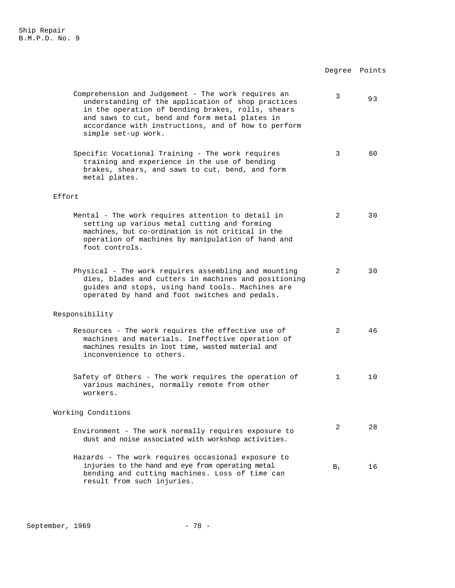|                                                                                                                                                                                                                                                                                               |              | Degree Points |
|-----------------------------------------------------------------------------------------------------------------------------------------------------------------------------------------------------------------------------------------------------------------------------------------------|--------------|---------------|
| Comprehension and Judgement - The work requires an<br>understanding of the application of shop practices<br>in the operation of bending brakes, rolls, shears<br>and saws to cut, bend and form metal plates in<br>accordance with instructions, and of how to perform<br>simple set-up work. | 3            | 93            |
| Specific Vocational Training - The work requires<br>training and experience in the use of bending<br>brakes, shears, and saws to cut, bend, and form<br>metal plates.                                                                                                                         | 3            | 60            |
| Effort                                                                                                                                                                                                                                                                                        |              |               |
| Mental - The work requires attention to detail in<br>setting up various metal cutting and forming<br>machines, but co-ordination is not critical in the<br>operation of machines by manipulation of hand and<br>foot controls.                                                                | 2            | 30            |
| Physical - The work requires assembling and mounting<br>dies, blades and cutters in machines and positioning<br>guides and stops, using hand tools. Machines are<br>operated by hand and foot switches and pedals.                                                                            | 2            | 30            |
| Responsibility                                                                                                                                                                                                                                                                                |              |               |
| Resources - The work requires the effective use of<br>machines and materials. Ineffective operation of<br>machines results in lost time, wasted material and<br>inconvenience to others.                                                                                                      | 2            | 46            |
| Safety of Others - The work requires the operation of<br>various machines, normally remote from other<br>workers.                                                                                                                                                                             | $\mathbf{1}$ | 10            |
| Working Conditions                                                                                                                                                                                                                                                                            |              |               |
| Environment - The work normally requires exposure to<br>dust and noise associated with workshop activities.                                                                                                                                                                                   | 2            | 28            |
| Hazards - The work requires occasional exposure to<br>injuries to the hand and eye from operating metal<br>bending and cutting machines. Loss of time can<br>result from such injuries.                                                                                                       | $B_1$        | 16            |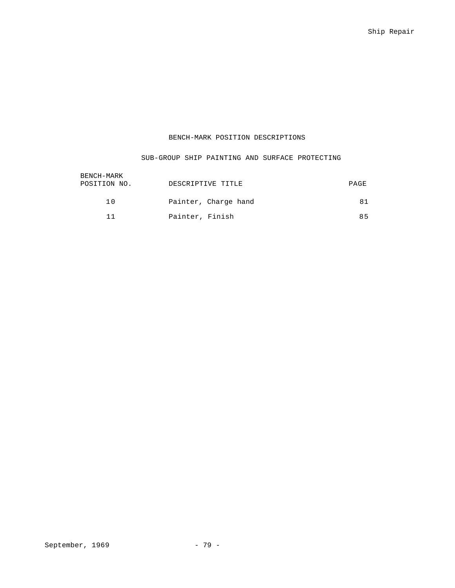Ship Repair

## BENCH-MARK POSITION DESCRIPTIONS

## SUB-GROUP SHIP PAINTING AND SURFACE PROTECTING

| BENCH-MARK<br>POSITION NO. | DESCRIPTIVE TITLE    | PAGE |
|----------------------------|----------------------|------|
| 10                         | Painter, Charge hand | 81   |
| 11                         | Painter, Finish      | 85   |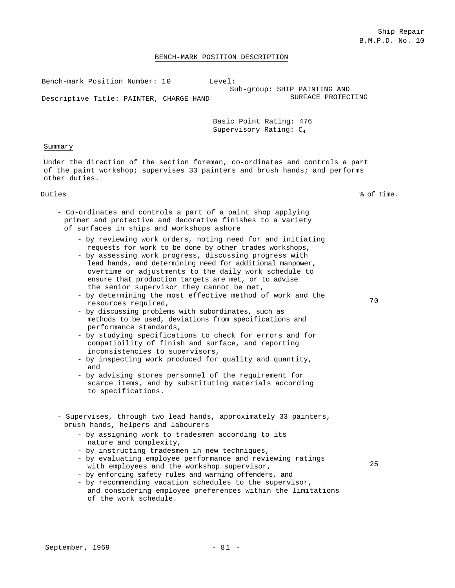Bench-mark Position Number: 10 Descriptive Title: PAINTER, CHARGE HAND Level: Sub-group: SHIP PAINTING AND SURFACE PROTECTING

> Basic Point Rating: 476 Supervisory Rating: C4

#### Summary

Under the direction of the section foreman, co-ordinates and controls a part of the paint workshop; supervises 33 painters and brush hands; and performs other duties.

Duties % of Time.

70

- Co-ordinates and controls a part of a paint shop applying primer and protective and decorative finishes to a variety of surfaces in ships and workshops ashore
	- by reviewing work orders, noting need for and initiating requests for work to be done by other trades workshops,
	- by assessing work progress, discussing progress with lead hands, and determining need for additional manpower, overtime or adjustments to the daily work schedule to ensure that production targets are met, or to advise the senior supervisor they cannot be met,
	- by determining the most effective method of work and the resources required,
	- by discussing problems with subordinates, such as methods to be used, deviations from specifications and performance standards,
	- by studying specifications to check for errors and for compatibility of finish and surface, and reporting inconsistencies to supervisors,
	- by inspecting work produced for quality and quantity, and
	- by advising stores personnel of the requirement for scarce items, and by substituting materials according to specifications.
- Supervises, through two lead hands, approximately 33 painters, brush hands, helpers and labourers
	- by assigning work to tradesmen according to its nature and complexity,
	- by instructing tradesmen in new techniques,
	- by evaluating employee performance and reviewing ratings with employees and the workshop supervisor,

25

- by enforcing safety rules and warning offenders, and
- by recommending vacation schedules to the supervisor, and considering employee preferences within the limitations of the work schedule.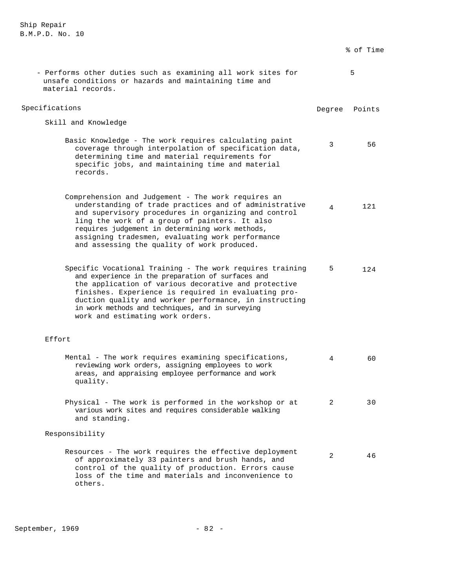|                                                                                                                                                                                                                                                                                                                                                                                 |                | % of Time |
|---------------------------------------------------------------------------------------------------------------------------------------------------------------------------------------------------------------------------------------------------------------------------------------------------------------------------------------------------------------------------------|----------------|-----------|
| - Performs other duties such as examining all work sites for<br>unsafe conditions or hazards and maintaining time and<br>material records.                                                                                                                                                                                                                                      |                | 5         |
| Specifications                                                                                                                                                                                                                                                                                                                                                                  | Degree         | Points    |
| Skill and Knowledge                                                                                                                                                                                                                                                                                                                                                             |                |           |
| Basic Knowledge - The work requires calculating paint<br>coverage through interpolation of specification data,<br>determining time and material requirements for<br>specific jobs, and maintaining time and material<br>records.                                                                                                                                                | 3              | 56        |
| Comprehension and Judgement - The work requires an<br>understanding of trade practices and of administrative<br>and supervisory procedures in organizing and control<br>ling the work of a group of painters. It also<br>requires judgement in determining work methods,<br>assigning tradesmen, evaluating work performance<br>and assessing the quality of work produced.     | 4              | 121       |
| Specific Vocational Training - The work requires training<br>and experience in the preparation of surfaces and<br>the application of various decorative and protective<br>finishes. Experience is required in evaluating pro-<br>duction quality and worker performance, in instructing<br>in work methods and techniques, and in surveying<br>work and estimating work orders. | 5              | 124       |
| Effort                                                                                                                                                                                                                                                                                                                                                                          |                |           |
| Mental - The work requires examining specifications,<br>reviewing work orders, assigning employees to work<br>areas, and appraising employee performance and work<br>quality.                                                                                                                                                                                                   | 4              | 60        |
| Physical - The work is performed in the workshop or at<br>various work sites and requires considerable walking<br>and standing.                                                                                                                                                                                                                                                 | 2              | 30        |
| Responsibility                                                                                                                                                                                                                                                                                                                                                                  |                |           |
| Resources - The work requires the effective deployment<br>of approximately 33 painters and brush hands, and<br>control of the quality of production. Errors cause<br>loss of the time and materials and inconvenience to<br>others.                                                                                                                                             | $\overline{2}$ | 46        |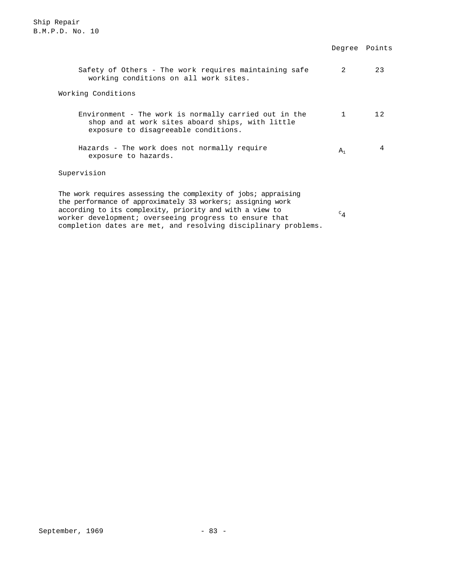Degree Points Safety of Others - The work requires maintaining safe  $\hspace{1.5cm} 2 \hspace{1.1cm} 23$ working conditions on all work sites. Working Conditions Environment - The work is normally carried out in the shop and at work sites aboard ships, with little exposure to disagreeable conditions. 1 12 Hazards - The work does not normally require exposure to hazards.  $A_1$  4 Supervision The work requires assessing the complexity of jobs; appraising the performance of approximately 33 workers; assigning work according to its complexity, priority and with a view to worker development; overseeing progress to ensure that  ${}^c4$ 

completion dates are met, and resolving disciplinary problems.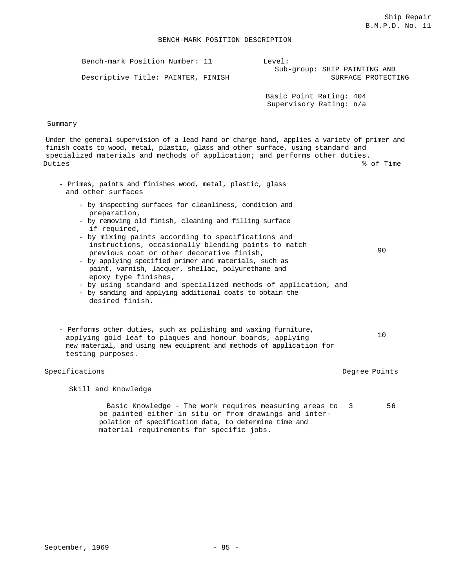Bench-mark Position Number: 11 Descriptive Title: PAINTER, FINISH Level: Sub-group: SHIP PAINTING AND SURFACE PROTECTING Basic Point Rating: 404 Supervisory Rating: n/a Summary Under the general supervision of a lead hand or charge hand, applies a variety of primer and finish coats to wood, metal, plastic, glass and other surface, using standard and specialized materials and methods of application; and performs other duties.<br>Buties % of Time - Primes, paints and finishes wood, metal, plastic, glass and other surfaces - by inspecting surfaces for cleanliness, condition and preparation, - by removing old finish, cleaning and filling surface if required, - by mixing paints according to specifications and instructions, occasionally blending paints to match previous coat or other decorative finish, - by applying specified primer and materials, such as paint, varnish, lacquer, shellac, polyurethane and epoxy type finishes, - by using standard and specialized methods of application, and - by sanding and applying additional coats to obtain the desired finish. 90 - Performs other duties, such as polishing and waxing furniture, applying gold leaf to plaques and honour boards, applying new material, and using new equipment and methods of application for testing purposes. 10 Specifications **Degree Points** Degree Points Skill and Knowledge Basic Knowledge - The work requires measuring areas to 3 56 be painted either in situ or from drawings and interpolation of specification data, to determine time and material requirements for specific jobs.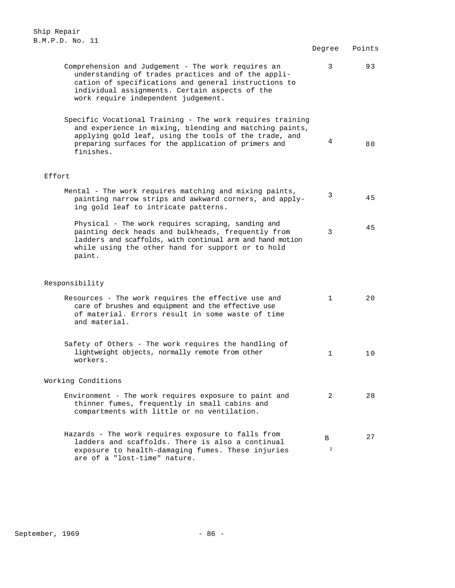|                                                                                                                                                                                                                                                            | Degree              | Points |
|------------------------------------------------------------------------------------------------------------------------------------------------------------------------------------------------------------------------------------------------------------|---------------------|--------|
| Comprehension and Judgement - The work requires an<br>understanding of trades practices and of the appli-<br>cation of specifications and general instructions to<br>individual assignments. Certain aspects of the<br>work require independent judgement. | 3                   | 93     |
| Specific Vocational Training - The work requires training<br>and experience in mixing, blending and matching paints,<br>applying gold leaf, using the tools of the trade, and<br>preparing surfaces for the application of primers and<br>finishes.        | 4                   | 80     |
| Effort                                                                                                                                                                                                                                                     |                     |        |
| Mental - The work requires matching and mixing paints,<br>painting narrow strips and awkward corners, and apply-<br>ing gold leaf to intricate patterns.                                                                                                   | 3                   | 45     |
| Physical - The work requires scraping, sanding and<br>painting deck heads and bulkheads, frequently from<br>ladders and scaffolds, with continual arm and hand motion<br>while using the other hand for support or to hold<br>paint.                       | 3                   | 45     |
| Responsibility                                                                                                                                                                                                                                             |                     |        |
| Resources - The work requires the effective use and<br>care of brushes and equipment and the effective use<br>of material. Errors result in some waste of time<br>and material.                                                                            | $\mathbf{1}$        | 20     |
| Safety of Others - The work requires the handling of<br>lightweight objects, normally remote from other<br>workers.                                                                                                                                        | $\mathbf{1}$        | 10     |
| Working Conditions                                                                                                                                                                                                                                         |                     |        |
| Environment - The work requires exposure to paint and<br>thinner fumes, frequently in small cabins and<br>compartments with little or no ventilation.                                                                                                      | 2                   | 28     |
| Hazards - The work requires exposure to falls from<br>ladders and scaffolds. There is also a continual<br>exposure to health-damaging fumes. These injuries<br>are of a "lost-time" nature.                                                                | B<br>$\overline{2}$ | 27     |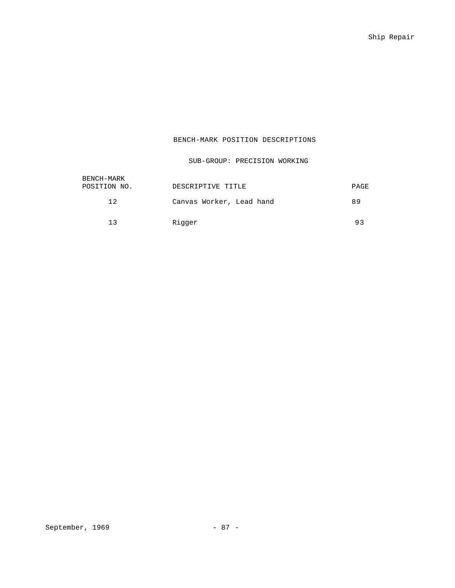## SUB-GROUP: PRECISION WORKING

| BENCH-MARK<br>POSITION NO. | DESCRIPTIVE TITLE        | PAGE |
|----------------------------|--------------------------|------|
| 12                         | Canvas Worker, Lead hand | 89   |
| า ว                        | Rigger                   |      |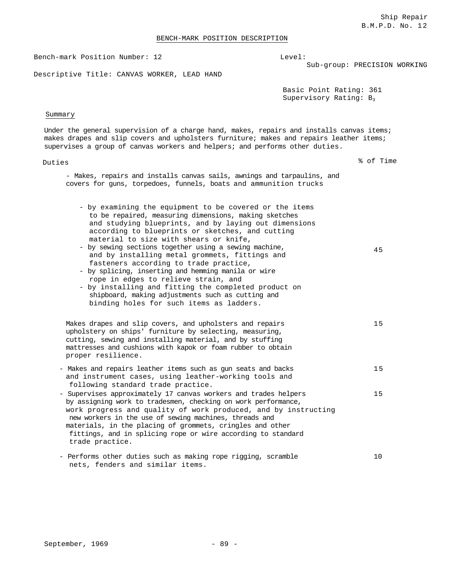| Bench-mark Position Number: 12                                                                                                                                                                                                                                                                                                                                                                                                                                                                                                                                                                                                                                                       | Level:                                               | Sub-group: PRECISION WORKING |
|--------------------------------------------------------------------------------------------------------------------------------------------------------------------------------------------------------------------------------------------------------------------------------------------------------------------------------------------------------------------------------------------------------------------------------------------------------------------------------------------------------------------------------------------------------------------------------------------------------------------------------------------------------------------------------------|------------------------------------------------------|------------------------------|
| Descriptive Title: CANVAS WORKER, LEAD HAND                                                                                                                                                                                                                                                                                                                                                                                                                                                                                                                                                                                                                                          |                                                      |                              |
|                                                                                                                                                                                                                                                                                                                                                                                                                                                                                                                                                                                                                                                                                      | Basic Point Rating: 361<br>Supervisory Rating: $B_3$ |                              |
| Summary                                                                                                                                                                                                                                                                                                                                                                                                                                                                                                                                                                                                                                                                              |                                                      |                              |
| Under the general supervision of a charge hand, makes, repairs and installs canvas items;<br>makes drapes and slip covers and upholsters furniture; makes and repairs leather items;<br>supervises a group of canvas workers and helpers; and performs other duties.                                                                                                                                                                                                                                                                                                                                                                                                                 |                                                      |                              |
| Duties                                                                                                                                                                                                                                                                                                                                                                                                                                                                                                                                                                                                                                                                               |                                                      | % of Time                    |
| - Makes, repairs and installs canvas sails, awnings and tarpaulins, and<br>covers for guns, torpedoes, funnels, boats and ammunition trucks                                                                                                                                                                                                                                                                                                                                                                                                                                                                                                                                          |                                                      |                              |
| - by examining the equipment to be covered or the items<br>to be repaired, measuring dimensions, making sketches<br>and studying blueprints, and by laying out dimensions<br>according to blueprints or sketches, and cutting<br>material to size with shears or knife,<br>- by sewing sections together using a sewing machine,<br>and by installing metal grommets, fittings and<br>fasteners according to trade practice,<br>- by splicing, inserting and hemming manila or wire<br>rope in edges to relieve strain, and<br>- by installing and fitting the completed product on<br>shipboard, making adjustments such as cutting and<br>binding holes for such items as ladders. |                                                      | 45                           |
| Makes drapes and slip covers, and upholsters and repairs<br>upholstery on ships' furniture by selecting, measuring,<br>cutting, sewing and installing material, and by stuffing<br>mattresses and cushions with kapok or foam rubber to obtain<br>proper resilience.                                                                                                                                                                                                                                                                                                                                                                                                                 |                                                      | 15                           |
| - Makes and repairs leather items such as gun seats and backs<br>and instrument cases, using leather-working tools and<br>following standard trade practice.                                                                                                                                                                                                                                                                                                                                                                                                                                                                                                                         |                                                      | 15                           |
| - Supervises approximately 17 canvas workers and trades helpers<br>by assigning work to tradesmen, checking on work performance,<br>work progress and quality of work produced, and by instructing<br>new workers in the use of sewing machines, threads and<br>materials, in the placing of grommets, cringles and other<br>fittings, and in splicing rope or wire according to standard<br>trade practice.                                                                                                                                                                                                                                                                         |                                                      | 15                           |
| - Performs other duties such as making rope rigging, scramble<br>nets, fenders and similar items.                                                                                                                                                                                                                                                                                                                                                                                                                                                                                                                                                                                    |                                                      | 10                           |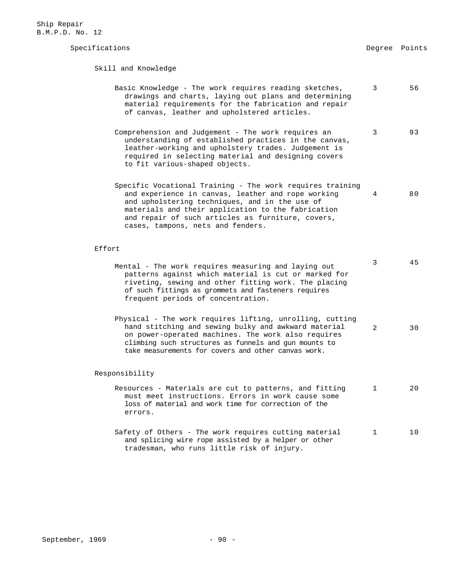#### Specifications and the set of the set of the set of the set of the set of the set of the set of the set of the set of the set of the set of the set of the set of the set of the set of the set of the set of the set of the s

Skill and Knowledge

| Basic Knowledge - The work requires reading sketches, | - 3 | 56 |
|-------------------------------------------------------|-----|----|
| drawings and charts, laying out plans and determining |     |    |
| material requirements for the fabrication and repair  |     |    |
| of canvas, leather and upholstered articles.          |     |    |

- Comprehension and Judgement The work requires an understanding of established practices in the canvas, leather-working and upholstery trades. Judgement is required in selecting material and designing covers to fit various-shaped objects. 3 93
- Specific Vocational Training The work requires training and experience in canvas, leather and rope working and upholstering techniques, and in the use of materials and their application to the fabrication and repair of such articles as furniture, covers, cases, tampons, nets and fenders. 4 80

#### Effort

- Mental The work requires measuring and laying out patterns against which material is cut or marked for riveting, sewing and other fitting work. The placing of such fittings as grommets and fasteners requires frequent periods of concentration. 3 45
	- Physical The work requires lifting, unrolling, cutting hand stitching and sewing bulky and awkward material on power-operated machines. The work also requires climbing such structures as funnels and gun mounts to take measurements for covers and other canvas work. 2 30

#### Responsibility

- Resources Materials are cut to patterns, and fitting must meet instructions. Errors in work cause some loss of material and work time for correction of the errors. 1 20
- Safety of Others The work requires cutting material and splicing wire rope assisted by a helper or other tradesman, who runs little risk of injury. 1 10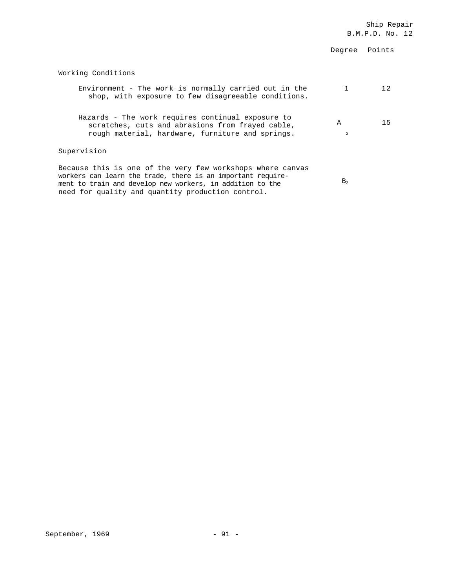|                                                                                                                                                                                                                                             | Degree                         | Points |
|---------------------------------------------------------------------------------------------------------------------------------------------------------------------------------------------------------------------------------------------|--------------------------------|--------|
| Working Conditions                                                                                                                                                                                                                          |                                |        |
| Environment - The work is normally carried out in the<br>shop, with exposure to few disagreeable conditions.                                                                                                                                | $\mathbf{1}$                   | 12     |
| Hazards - The work requires continual exposure to<br>scratches, cuts and abrasions from frayed cable,<br>rough material, hardware, furniture and springs.                                                                                   | $\mathbb{A}$<br>$\mathfrak{D}$ | 15     |
| Supervision                                                                                                                                                                                                                                 |                                |        |
| Because this is one of the very few workshops where canvas<br>workers can learn the trade, there is an important require-<br>ment to train and develop new workers, in addition to the<br>need for quality and quantity production control. | $B_3$                          |        |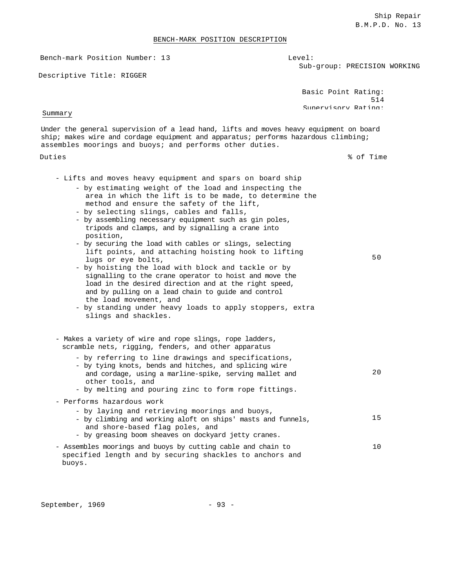| Bench-mark Position Number: 13                                                                                                                                                                                                                                                                                                                                                                                                                                                                                                                                                                                                                                                                                                                                                                                                                                                           | Level: |                                                   |  |
|------------------------------------------------------------------------------------------------------------------------------------------------------------------------------------------------------------------------------------------------------------------------------------------------------------------------------------------------------------------------------------------------------------------------------------------------------------------------------------------------------------------------------------------------------------------------------------------------------------------------------------------------------------------------------------------------------------------------------------------------------------------------------------------------------------------------------------------------------------------------------------------|--------|---------------------------------------------------|--|
| Descriptive Title: RIGGER                                                                                                                                                                                                                                                                                                                                                                                                                                                                                                                                                                                                                                                                                                                                                                                                                                                                |        | Sub-group: PRECISION WORKING                      |  |
| Summary                                                                                                                                                                                                                                                                                                                                                                                                                                                                                                                                                                                                                                                                                                                                                                                                                                                                                  |        | Basic Point Rating:<br>514<br>Supervisory Rating: |  |
| Under the general supervision of a lead hand, lifts and moves heavy equipment on board<br>ship; makes wire and cordage equipment and apparatus; performs hazardous climbing;<br>assembles moorings and buoys; and performs other duties.                                                                                                                                                                                                                                                                                                                                                                                                                                                                                                                                                                                                                                                 |        |                                                   |  |
| Duties                                                                                                                                                                                                                                                                                                                                                                                                                                                                                                                                                                                                                                                                                                                                                                                                                                                                                   |        | % of Time                                         |  |
| - Lifts and moves heavy equipment and spars on board ship<br>- by estimating weight of the load and inspecting the<br>area in which the lift is to be made, to determine the<br>method and ensure the safety of the lift,<br>- by selecting slings, cables and falls,<br>- by assembling necessary equipment such as gin poles,<br>tripods and clamps, and by signalling a crane into<br>position,<br>- by securing the load with cables or slings, selecting<br>lift points, and attaching hoisting hook to lifting<br>lugs or eye bolts,<br>- by hoisting the load with block and tackle or by<br>signalling to the crane operator to hoist and move the<br>load in the desired direction and at the right speed,<br>and by pulling on a lead chain to guide and control<br>the load movement, and<br>- by standing under heavy loads to apply stoppers, extra<br>slings and shackles. |        | 50                                                |  |
| - Makes a variety of wire and rope slings, rope ladders,<br>scramble nets, rigging, fenders, and other apparatus<br>- by referring to line drawings and specifications,<br>- by tying knots, bends and hitches, and splicing wire<br>and cordage, using a marline-spike, serving mallet and<br>other tools, and<br>- by melting and pouring zinc to form rope fittings.                                                                                                                                                                                                                                                                                                                                                                                                                                                                                                                  |        | 20                                                |  |
| - Performs hazardous work<br>- by laying and retrieving moorings and buoys,<br>- by climbing and working aloft on ships' masts and funnels,<br>and shore-based flag poles, and<br>- by greasing boom sheaves on dockyard jetty cranes.                                                                                                                                                                                                                                                                                                                                                                                                                                                                                                                                                                                                                                                   |        | 15                                                |  |
| - Assembles moorings and buoys by cutting cable and chain to<br>specified length and by securing shackles to anchors and<br>buoys.                                                                                                                                                                                                                                                                                                                                                                                                                                                                                                                                                                                                                                                                                                                                                       |        | 10                                                |  |

September, 1969 - 93 -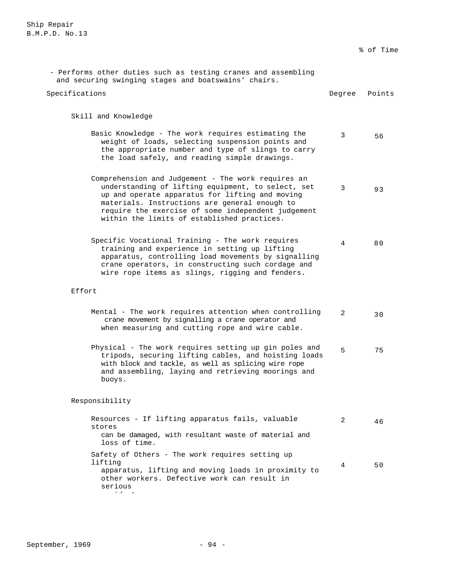% of Time

| - Performs other duties such as testing cranes and assembling<br>and securing swinging stages and boatswains' chairs.                                                                                                                                                                                             |        |        |
|-------------------------------------------------------------------------------------------------------------------------------------------------------------------------------------------------------------------------------------------------------------------------------------------------------------------|--------|--------|
| Specifications                                                                                                                                                                                                                                                                                                    | Degree | Points |
| Skill and Knowledge                                                                                                                                                                                                                                                                                               |        |        |
| Basic Knowledge - The work requires estimating the<br>weight of loads, selecting suspension points and<br>the appropriate number and type of slings to carry<br>the load safely, and reading simple drawings.                                                                                                     | 3      | 56     |
| Comprehension and Judgement - The work requires an<br>understanding of lifting equipment, to select, set<br>up and operate apparatus for lifting and moving<br>materials. Instructions are general enough to<br>require the exercise of some independent judgement<br>within the limits of established practices. | 3      | 93     |
| Specific Vocational Training - The work requires<br>training and experience in setting up lifting<br>apparatus, controlling load movements by signalling<br>crane operators, in constructing such cordage and<br>wire rope items as slings, rigging and fenders.                                                  | 4      | 80     |
| Effort                                                                                                                                                                                                                                                                                                            |        |        |
| Mental - The work requires attention when controlling<br>crane movement by signalling a crane operator and<br>when measuring and cutting rope and wire cable.                                                                                                                                                     | 2      | 30     |
| Physical - The work requires setting up gin poles and<br>tripods, securing lifting cables, and hoisting loads<br>with block and tackle, as well as splicing wire rope<br>and assembling, laying and retrieving moorings and<br>buoys.                                                                             | 5      | 75     |
| Responsibility                                                                                                                                                                                                                                                                                                    |        |        |
| Resources - If lifting apparatus fails, valuable<br>stores<br>can be damaged, with resultant waste of material and<br>loss of time.                                                                                                                                                                               | 2      | 46     |
| Safety of Others - The work requires setting up<br>lifting<br>apparatus, lifting and moving loads in proximity to<br>other workers. Defective work can result in<br>serious                                                                                                                                       | 4      | 50     |

id t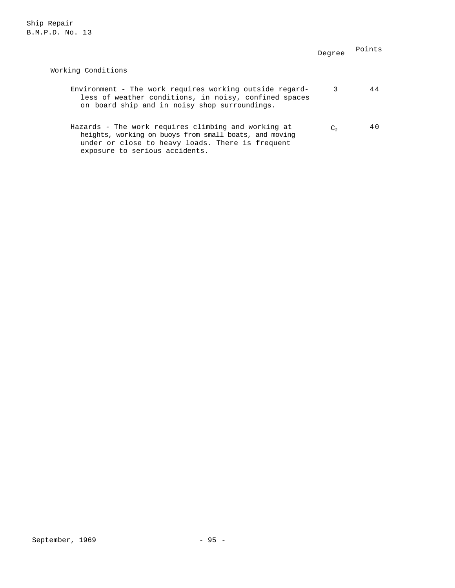|                                                                                                                                                                                                     | Degree  | Points |
|-----------------------------------------------------------------------------------------------------------------------------------------------------------------------------------------------------|---------|--------|
| Working Conditions                                                                                                                                                                                  |         |        |
| Environment - The work requires working outside regard-<br>less of weather conditions, in noisy, confined spaces<br>on board ship and in noisy shop surroundings.                                   | 3       | 44     |
| Hazards - The work requires climbing and working at<br>heights, working on buoys from small boats, and moving<br>under or close to heavy loads. There is frequent<br>exposure to serious accidents. | $C_{2}$ | 40     |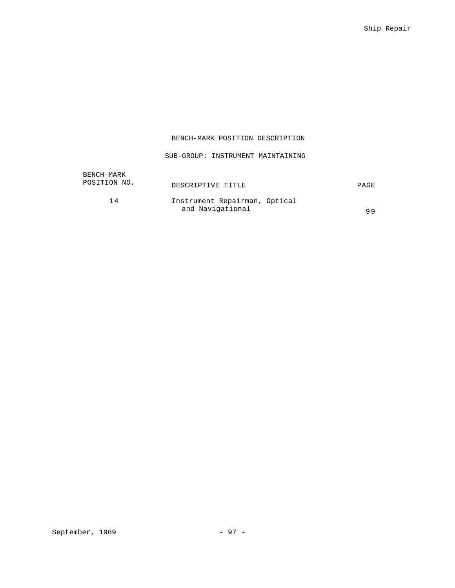SUB-GROUP: INSTRUMENT MAINTAINING

| BENCH-MARK   |                   |      |
|--------------|-------------------|------|
| POSITION NO. | DESCRIPTIVE TITLE | PAGE |

14 Instrument Repairman, Optical and Navigational 99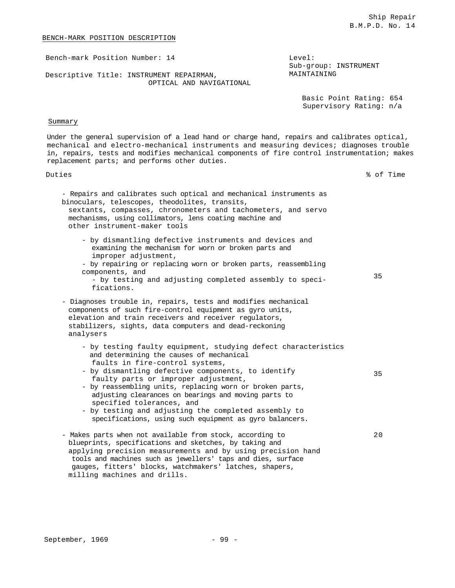Bench-mark Position Number: 14

Descriptive Title: INSTRUMENT REPAIRMAN, OPTICAL AND NAVIGATIONAL

## Level: Sub-group: INSTRUMENT MAINTAINING

Basic Point Rating: 654 Supervisory Rating: n/a

### Summary

Under the general supervision of a lead hand or charge hand, repairs and calibrates optical, mechanical and electro-mechanical instruments and measuring devices; diagnoses trouble in, repairs, tests and modifies mechanical components of fire control instrumentation; makes replacement parts; and performs other duties.

Duties % of Time

| - Repairs and calibrates such optical and mechanical instruments as<br>binoculars, telescopes, theodolites, transits,<br>sextants, compasses, chronometers and tachometers, and servo<br>mechanisms, using collimators, lens coating machine and<br>other instrument-maker tools                                                                                                                                                                                                                                |    |
|-----------------------------------------------------------------------------------------------------------------------------------------------------------------------------------------------------------------------------------------------------------------------------------------------------------------------------------------------------------------------------------------------------------------------------------------------------------------------------------------------------------------|----|
| - by dismantling defective instruments and devices and<br>examining the mechanism for worn or broken parts and<br>improper adjustment,<br>- by repairing or replacing worn or broken parts, reassembling<br>components, and<br>- by testing and adjusting completed assembly to speci-<br>fications.                                                                                                                                                                                                            | 35 |
| - Diagnoses trouble in, repairs, tests and modifies mechanical<br>components of such fire-control equipment as gyro units,<br>elevation and train receivers and receiver regulators,<br>stabilizers, sights, data computers and dead-reckoning<br>analysers                                                                                                                                                                                                                                                     |    |
| - by testing faulty equipment, studying defect characteristics<br>and determining the causes of mechanical<br>faults in fire-control systems,<br>- by dismantling defective components, to identify<br>faulty parts or improper adjustment,<br>- by reassembling units, replacing worn or broken parts,<br>adjusting clearances on bearings and moving parts to<br>specified tolerances, and<br>- by testing and adjusting the completed assembly to<br>specifications, using such equipment as gyro balancers. | 35 |
| - Makes parts when not available from stock, according to<br>blueprints, specifications and sketches, by taking and<br>applying precision measurements and by using precision hand<br>tools and machines such as jewellers' taps and dies, surface<br>gauges, fitters' blocks, watchmakers' latches, shapers,                                                                                                                                                                                                   | 20 |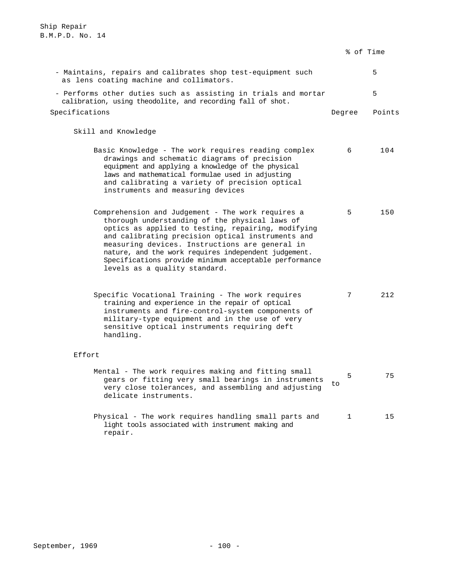|                                                                                                                                                                                                                                                                                                                                                                                                                    |              | % of Time |        |
|--------------------------------------------------------------------------------------------------------------------------------------------------------------------------------------------------------------------------------------------------------------------------------------------------------------------------------------------------------------------------------------------------------------------|--------------|-----------|--------|
| - Maintains, repairs and calibrates shop test-equipment such<br>as lens coating machine and collimators.                                                                                                                                                                                                                                                                                                           |              |           | 5      |
| - Performs other duties such as assisting in trials and mortar<br>calibration, using theodolite, and recording fall of shot.                                                                                                                                                                                                                                                                                       |              |           | 5      |
| Specifications                                                                                                                                                                                                                                                                                                                                                                                                     | Degree       |           | Points |
| Skill and Knowledge                                                                                                                                                                                                                                                                                                                                                                                                |              |           |        |
| Basic Knowledge - The work requires reading complex<br>drawings and schematic diagrams of precision<br>equipment and applying a knowledge of the physical<br>laws and mathematical formulae used in adjusting<br>and calibrating a variety of precision optical<br>instruments and measuring devices                                                                                                               | 6            |           | 104    |
| Comprehension and Judgement - The work requires a<br>thorough understanding of the physical laws of<br>optics as applied to testing, repairing, modifying<br>and calibrating precision optical instruments and<br>measuring devices. Instructions are general in<br>nature, and the work requires independent judgement.<br>Specifications provide minimum acceptable performance<br>levels as a quality standard. | 5            |           | 150    |
| Specific Vocational Training - The work requires<br>training and experience in the repair of optical<br>instruments and fire-control-system components of<br>military-type equipment and in the use of very<br>sensitive optical instruments requiring deft<br>handling.                                                                                                                                           | 7            |           | 212    |
| Effort                                                                                                                                                                                                                                                                                                                                                                                                             |              |           |        |
| Mental - The work requires making and fitting small<br>gears or fitting very small bearings in instruments<br>very close tolerances, and assembling and adjusting<br>delicate instruments.                                                                                                                                                                                                                         | 5<br>to      |           | 75     |
| Physical - The work requires handling small parts and<br>light tools associated with instrument making and<br>repair.                                                                                                                                                                                                                                                                                              | $\mathbf{1}$ |           | 15     |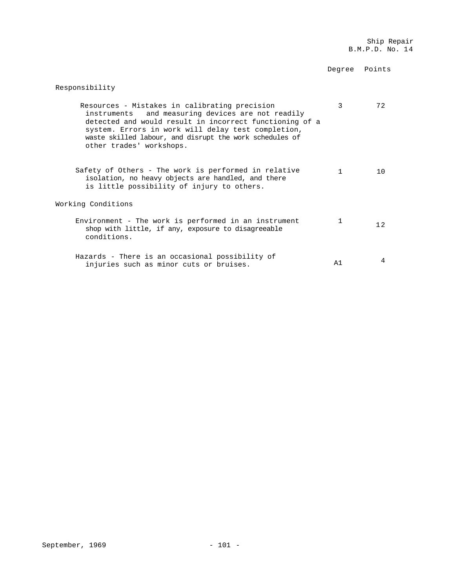Degree Points

## Responsibility

| Resources - Mistakes in calibrating precision<br>instruments and measuring devices are not readily<br>detected and would result in incorrect functioning of a<br>system. Errors in work will delay test completion,<br>waste skilled labour, and disrupt the work schedules of<br>other trades' workshops. | 3              | 72  |
|------------------------------------------------------------------------------------------------------------------------------------------------------------------------------------------------------------------------------------------------------------------------------------------------------------|----------------|-----|
| Safety of Others - The work is performed in relative<br>isolation, no heavy objects are handled, and there<br>is little possibility of injury to others.                                                                                                                                                   |                | 1 N |
| Working Conditions                                                                                                                                                                                                                                                                                         |                |     |
| Environment - The work is performed in an instrument<br>shop with little, if any, exposure to disagreeable<br>conditions.                                                                                                                                                                                  |                | 12  |
| Hazards - There is an occasional possibility of<br>injuries such as minor cuts or bruises.                                                                                                                                                                                                                 | A <sub>1</sub> |     |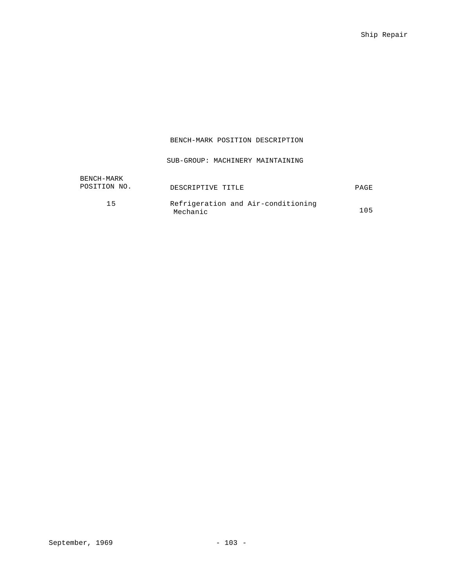SUB-GROUP: MACHINERY MAINTAINING

# BENCH-MARK POSITION NO. DESCRIPTIVE TITLE THE PAGE 15 Refrigeration and Air-conditioning Mechanic 105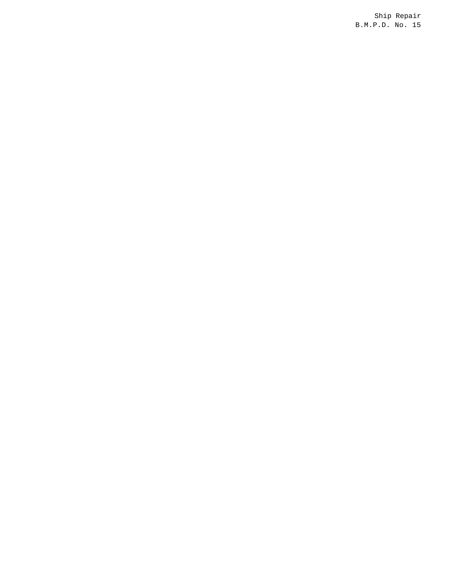Ship Repair B.M.P.D. No. 15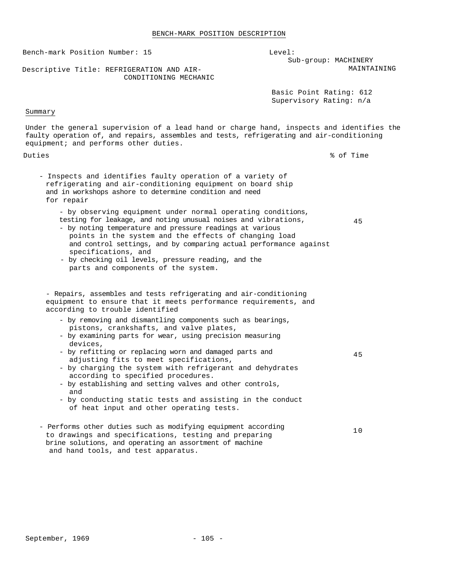CONDITIONING MECHANIC Basic Point Rating: 612 Supervisory Rating: n/a Summary Under the general supervision of a lead hand or charge hand, inspects and identifies the faulty operation of, and repairs, assembles and tests, refrigerating and air-conditioning equipment; and performs other duties. Duties % of Time - Inspects and identifies faulty operation of a variety of refrigerating and air-conditioning equipment on board ship and in workshops ashore to determine condition and need for repair - by observing equipment under normal operating conditions, testing for leakage, and noting unusual noises and vibrations, - by noting temperature and pressure readings at various points in the system and the effects of changing load and control settings, and by comparing actual performance against specifications, and - by checking oil levels, pressure reading, and the parts and components of the system. 45 - Repairs, assembles and tests refrigerating and air-conditioning equipment to ensure that it meets performance requirements, and according to trouble identified - by removing and dismantling components such as bearings, pistons, crankshafts, and valve plates, - by examining parts for wear, using precision measuring devices, - by refitting or replacing worn and damaged parts and adjusting fits to meet specifications, - by charging the system with refrigerant and dehydrates according to specified procedures. - by establishing and setting valves and other controls, and - by conducting static tests and assisting in the conduct of heat input and other operating tests. 45 - Performs other duties such as modifying equipment according to drawings and specifications, testing and preparing brine solutions, and operating an assortment of machine 10

### BENCH-MARK POSITION DESCRIPTION

Level:

Sub-group: MACHINERY

MAINTAINING

and hand tools, and test apparatus.

Bench-mark Position Number: 15

Descriptive Title: REFRIGERATION AND AIR-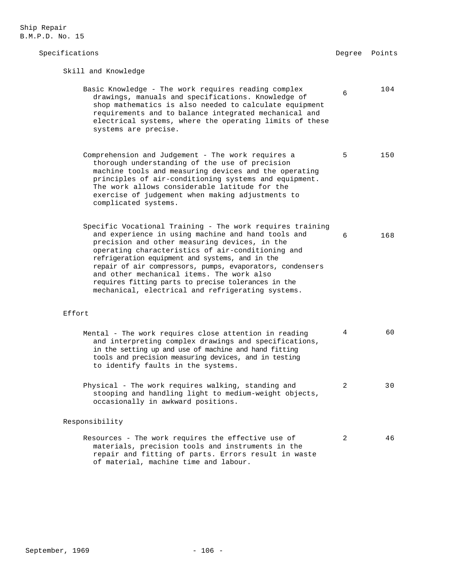| .P.D. No. 15                                                                                                                                                                                                                                                                                                                                                                                                                                                                                   |                  |        |
|------------------------------------------------------------------------------------------------------------------------------------------------------------------------------------------------------------------------------------------------------------------------------------------------------------------------------------------------------------------------------------------------------------------------------------------------------------------------------------------------|------------------|--------|
| Specifications                                                                                                                                                                                                                                                                                                                                                                                                                                                                                 | Degree           | Points |
| Skill and Knowledge                                                                                                                                                                                                                                                                                                                                                                                                                                                                            |                  |        |
| Basic Knowledge - The work requires reading complex<br>drawings, manuals and specifications. Knowledge of<br>shop mathematics is also needed to calculate equipment<br>requirements and to balance integrated mechanical and<br>electrical systems, where the operating limits of these<br>systems are precise.                                                                                                                                                                                | 6                | 104    |
| Comprehension and Judgement - The work requires a<br>thorough understanding of the use of precision<br>machine tools and measuring devices and the operating<br>principles of air-conditioning systems and equipment.<br>The work allows considerable latitude for the<br>exercise of judgement when making adjustments to<br>complicated systems.                                                                                                                                             | 5                | 150    |
| Specific Vocational Training - The work requires training<br>and experience in using machine and hand tools and<br>precision and other measuring devices, in the<br>operating characteristics of air-conditioning and<br>refrigeration equipment and systems, and in the<br>repair of air compressors, pumps, evaporators, condensers<br>and other mechanical items. The work also<br>requires fitting parts to precise tolerances in the<br>mechanical, electrical and refrigerating systems. | $6 \overline{6}$ | 168    |
| Effort                                                                                                                                                                                                                                                                                                                                                                                                                                                                                         |                  |        |
| Mental - The work requires close attention in reading<br>and interpreting complex drawings and specifications,<br>in the setting up and use of machine and hand fitting<br>tools and precision measuring devices, and in testing<br>to identify faults in the systems.                                                                                                                                                                                                                         | 4                | 60     |
| Physical - The work requires walking, standing and<br>stooping and handling light to medium-weight objects,<br>occasionally in awkward positions.                                                                                                                                                                                                                                                                                                                                              | 2                | 30     |

## Responsibility

| Resources - The work requires the effective use of  | $\mathcal{L}$ | 46 |
|-----------------------------------------------------|---------------|----|
| materials, precision tools and instruments in the   |               |    |
| repair and fitting of parts. Errors result in waste |               |    |
| of material, machine time and labour.               |               |    |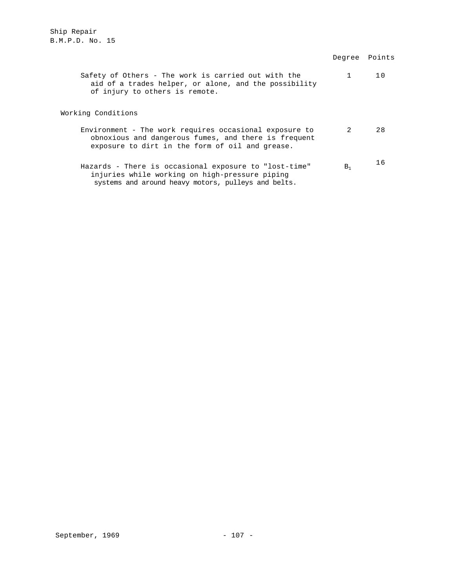|                                                                                                                                                                   | Degree       | Points |
|-------------------------------------------------------------------------------------------------------------------------------------------------------------------|--------------|--------|
| Safety of Others - The work is carried out with the<br>aid of a trades helper, or alone, and the possibility<br>of injury to others is remote.                    | $\mathbf{1}$ | 10     |
| Working Conditions                                                                                                                                                |              |        |
| Environment - The work requires occasional exposure to<br>obnoxious and dangerous fumes, and there is frequent<br>exposure to dirt in the form of oil and grease. | $2^{1}$      | 28     |
| Hazards - There is occasional exposure to "lost-time"<br>injuries while working on high-pressure piping<br>systems and around heavy motors, pulleys and belts.    | $B_1$        | 16     |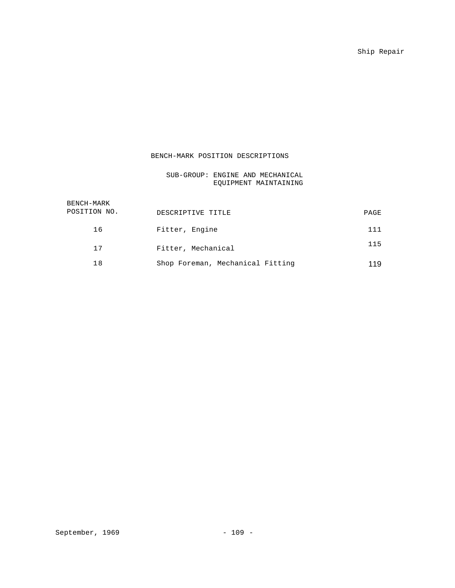Ship Repair

## BENCH-MARK POSITION DESCRIPTIONS

## SUB-GROUP: ENGINE AND MECHANICAL EQUIPMENT MAINTAINING

BENCH-MARK

| POSITION NO. | DESCRIPTIVE TITLE                | PAGE |
|--------------|----------------------------------|------|
| 16           | Fitter, Engine                   | 111  |
| 17           | Fitter, Mechanical               | 115  |
| 18           | Shop Foreman, Mechanical Fitting | 11 Q |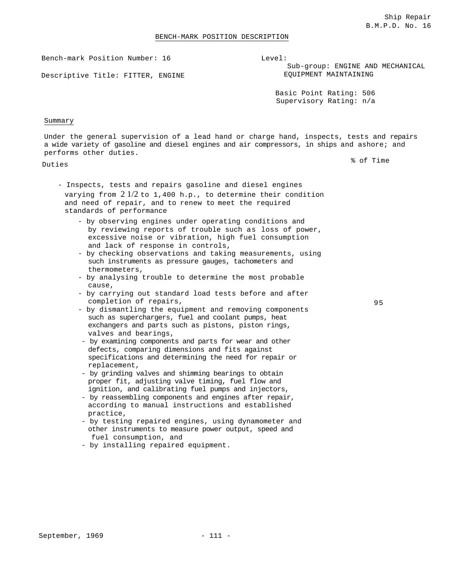### BENCH-MARK POSITION DESCRIPTION

Bench-mark Position Number: 16

Descriptive Title: FITTER, ENGINE

Level:

Sub-group: ENGINE AND MECHANICAL EQUIPMENT MAINTAINING

Basic Point Rating: 506 Supervisory Rating: n/a

Summary

Under the general supervision of a lead hand or charge hand, inspects, tests and repairs a wide variety of gasoline and diesel engines and air compressors, in ships and ashore; and performs other duties.

Duties % of Time

- Inspects, tests and repairs gasoline and diesel engines varying from  $2\frac{1}{2}$  to  $1,400$  h.p., to determine their condition and need of repair, and to renew to meet the required standards of performance
	- by observing engines under operating conditions and by reviewing reports of trouble such as loss of power, excessive noise or vibration, high fuel consumption and lack of response in controls,
	- by checking observations and taking measurements, using such instruments as pressure gauges, tachometers and thermometers,
	- by analysing trouble to determine the most probable cause,
	- by carrying out standard load tests before and after completion of repairs,
	- by dismantling the equipment and removing components such as superchargers, fuel and coolant pumps, heat exchangers and parts such as pistons, piston rings, valves and bearings,
	- by examining components and parts for wear and other defects, comparing dimensions and fits against specifications and determining the need for repair or replacement,
	- by grinding valves and shimming bearings to obtain proper fit, adjusting valve timing, fuel flow and ignition, and calibrating fuel pumps and injectors,
	- by reassembling components and engines after repair, according to manual instructions and established practice,
	- by testing repaired engines, using dynamometer and other instruments to measure power output, speed and fuel consumption, and
	- by installing repaired equipment.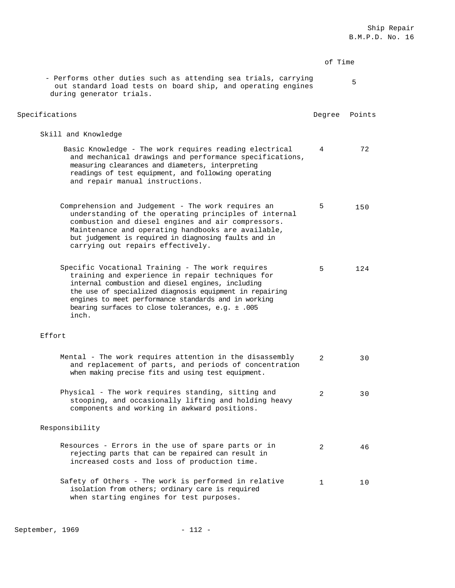|                                                                                                                                                                                                                                                                                                                                                | of Time |        |
|------------------------------------------------------------------------------------------------------------------------------------------------------------------------------------------------------------------------------------------------------------------------------------------------------------------------------------------------|---------|--------|
| - Performs other duties such as attending sea trials, carrying<br>out standard load tests on board ship, and operating engines<br>during generator trials.                                                                                                                                                                                     |         | 5      |
| Specifications                                                                                                                                                                                                                                                                                                                                 | Degree  | Points |
| Skill and Knowledge                                                                                                                                                                                                                                                                                                                            |         |        |
| Basic Knowledge - The work requires reading electrical<br>and mechanical drawings and performance specifications,<br>measuring clearances and diameters, interpreting<br>readings of test equipment, and following operating<br>and repair manual instructions.                                                                                | 4       | 72     |
| Comprehension and Judgement - The work requires an<br>understanding of the operating principles of internal<br>combustion and diesel engines and air compressors.<br>Maintenance and operating handbooks are available,<br>but judgement is required in diagnosing faults and in<br>carrying out repairs effectively.                          | 5       | 150    |
| Specific Vocational Training - The work requires<br>training and experience in repair techniques for<br>internal combustion and diesel engines, including<br>the use of specialized diagnosis equipment in repairing<br>engines to meet performance standards and in working<br>bearing surfaces to close tolerances, e.g. $\pm$ .005<br>inch. | 5       | 124    |
| Effort                                                                                                                                                                                                                                                                                                                                         |         |        |
| Mental - The work requires attention in the disassembly<br>and replacement of parts, and periods of concentration<br>when making precise fits and using test equipment.                                                                                                                                                                        | 2       | 30     |
| Physical - The work requires standing, sitting and<br>stooping, and occasionally lifting and holding heavy<br>components and working in awkward positions.                                                                                                                                                                                     | 2       | 30     |
| Responsibility                                                                                                                                                                                                                                                                                                                                 |         |        |
| Resources - Errors in the use of spare parts or in<br>rejecting parts that can be repaired can result in<br>increased costs and loss of production time.                                                                                                                                                                                       | 2       | 46     |
| Safety of Others - The work is performed in relative<br>isolation from others; ordinary care is required<br>when starting engines for test purposes.                                                                                                                                                                                           | 1       | 10     |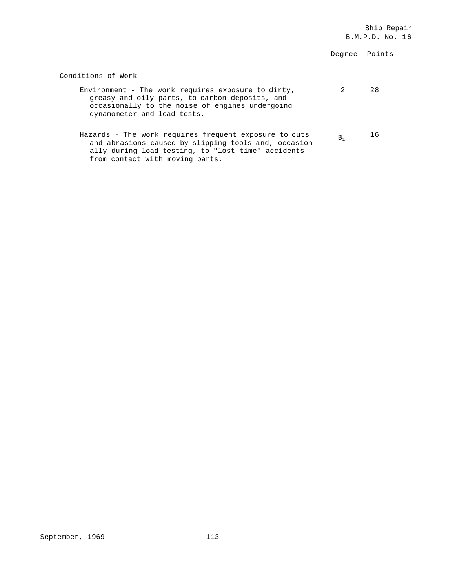Degree Points Conditions of Work Environment - The work requires exposure to dirty, greasy and oily parts, to carbon deposits, and occasionally to the noise of engines undergoing dynamometer and load tests. 2 28 Hazards - The work requires frequent exposure to cuts and abrasions caused by slipping tools and, occasion ally during load testing, to "lost-time" accidents from contact with moving parts.  $\, {\bf B}_1 \qquad \quad \, 16$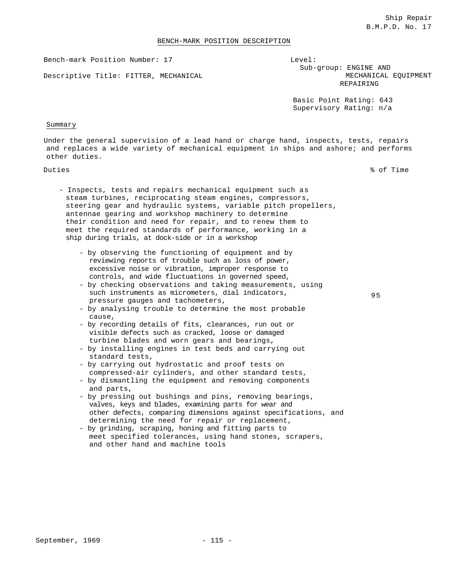### BENCH-MARK POSITION DESCRIPTION

Bench-mark Position Number: 17

Descriptive Title: FITTER, MECHANICAL

Level: Sub-group: ENGINE AND MECHANICAL EQUIPMENT REPAIRING

Basic Point Rating: 643 Supervisory Rating: n/a

### Summary

Under the general supervision of a lead hand or charge hand, inspects, tests, repairs and replaces a wide variety of mechanical equipment in ships and ashore; and performs other duties.

Duties % of Time

- Inspects, tests and repairs mechanical equipment such as steam turbines, reciprocating steam engines, compressors, steering gear and hydraulic systems, variable pitch propellers, antennae gearing and workshop machinery to determine their condition and need for repair, and to renew them to meet the required standards of performance, working in a ship during trials, at dock-side or in a workshop
	- by observing the functioning of equipment and by reviewing reports of trouble such as loss of power, excessive noise or vibration, improper response to controls, and wide fluctuations in governed speed,
	- by checking observations and taking measurements, using such instruments as micrometers, dial indicators, pressure gauges and tachometers,
	- by analysing trouble to determine the most probable cause,
	- by recording details of fits, clearances, run out or visible defects such as cracked, loose or damaged turbine blades and worn gears and bearings,
	- by installing engines in test beds and carrying out standard tests,
	- by carrying out hydrostatic and proof tests on compressed-air cylinders, and other standard tests,
	- by dismantling the equipment and removing components and parts,
	- by pressing out bushings and pins, removing bearings, valves, keys and blades, examining parts for wear and other defects, comparing dimensions against specifications, and determining the need for repair or replacement,
	- by grinding, scraping, honing and fitting parts to meet specified tolerances, using hand stones, scrapers, and other hand and machine tools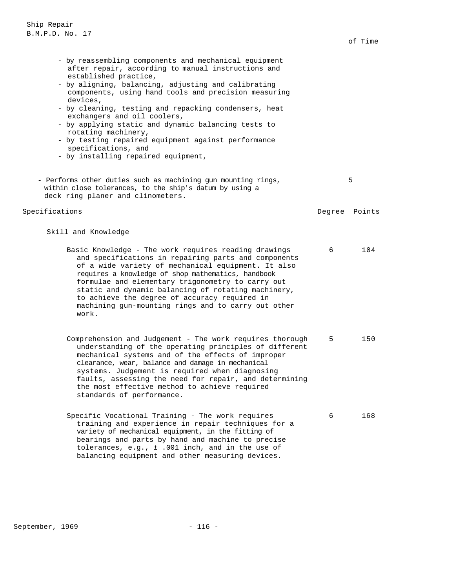| - by reassembling components and mechanical equipment<br>after repair, according to manual instructions and<br>established practice,                                                                                                                                                                                                                                                                                                                  |        |        |
|-------------------------------------------------------------------------------------------------------------------------------------------------------------------------------------------------------------------------------------------------------------------------------------------------------------------------------------------------------------------------------------------------------------------------------------------------------|--------|--------|
| - by aligning, balancing, adjusting and calibrating<br>components, using hand tools and precision measuring<br>devices,                                                                                                                                                                                                                                                                                                                               |        |        |
| - by cleaning, testing and repacking condensers, heat<br>exchangers and oil coolers,                                                                                                                                                                                                                                                                                                                                                                  |        |        |
| - by applying static and dynamic balancing tests to<br>rotating machinery,                                                                                                                                                                                                                                                                                                                                                                            |        |        |
| - by testing repaired equipment against performance<br>specifications, and                                                                                                                                                                                                                                                                                                                                                                            |        |        |
| - by installing repaired equipment,                                                                                                                                                                                                                                                                                                                                                                                                                   |        |        |
| - Performs other duties such as machining gun mounting rings,<br>within close tolerances, to the ship's datum by using a<br>deck ring planer and clinometers.                                                                                                                                                                                                                                                                                         |        | 5      |
| Specifications                                                                                                                                                                                                                                                                                                                                                                                                                                        | Degree | Points |
| Skill and Knowledge                                                                                                                                                                                                                                                                                                                                                                                                                                   |        |        |
| Basic Knowledge - The work requires reading drawings<br>and specifications in repairing parts and components<br>of a wide variety of mechanical equipment. It also<br>requires a knowledge of shop mathematics, handbook<br>formulae and elementary trigonometry to carry out<br>static and dynamic balancing of rotating machinery,<br>to achieve the degree of accuracy required in<br>machining gun-mounting rings and to carry out other<br>work. | 6      | 104    |
| Comprehension and Judgement - The work requires thorough<br>understanding of the operating principles of different<br>mechanical systems and of the effects of improper<br>clearance, wear, balance and damage in mechanical<br>systems. Judgement is required when diagnosing<br>faults, assessing the need for repair, and determining<br>the most effective method to achieve required<br>standards of performance.                                | 5      | 150    |
| Specific Vocational Training - The work requires<br>training and experience in repair techniques for a<br>variety of mechanical equipment, in the fitting of<br>bearings and parts by hand and machine to precise<br>tolerances, e.g., $\pm$ .001 inch, and in the use of                                                                                                                                                                             | 6      | 168    |

balancing equipment and other measuring devices.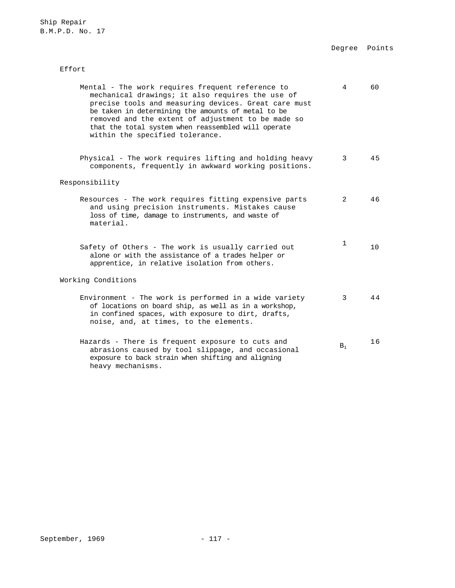## Effort

| Mental - The work requires frequent reference to<br>mechanical drawings; it also requires the use of<br>precise tools and measuring devices. Great care must<br>be taken in determining the amounts of metal to be<br>removed and the extent of adjustment to be made so<br>that the total system when reassembled will operate<br>within the specified tolerance. | 4     | 60 |
|--------------------------------------------------------------------------------------------------------------------------------------------------------------------------------------------------------------------------------------------------------------------------------------------------------------------------------------------------------------------|-------|----|
| Physical - The work requires lifting and holding heavy<br>components, frequently in awkward working positions.                                                                                                                                                                                                                                                     | 3     | 45 |
| Responsibility                                                                                                                                                                                                                                                                                                                                                     |       |    |
| Resources - The work requires fitting expensive parts<br>and using precision instruments. Mistakes cause<br>loss of time, damage to instruments, and waste of<br>material.                                                                                                                                                                                         | 2     | 46 |
| Safety of Others - The work is usually carried out<br>alone or with the assistance of a trades helper or<br>apprentice, in relative isolation from others.                                                                                                                                                                                                         | 1     | 10 |
| Working Conditions                                                                                                                                                                                                                                                                                                                                                 |       |    |
| Environment - The work is performed in a wide variety<br>of locations on board ship, as well as in a workshop,<br>in confined spaces, with exposure to dirt, drafts,<br>noise, and, at times, to the elements.                                                                                                                                                     | 3     | 44 |
| Hazards - There is frequent exposure to cuts and<br>abrasions caused by tool slippage, and occasional<br>exposure to back strain when shifting and aligning<br>heavy mechanisms.                                                                                                                                                                                   | $B_1$ | 16 |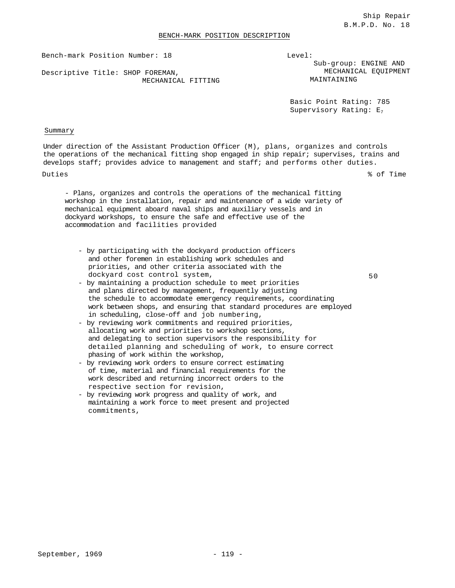### BENCH-MARK POSITION DESCRIPTION

Bench-mark Position Number: 18

Descriptive Title: SHOP FOREMAN, MECHANICAL FITTING

Sub-group: ENGINE AND MECHANICAL EQUIPMENT MAINTAINING

Basic Point Rating: 785 Supervisory Rating:  $E_7$ 

### Summary

Under direction of the Assistant Production Officer (M), plans, organizes and controls the operations of the mechanical fitting shop engaged in ship repair; supervises, trains and develops staff; provides advice to management and staff; and performs other duties.

Duties % of Time

50

- Plans, organizes and controls the operations of the mechanical fitting workshop in the installation, repair and maintenance of a wide variety of mechanical equipment aboard naval ships and auxiliary vessels and in dockyard workshops, to ensure the safe and effective use of the accommodation and facilities provided

- by participating with the dockyard production officers and other foremen in establishing work schedules and priorities, and other criteria associated with the dockyard cost control system,
- by maintaining a production schedule to meet priorities and plans directed by management, frequently adjusting the schedule to accommodate emergency requirements, coordinating work between shops, and ensuring that standard procedures are employed in scheduling, close-off and job numbering,
- by reviewing work commitments and required priorities, allocating work and priorities to workshop sections, and delegating to section supervisors the responsibility for detailed planning and scheduling of work, to ensure correct phasing of work within the workshop,
- by reviewing work orders to ensure correct estimating of time, material and financial requirements for the work described and returning incorrect orders to the respective section for revision,
- by reviewing work progress and quality of work, and maintaining a work force to meet present and projected commitments,

September, 1969 - 119 -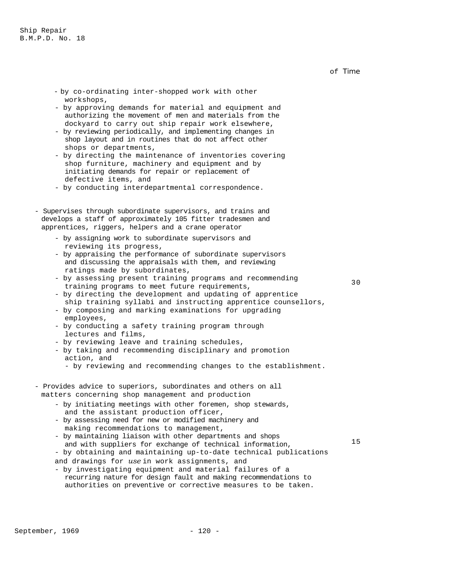- by co-ordinating inter-shopped work with other workshops,
- by approving demands for material and equipment and authorizing the movement of men and materials from the dockyard to carry out ship repair work elsewhere,
- by reviewing periodically, and implementing changes in shop layout and in routines that do not affect other shops or departments,
- by directing the maintenance of inventories covering shop furniture, machinery and equipment and by initiating demands for repair or replacement of defective items, and
- by conducting interdepartmental correspondence.
- Supervises through subordinate supervisors, and trains and develops a staff of approximately 105 fitter tradesmen and apprentices, riggers, helpers and a crane operator
	- by assigning work to subordinate supervisors and reviewing its progress,
	- by appraising the performance of subordinate supervisors and discussing the appraisals with them, and reviewing ratings made by subordinates,
	- by assessing present training programs and recommending training programs to meet future requirements,
	- by directing the development and updating of apprentice ship training syllabi and instructing apprentice counsellors,
	- by composing and marking examinations for upgrading employees,
	- by conducting a safety training program through lectures and films,
	- by reviewing leave and training schedules,
	- by taking and recommending disciplinary and promotion action, and
		- by reviewing and recommending changes to the establishment.
- Provides advice to superiors, subordinates and others on all matters concerning shop management and production
	- by initiating meetings with other foremen, shop stewards, and the assistant production officer,
	- by assessing need for new or modified machinery and making recommendations to management,
	- by maintaining liaison with other departments and shops and with suppliers for exchange of technical information, - by obtaining and maintaining up-to-date technical publications
- 15

30

and drawings for *use* in work assignments, and - by investigating equipment and material failures of a recurring nature for design fault and making recommendations to authorities on preventive or corrective measures to be taken. of *Time*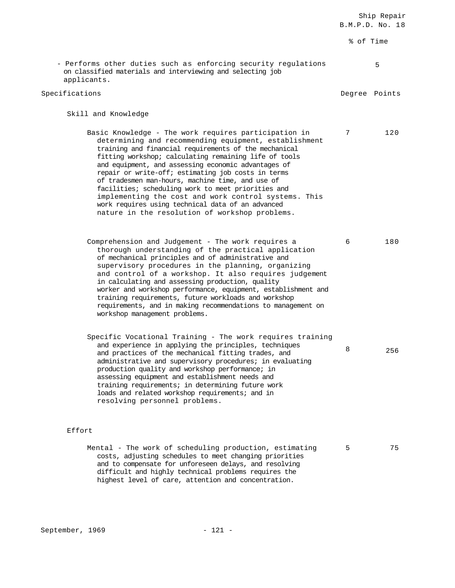|                                                                                                                                                                                                                                                                                                                                                                                                                                                                                                                                                                                                                       |           | Ship Repair<br>B.M.P.D. No. 18 |
|-----------------------------------------------------------------------------------------------------------------------------------------------------------------------------------------------------------------------------------------------------------------------------------------------------------------------------------------------------------------------------------------------------------------------------------------------------------------------------------------------------------------------------------------------------------------------------------------------------------------------|-----------|--------------------------------|
|                                                                                                                                                                                                                                                                                                                                                                                                                                                                                                                                                                                                                       | % of Time |                                |
| - Performs other duties such as enforcing security regulations<br>on classified materials and interviewing and selecting job<br>applicants.                                                                                                                                                                                                                                                                                                                                                                                                                                                                           |           | 5                              |
| Specifications                                                                                                                                                                                                                                                                                                                                                                                                                                                                                                                                                                                                        |           | Degree Points                  |
| Skill and Knowledge                                                                                                                                                                                                                                                                                                                                                                                                                                                                                                                                                                                                   |           |                                |
| Basic Knowledge - The work requires participation in<br>determining and recommending equipment, establishment<br>training and financial requirements of the mechanical<br>fitting workshop; calculating remaining life of tools<br>and equipment, and assessing economic advantages of<br>repair or write-off; estimating job costs in terms<br>of tradesmen man-hours, machine time, and use of<br>facilities; scheduling work to meet priorities and<br>implementing the cost and work control systems. This<br>work requires using technical data of an advanced<br>nature in the resolution of workshop problems. | 7         | 120                            |
| Comprehension and Judgement - The work requires a<br>thorough understanding of the practical application<br>of mechanical principles and of administrative and<br>supervisory procedures in the planning, organizing<br>and control of a workshop. It also requires judgement<br>in calculating and assessing production, quality<br>worker and workshop performance, equipment, establishment and<br>training requirements, future workloads and workshop<br>requirements, and in making recommendations to management on<br>workshop management problems.                                                           | 6         | 180                            |
| Specific Vocational Training - The work requires training<br>and experience in applying the principles, techniques<br>and practices of the mechanical fitting trades, and<br>administrative and supervisory procedures; in evaluating<br>production quality and workshop performance; in<br>assessing equipment and establishment needs and<br>training requirements; in determining future work<br>loads and related workshop requirements; and in<br>resolving personnel problems.                                                                                                                                  | 8         | 256                            |
| Effort                                                                                                                                                                                                                                                                                                                                                                                                                                                                                                                                                                                                                |           |                                |

Mental - The work of scheduling production, estimating costs, adjusting schedules to meet changing priorities and to compensate for unforeseen delays, and resolving difficult and highly technical problems requires the highest level of care, attention and concentration. 5 75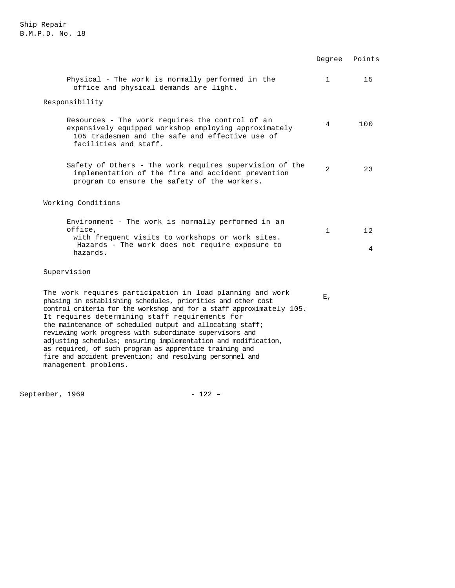|                                                                                                                                                                                                                                                                                                                                                                                          | Degree         | Points  |
|------------------------------------------------------------------------------------------------------------------------------------------------------------------------------------------------------------------------------------------------------------------------------------------------------------------------------------------------------------------------------------------|----------------|---------|
| Physical - The work is normally performed in the<br>office and physical demands are light.                                                                                                                                                                                                                                                                                               | $\mathbf{1}$   | 15      |
| Responsibility                                                                                                                                                                                                                                                                                                                                                                           |                |         |
| Resources - The work requires the control of an<br>expensively equipped workshop employing approximately<br>105 tradesmen and the safe and effective use of<br>facilities and staff.                                                                                                                                                                                                     | 4              | 100     |
| Safety of Others - The work requires supervision of the<br>implementation of the fire and accident prevention<br>program to ensure the safety of the workers.                                                                                                                                                                                                                            | $\mathfrak{D}$ | 23      |
| Working Conditions                                                                                                                                                                                                                                                                                                                                                                       |                |         |
| Environment - The work is normally performed in an<br>office,<br>with frequent visits to workshops or work sites.<br>Hazards - The work does not require exposure to<br>hazards.                                                                                                                                                                                                         | $\mathbf{1}$   | 12<br>4 |
| Supervision                                                                                                                                                                                                                                                                                                                                                                              |                |         |
| The work requires participation in load planning and work<br>phasing in establishing schedules, priorities and other cost<br>control criteria for the workshop and for a staff approximately 105.<br>It requires determining staff requirements for<br>the maintenance of scheduled output and allocating staff;<br>reviewing work progress with subordinate supervisors and<br>$\alpha$ | E <sub>7</sub> |         |

adjusting schedules; ensuring implementation and modification, as required, of such program as apprentice training and

fire and accident prevention; and resolving personnel and management problems.

September, 1969 - 122 -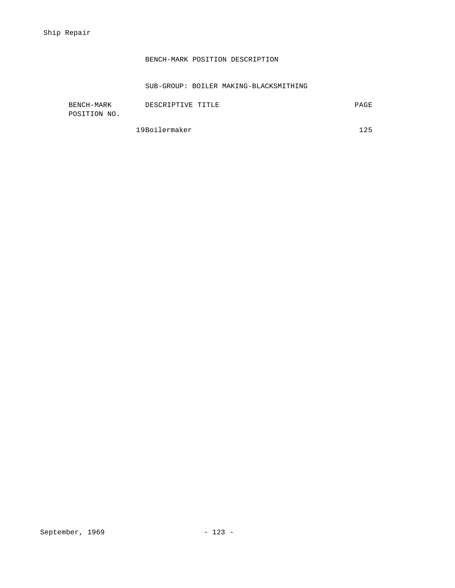## BENCH-MARK POSITION DESCRIPTION

### SUB-GROUP: BOILER MAKING-BLACKSMITHING

| BENCH-MARK   | DESCRIPTIVE TITLE | PAGE |
|--------------|-------------------|------|
| POSITION NO. |                   |      |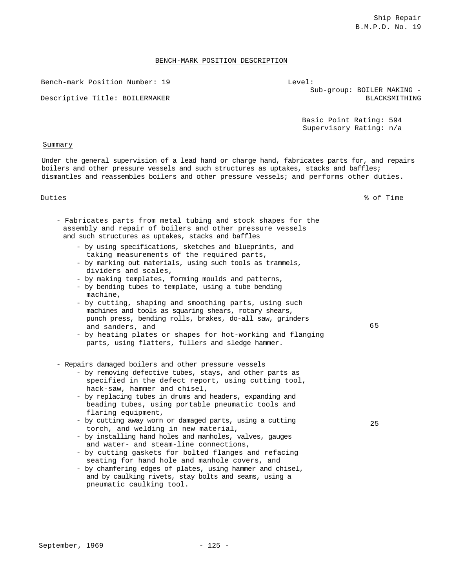### BENCH-MARK POSITION DESCRIPTION

Bench-mark Position Number: 19

Level:

Sub-group: BOILER MAKING - BLACKSMITHING

Descriptive Title: BOILERMAKER

Basic Point Rating: 594 Supervisory Rating: n/a

Summary

Under the general supervision of a lead hand or charge hand, fabricates parts for, and repairs boilers and other pressure vessels and such structures as uptakes, stacks and baffles; dismantles and reassembles boilers and other pressure vessels; and performs other duties.

Duties % of Time

65

| - Fabricates parts from metal tubing and stock shapes for the |  |  |  |  |
|---------------------------------------------------------------|--|--|--|--|
| assembly and repair of boilers and other pressure vessels     |  |  |  |  |
| and such structures as uptakes, stacks and baffles            |  |  |  |  |

- by using specifications, sketches and blueprints, and taking measurements of the required parts,
- by marking out materials, using such tools as trammels, dividers and scales,
- by making templates, forming moulds and patterns,
- by bending tubes to template, using a tube bending machine,
- by cutting, shaping and smoothing parts, using such machines and tools as squaring shears, rotary shears, punch press, bending rolls, brakes, do-all saw, grinders and sanders, and
- by heating plates or shapes for hot-working and flanging parts, using flatters, fullers and sledge hammer.
- Repairs damaged boilers and other pressure vessels
	- by removing defective tubes, stays, and other parts as specified in the defect report, using cutting tool, hack-saw, hammer and chisel,
	- by replacing tubes in drums and headers, expanding and beading tubes, using portable pneumatic tools and flaring equipment,
	- by cutting away worn or damaged parts, using a cutting torch, and welding in new material,
	- by installing hand holes and manholes, valves, gauges and water- and steam-line connections,
	- by cutting gaskets for bolted flanges and refacing seating for hand hole and manhole covers, and
	- by chamfering edges of plates, using hammer and chisel, and by caulking rivets, stay bolts and seams, using a pneumatic caulking tool.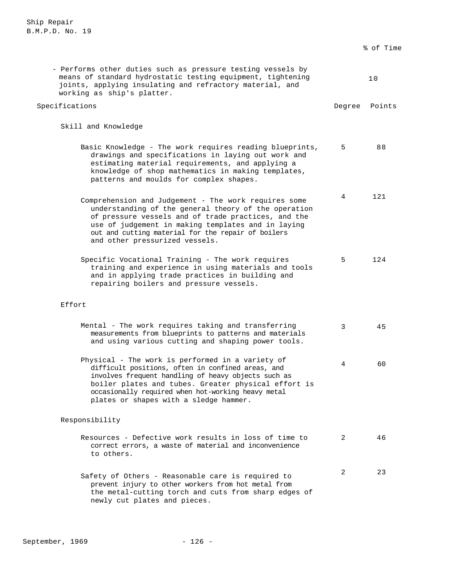% of Time

| - Performs other duties such as pressure testing vessels by<br>means of standard hydrostatic testing equipment, tightening<br>joints, applying insulating and refractory material, and<br>working as ship's platter.                                                                                                |        | 10     |
|---------------------------------------------------------------------------------------------------------------------------------------------------------------------------------------------------------------------------------------------------------------------------------------------------------------------|--------|--------|
| Specifications                                                                                                                                                                                                                                                                                                      | Degree | Points |
| Skill and Knowledge                                                                                                                                                                                                                                                                                                 |        |        |
| Basic Knowledge - The work requires reading blueprints,<br>drawings and specifications in laying out work and<br>estimating material requirements, and applying a<br>knowledge of shop mathematics in making templates,<br>patterns and moulds for complex shapes.                                                  | 5      | 88     |
| Comprehension and Judgement - The work requires some<br>understanding of the general theory of the operation<br>of pressure vessels and of trade practices, and the<br>use of judgement in making templates and in laying<br>out and cutting material for the repair of boilers<br>and other pressurized vessels.   | 4      | 121    |
| Specific Vocational Training - The work requires<br>training and experience in using materials and tools<br>and in applying trade practices in building and<br>repairing boilers and pressure vessels.                                                                                                              | 5      | 124    |
| Effort                                                                                                                                                                                                                                                                                                              |        |        |
| Mental - The work requires taking and transferring<br>measurements from blueprints to patterns and materials<br>and using various cutting and shaping power tools.                                                                                                                                                  | 3      | 45     |
| Physical - The work is performed in a variety of<br>difficult positions, often in confined areas, and<br>involves frequent handling of heavy objects such as<br>boiler plates and tubes. Greater physical effort is<br>occasionally required when hot-working heavy metal<br>plates or shapes with a sledge hammer. | 4      | 60     |
| Responsibility                                                                                                                                                                                                                                                                                                      |        |        |
| Resources - Defective work results in loss of time to<br>correct errors, a waste of material and inconvenience<br>to others.                                                                                                                                                                                        | 2      | 46     |
| Safety of Others - Reasonable care is required to<br>prevent injury to other workers from hot metal from<br>the metal-cutting torch and cuts from sharp edges of<br>newly cut plates and pieces.                                                                                                                    | 2      | 23     |
|                                                                                                                                                                                                                                                                                                                     |        |        |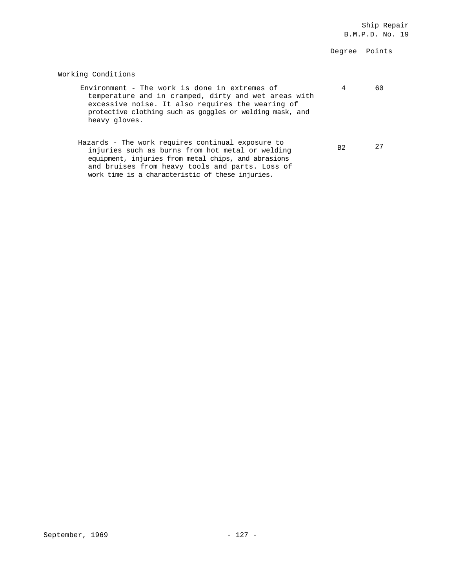Degree Points

## Working Conditions

| Environment - The work is done in extremes of<br>temperature and in cramped, dirty and wet areas with<br>excessive noise. It also requires the wearing of<br>protective clothing such as goggles or welding mask, and<br>heavy gloves.                              | 4              | 60 |
|---------------------------------------------------------------------------------------------------------------------------------------------------------------------------------------------------------------------------------------------------------------------|----------------|----|
| Hazards - The work requires continual exposure to<br>injuries such as burns from hot metal or welding<br>equipment, injuries from metal chips, and abrasions<br>and bruises from heavy tools and parts. Loss of<br>work time is a characteristic of these injuries. | B <sub>2</sub> | 27 |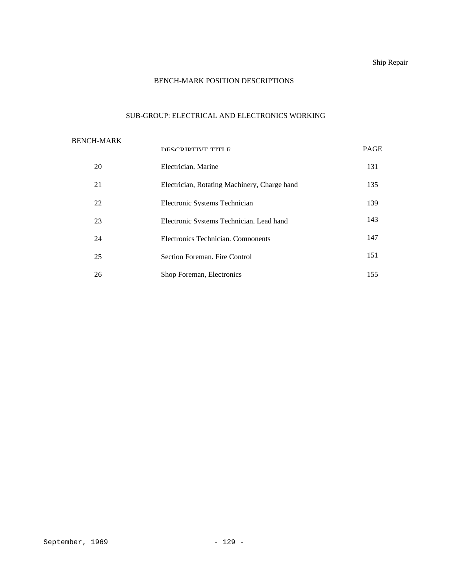# Ship Repair

## BENCH-MARK POSITION DESCRIPTIONS

## SUB-GROUP: ELECTRICAL AND ELECTRONICS WORKING

## BENCH-MARK

|    | DESCRIPTIVE TITLE                            | <b>PAGE</b> |
|----|----------------------------------------------|-------------|
| 20 | Electrician, Marine                          | 131         |
| 21 | Electrician, Rotating Machinery, Charge hand | 135         |
| 22 | Electronic Systems Technician                | 139         |
| 23 | Electronic Systems Technician. Lead hand     | 143         |
| 24 | Electronics Technician, Components           | 147         |
| 25 | Section Foreman, Fire Control                | 151         |
| 26 | Shop Foreman, Electronics                    | 155         |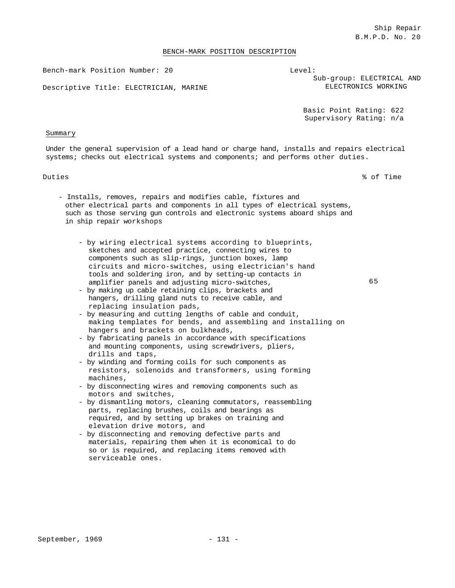### BENCH-MARK POSITION DESCRIPTION

Bench-mark Position Number: 20

Descriptive Title: ELECTRICIAN, MARINE

Sub-group: ELECTRICAL AND ELECTRONICS WORKING

Basic Point Rating: 622 Supervisory Rating: n/a

Level:

### Summary

Under the general supervision of a lead hand or charge hand, installs and repairs electrical systems; checks out electrical systems and components; and performs other duties.

Duties % of Time

- Installs, removes, repairs and modifies cable, fixtures and other electrical parts and components in all types of electrical systems, such as those serving gun controls and electronic systems aboard ships and in ship repair workshops
	- by wiring electrical systems according to blueprints, sketches and accepted practice, connecting wires to components such as slip-rings, junction boxes, lamp circuits and micro-switches, using electrician's hand tools and soldering iron, and by setting-up contacts in amplifier panels and adjusting micro-switches,
	- by making up cable retaining clips, brackets and hangers, drilling gland nuts to receive cable, and replacing insulation pads,
	- by measuring and cutting lengths of cable and conduit, making templates for bends, and assembling and installing on hangers and brackets on bulkheads,
	- by fabricating panels in accordance with specifications and mounting components, using screwdrivers, pliers, drills and taps,
	- by winding and forming coils for such components as resistors, solenoids and transformers, using forming machines,
	- by disconnecting wires and removing components such as motors and switches,
	- by dismantling motors, cleaning commutators, reassembling parts, replacing brushes, coils and bearings as required, and by setting up brakes on training and elevation drive motors, and
	- by disconnecting and removing defective parts and materials, repairing them when it is economical to do so or is required, and replacing items removed with serviceable ones.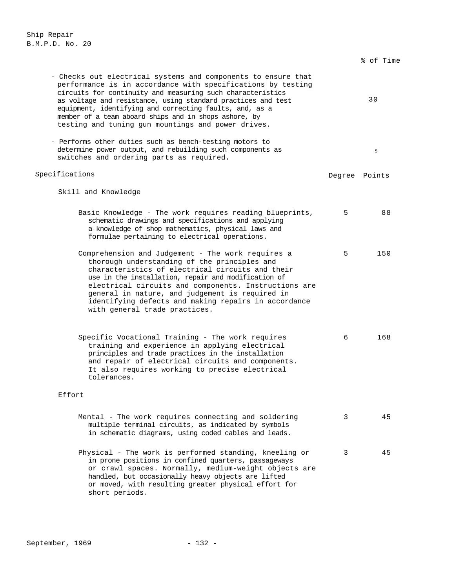|                                                                                                                                                                                                                                                                                                                                                                                                                                      |   | % of Time     |
|--------------------------------------------------------------------------------------------------------------------------------------------------------------------------------------------------------------------------------------------------------------------------------------------------------------------------------------------------------------------------------------------------------------------------------------|---|---------------|
| - Checks out electrical systems and components to ensure that<br>performance is in accordance with specifications by testing<br>circuits for continuity and measuring such characteristics<br>as voltage and resistance, using standard practices and test<br>equipment, identifying and correcting faults, and, as a<br>member of a team aboard ships and in shops ashore, by<br>testing and tuning gun mountings and power drives. |   | 30            |
| - Performs other duties such as bench-testing motors to<br>determine power output, and rebuilding such components as<br>switches and ordering parts as required.                                                                                                                                                                                                                                                                     |   | 5             |
| Specifications                                                                                                                                                                                                                                                                                                                                                                                                                       |   | Degree Points |
| Skill and Knowledge                                                                                                                                                                                                                                                                                                                                                                                                                  |   |               |
| Basic Knowledge - The work requires reading blueprints,<br>schematic drawings and specifications and applying<br>a knowledge of shop mathematics, physical laws and<br>formulae pertaining to electrical operations.                                                                                                                                                                                                                 | 5 | 88            |
| Comprehension and Judgement - The work requires a<br>thorough understanding of the principles and<br>characteristics of electrical circuits and their<br>use in the installation, repair and modification of<br>electrical circuits and components. Instructions are<br>general in nature, and judgement is required in<br>identifying defects and making repairs in accordance<br>with general trade practices.                     | 5 | 150           |
| Specific Vocational Training - The work requires<br>training and experience in applying electrical<br>principles and trade practices in the installation<br>and repair of electrical circuits and components.<br>It also requires working to precise electrical<br>tolerances.                                                                                                                                                       | 6 | 168           |
| Effort                                                                                                                                                                                                                                                                                                                                                                                                                               |   |               |
| Mental - The work requires connecting and soldering<br>multiple terminal circuits, as indicated by symbols<br>in schematic diagrams, using coded cables and leads.                                                                                                                                                                                                                                                                   | 3 | 45            |
| Physical - The work is performed standing, kneeling or<br>in prone positions in confined quarters, passageways<br>or crawl spaces. Normally, medium-weight objects are<br>handled, but occasionally heavy objects are lifted<br>or moved, with resulting greater physical effort for<br>short periods.                                                                                                                               | 3 | 45            |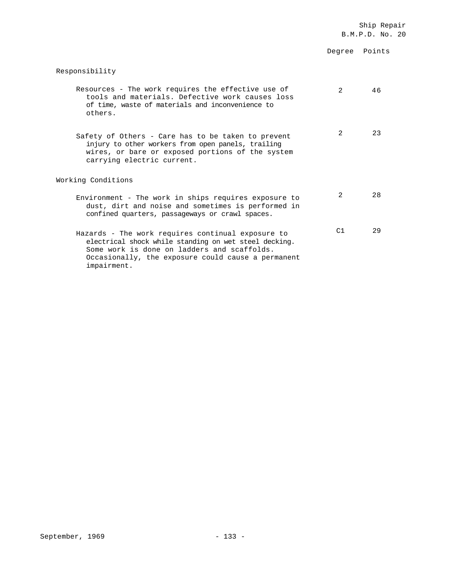|                                                                                                                                                                                                                                | Degree         | Points |
|--------------------------------------------------------------------------------------------------------------------------------------------------------------------------------------------------------------------------------|----------------|--------|
| Responsibility                                                                                                                                                                                                                 |                |        |
| Resources - The work requires the effective use of<br>tools and materials. Defective work causes loss<br>of time, waste of materials and inconvenience to<br>others.                                                           | $\mathcal{L}$  | 46     |
| Safety of Others - Care has to be taken to prevent<br>injury to other workers from open panels, trailing<br>wires, or bare or exposed portions of the system<br>carrying electric current.                                     | 2              | 23     |
| Working Conditions                                                                                                                                                                                                             |                |        |
| Environment - The work in ships requires exposure to<br>dust, dirt and noise and sometimes is performed in<br>confined quarters, passageways or crawl spaces.                                                                  | $\overline{a}$ | 28     |
| Hazards - The work requires continual exposure to<br>electrical shock while standing on wet steel decking.<br>Some work is done on ladders and scaffolds.<br>Occasionally, the exposure could cause a permanent<br>impairment. | C <sub>1</sub> | 29     |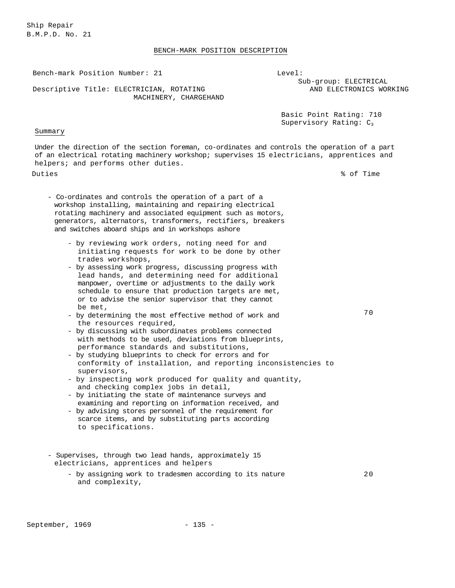### BENCH-MARK POSITION DESCRIPTION

Bench-mark Position Number: 21

Level:

Sub-group: ELECTRICAL AND ELECTRONICS WORKING

Descriptive Title: ELECTRICIAN, ROTATING MACHINERY, CHARGEHAND

> Basic Point Rating: 710 Supervisory Rating:  $C_3$

### Summary

Under the direction of the section foreman, co-ordinates and controls the operation of a part of an electrical rotating machinery workshop; supervises 15 electricians, apprentices and helpers; and performs other duties.

Duties % of Time

- Co-ordinates and controls the operation of a part of a workshop installing, maintaining and repairing electrical rotating machinery and associated equipment such as motors, generators, alternators, transformers, rectifiers, breakers and switches aboard ships and in workshops ashore
	- by reviewing work orders, noting need for and initiating requests for work to be done by other trades workshops,
	- by assessing work progress, discussing progress with lead hands, and determining need for additional manpower, overtime or adjustments to the daily work schedule to ensure that production targets are met, or to advise the senior supervisor that they cannot be met,
	- by determining the most effective method of work and the resources required,
	- by discussing with subordinates problems connected with methods to be used, deviations from blueprints, performance standards and substitutions,
	- by studying blueprints to check for errors and for conformity of installation, and reporting inconsistencies to supervisors,
	- by inspecting work produced for quality and quantity, and checking complex jobs in detail,
	- by initiating the state of maintenance surveys and examining and reporting on information received, and
	- by advising stores personnel of the requirement for scarce items, and by substituting parts according to specifications.

- Supervises, through two lead hands, approximately 15 electricians, apprentices and helpers

- by assigning work to tradesmen according to its nature and complexity, 20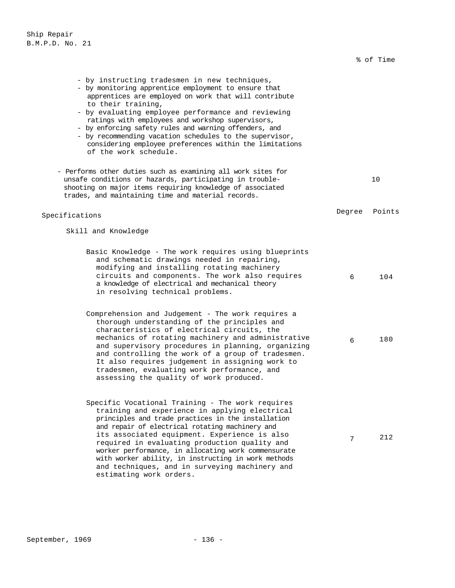| - by instructing tradesmen in new techniques,<br>- by monitoring apprentice employment to ensure that<br>apprentices are employed on work that will contribute<br>to their training,<br>- by evaluating employee performance and reviewing<br>ratings with employees and workshop supervisors,<br>- by enforcing safety rules and warning offenders, and<br>- by recommending vacation schedules to the supervisor,<br>considering employee preferences within the limitations<br>of the work schedule. |        |        |
|---------------------------------------------------------------------------------------------------------------------------------------------------------------------------------------------------------------------------------------------------------------------------------------------------------------------------------------------------------------------------------------------------------------------------------------------------------------------------------------------------------|--------|--------|
| - Performs other duties such as examining all work sites for<br>unsafe conditions or hazards, participating in trouble-<br>shooting on major items requiring knowledge of associated<br>trades, and maintaining time and material records.                                                                                                                                                                                                                                                              |        | 10     |
| Specifications                                                                                                                                                                                                                                                                                                                                                                                                                                                                                          | Degree | Points |
| Skill and Knowledge                                                                                                                                                                                                                                                                                                                                                                                                                                                                                     |        |        |
| Basic Knowledge - The work requires using blueprints<br>and schematic drawings needed in repairing,<br>modifying and installing rotating machinery<br>circuits and components. The work also requires<br>a knowledge of electrical and mechanical theory<br>in resolving technical problems.                                                                                                                                                                                                            | 6      | 104    |
| Comprehension and Judgement - The work requires a<br>thorough understanding of the principles and<br>characteristics of electrical circuits, the<br>mechanics of rotating machinery and administrative<br>and supervisory procedures in planning, organizing<br>and controlling the work of a group of tradesmen.<br>It also requires judgement in assigning work to<br>tradesmen, evaluating work performance, and<br>assessing the quality of work produced.                                          | 6      | 180    |
| Specific Vocational Training - The work requires<br>training and experience in applying electrical<br>principles and trade practices in the installation<br>and repair of electrical rotating machinery and<br>its associated equipment. Experience is also<br>required in evaluating production quality and<br>worker performance, in allocating work commensurate<br>with worker ability, in instructing in work methods<br>and techniques, and in surveying machinery and<br>estimating work orders. | 7      | 212    |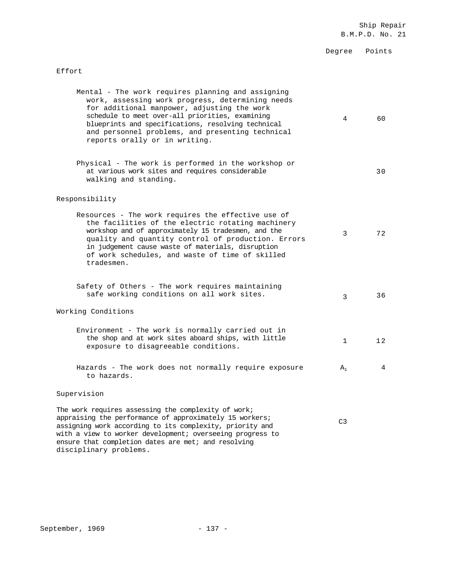Degree Points

## Effort

| Mental - The work requires planning and assigning<br>work, assessing work progress, determining needs<br>for additional manpower, adjusting the work<br>schedule to meet over-all priorities, examining<br>blueprints and specifications, resolving technical<br>and personnel problems, and presenting technical<br>reports orally or in writing. | 4              | 60 |
|----------------------------------------------------------------------------------------------------------------------------------------------------------------------------------------------------------------------------------------------------------------------------------------------------------------------------------------------------|----------------|----|
| Physical - The work is performed in the workshop or<br>at various work sites and requires considerable<br>walking and standing.                                                                                                                                                                                                                    |                | 30 |
| Responsibility                                                                                                                                                                                                                                                                                                                                     |                |    |
| Resources - The work requires the effective use of<br>the facilities of the electric rotating machinery<br>workshop and of approximately 15 tradesmen, and the<br>quality and quantity control of production. Errors<br>in judgement cause waste of materials, disruption<br>of work schedules, and waste of time of skilled<br>tradesmen.         | 3              | 72 |
| Safety of Others - The work requires maintaining<br>safe working conditions on all work sites.                                                                                                                                                                                                                                                     | 3              | 36 |
| Working Conditions                                                                                                                                                                                                                                                                                                                                 |                |    |
| Environment - The work is normally carried out in<br>the shop and at work sites aboard ships, with little<br>exposure to disagreeable conditions.                                                                                                                                                                                                  | $\mathbf{1}$   | 12 |
| Hazards - The work does not normally require exposure<br>to hazards.                                                                                                                                                                                                                                                                               | $A_1$          | 4  |
| Supervision                                                                                                                                                                                                                                                                                                                                        |                |    |
| The work requires assessing the complexity of work;<br>appraising the performance of approximately 15 workers;<br>assigning work according to its complexity, priority and<br>with a view to worker development; overseeing progress to                                                                                                            | C <sub>3</sub> |    |

disciplinary problems.

ensure that completion dates are met; and resolving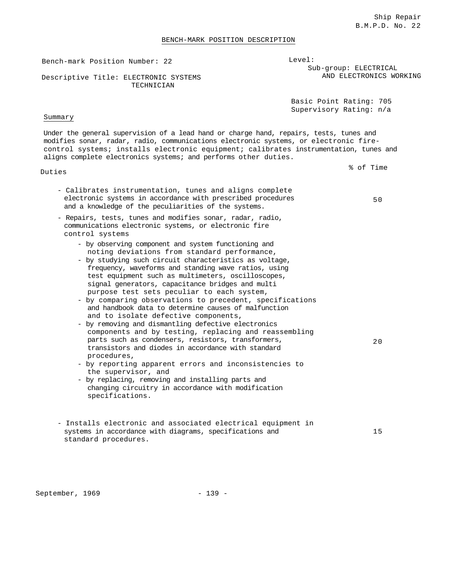## BENCH-MARK POSITION DESCRIPTION

| Bench-mark Position Number: 22                                                                                                                                                                                                                                                                                                                                                                                                                                                                                                                                                                                                                                                                                                                                                                                                                                                                                                                                                                                                                                                                                                              | Level:<br>Sub-group: ELECTRICAL                    |  |
|---------------------------------------------------------------------------------------------------------------------------------------------------------------------------------------------------------------------------------------------------------------------------------------------------------------------------------------------------------------------------------------------------------------------------------------------------------------------------------------------------------------------------------------------------------------------------------------------------------------------------------------------------------------------------------------------------------------------------------------------------------------------------------------------------------------------------------------------------------------------------------------------------------------------------------------------------------------------------------------------------------------------------------------------------------------------------------------------------------------------------------------------|----------------------------------------------------|--|
| Descriptive Title: ELECTRONIC SYSTEMS<br>TECHNICIAN                                                                                                                                                                                                                                                                                                                                                                                                                                                                                                                                                                                                                                                                                                                                                                                                                                                                                                                                                                                                                                                                                         | AND ELECTRONICS WORKING                            |  |
| Summary                                                                                                                                                                                                                                                                                                                                                                                                                                                                                                                                                                                                                                                                                                                                                                                                                                                                                                                                                                                                                                                                                                                                     | Basic Point Rating: 705<br>Supervisory Rating: n/a |  |
| Under the general supervision of a lead hand or charge hand, repairs, tests, tunes and<br>modifies sonar, radar, radio, communications electronic systems, or electronic fire-<br>control systems; installs electronic equipment; calibrates instrumentation, tunes and<br>aligns complete electronics systems; and performs other duties.                                                                                                                                                                                                                                                                                                                                                                                                                                                                                                                                                                                                                                                                                                                                                                                                  |                                                    |  |
| Duties                                                                                                                                                                                                                                                                                                                                                                                                                                                                                                                                                                                                                                                                                                                                                                                                                                                                                                                                                                                                                                                                                                                                      | % of Time                                          |  |
| - Calibrates instrumentation, tunes and aligns complete<br>electronic systems in accordance with prescribed procedures<br>and a knowledge of the peculiarities of the systems.                                                                                                                                                                                                                                                                                                                                                                                                                                                                                                                                                                                                                                                                                                                                                                                                                                                                                                                                                              | 50                                                 |  |
| - Repairs, tests, tunes and modifies sonar, radar, radio,<br>communications electronic systems, or electronic fire<br>control systems<br>- by observing component and system functioning and<br>noting deviations from standard performance,<br>- by studying such circuit characteristics as voltage,<br>frequency, waveforms and standing wave ratios, using<br>test equipment such as multimeters, oscilloscopes,<br>signal generators, capacitance bridges and multi<br>purpose test sets peculiar to each system,<br>- by comparing observations to precedent, specifications<br>and handbook data to determine causes of malfunction<br>and to isolate defective components,<br>- by removing and dismantling defective electronics<br>components and by testing, replacing and reassembling<br>parts such as condensers, resistors, transformers,<br>transistors and diodes in accordance with standard<br>procedures,<br>- by reporting apparent errors and inconsistencies to<br>the supervisor, and<br>- by replacing, removing and installing parts and<br>changing circuitry in accordance with modification<br>specifications. | 20                                                 |  |
| - Installs electronic and associated electrical equipment in<br>systems in accordance with diagrams, specifications and<br>standard procedures.                                                                                                                                                                                                                                                                                                                                                                                                                                                                                                                                                                                                                                                                                                                                                                                                                                                                                                                                                                                             | 15                                                 |  |

September, 1969 - 139 -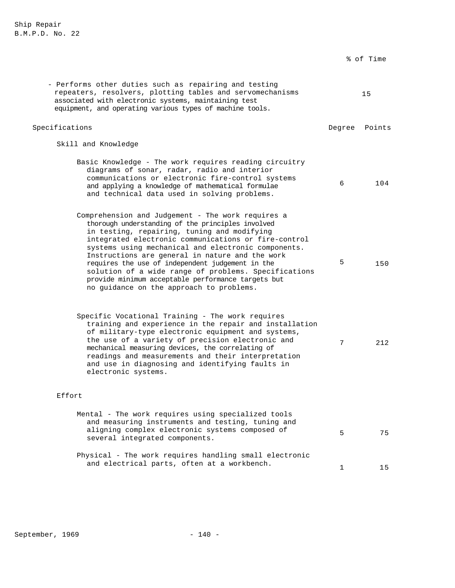|                                                                                                                                                                                                                                                                                                                                                                                                                                                                                                                                       |              | % of Time |
|---------------------------------------------------------------------------------------------------------------------------------------------------------------------------------------------------------------------------------------------------------------------------------------------------------------------------------------------------------------------------------------------------------------------------------------------------------------------------------------------------------------------------------------|--------------|-----------|
| - Performs other duties such as repairing and testing<br>repeaters, resolvers, plotting tables and servomechanisms<br>associated with electronic systems, maintaining test<br>equipment, and operating various types of machine tools.                                                                                                                                                                                                                                                                                                |              | 15        |
| Specifications                                                                                                                                                                                                                                                                                                                                                                                                                                                                                                                        | Degree       | Points    |
| Skill and Knowledge                                                                                                                                                                                                                                                                                                                                                                                                                                                                                                                   |              |           |
| Basic Knowledge - The work requires reading circuitry<br>diagrams of sonar, radar, radio and interior<br>communications or electronic fire-control systems<br>and applying a knowledge of mathematical formulae<br>and technical data used in solving problems.                                                                                                                                                                                                                                                                       | 6            | 104       |
| Comprehension and Judgement - The work requires a<br>thorough understanding of the principles involved<br>in testing, repairing, tuning and modifying<br>integrated electronic communications or fire-control<br>systems using mechanical and electronic components.<br>Instructions are general in nature and the work<br>requires the use of independent judgement in the<br>solution of a wide range of problems. Specifications<br>provide minimum acceptable performance targets but<br>no guidance on the approach to problems. | 5            | 150       |
| Specific Vocational Training - The work requires<br>training and experience in the repair and installation<br>of military-type electronic equipment and systems,<br>the use of a variety of precision electronic and<br>mechanical measuring devices, the correlating of<br>readings and measurements and their interpretation<br>and use in diagnosing and identifying faults in<br>electronic systems.                                                                                                                              | 7            | 212       |
| Effort                                                                                                                                                                                                                                                                                                                                                                                                                                                                                                                                |              |           |
| Mental - The work requires using specialized tools<br>and measuring instruments and testing, tuning and<br>aligning complex electronic systems composed of<br>several integrated components.                                                                                                                                                                                                                                                                                                                                          | 5            | 75        |
| Physical - The work requires handling small electronic<br>and electrical parts, often at a workbench.                                                                                                                                                                                                                                                                                                                                                                                                                                 | $\mathbf{1}$ | 15        |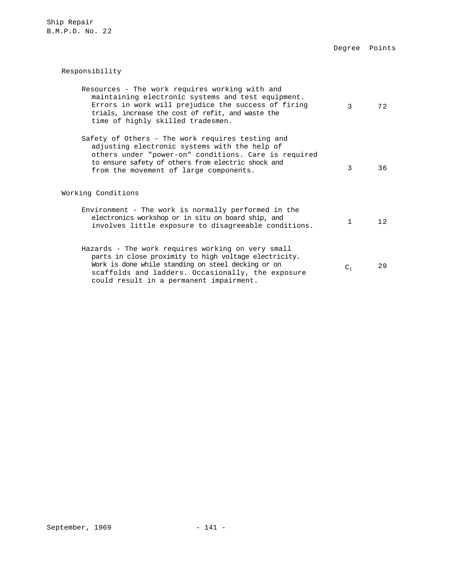## Responsibility

| Resources - The work requires working with and<br>maintaining electronic systems and test equipment.<br>Errors in work will prejudice the success of firing<br>trials, increase the cost of refit, and waste the<br>time of highly skilled tradesmen.            | $\mathcal{L}$  | 72 |
|------------------------------------------------------------------------------------------------------------------------------------------------------------------------------------------------------------------------------------------------------------------|----------------|----|
| Safety of Others - The work requires testing and<br>adjusting electronic systems with the help of<br>others under "power-on" conditions. Care is required<br>to ensure safety of others from electric shock and<br>from the movement of large components.        | $\mathcal{L}$  | 36 |
| Working Conditions                                                                                                                                                                                                                                               |                |    |
| Environment - The work is normally performed in the<br>electronics workshop or in situ on board ship, and<br>involves little exposure to disagreeable conditions.                                                                                                | $\mathbf{1}$   | 12 |
| Hazards - The work requires working on very small<br>parts in close proximity to high voltage electricity.<br>Work is done while standing on steel decking or on<br>scaffolds and ladders. Occasionally, the exposure<br>could result in a permanent impairment. | C <sub>1</sub> | 29 |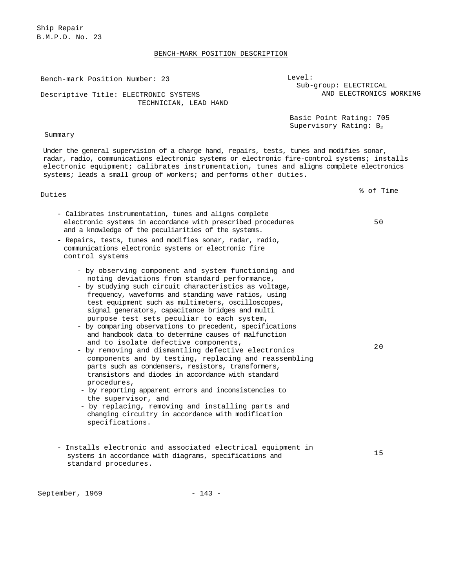### BENCH-MARK POSITION DESCRIPTION

Bench-mark Position Number: 23

Level: Sub-group: ELECTRICAL AND ELECTRONICS WORKING

Descriptive Title: ELECTRONIC SYSTEMS TECHNICIAN, LEAD HAND

> Basic Point Rating: 705 Supervisory Rating: B<sub>2</sub>

### Summary

Under the general supervision of a charge hand, repairs, tests, tunes and modifies sonar, radar, radio, communications electronic systems or electronic fire-control systems; installs electronic equipment; calibrates instrumentation, tunes and aligns complete electronics systems; leads a small group of workers; and performs other duties.

| Duties                                                                                                                                                                                                                                                                                                                                                                                                                                                                                                                                                                                                                                                                                                                                                                                                                                                                                                                                                                                             | % of Time |
|----------------------------------------------------------------------------------------------------------------------------------------------------------------------------------------------------------------------------------------------------------------------------------------------------------------------------------------------------------------------------------------------------------------------------------------------------------------------------------------------------------------------------------------------------------------------------------------------------------------------------------------------------------------------------------------------------------------------------------------------------------------------------------------------------------------------------------------------------------------------------------------------------------------------------------------------------------------------------------------------------|-----------|
| - Calibrates instrumentation, tunes and aligns complete<br>electronic systems in accordance with prescribed procedures<br>and a knowledge of the peculiarities of the systems.<br>- Repairs, tests, tunes and modifies sonar, radar, radio,<br>communications electronic systems or electronic fire<br>control systems                                                                                                                                                                                                                                                                                                                                                                                                                                                                                                                                                                                                                                                                             | 50        |
| - by observing component and system functioning and<br>noting deviations from standard performance,<br>- by studying such circuit characteristics as voltage,<br>frequency, waveforms and standing wave ratios, using<br>test equipment such as multimeters, oscilloscopes,<br>signal generators, capacitance bridges and multi<br>purpose test sets peculiar to each system,<br>- by comparing observations to precedent, specifications<br>and handbook data to determine causes of malfunction<br>and to isolate defective components,<br>- by removing and dismantling defective electronics<br>components and by testing, replacing and reassembling<br>parts such as condensers, resistors, transformers,<br>transistors and diodes in accordance with standard<br>procedures,<br>- by reporting apparent errors and inconsistencies to<br>the supervisor, and<br>- by replacing, removing and installing parts and<br>changing circuitry in accordance with modification<br>specifications. | 20        |
| Installs electronic and associated electrical equipment in<br>$-$<br>systems in accordance with diagrams, specifications and                                                                                                                                                                                                                                                                                                                                                                                                                                                                                                                                                                                                                                                                                                                                                                                                                                                                       | 15        |

September, 1969 - 143 -

standard procedures.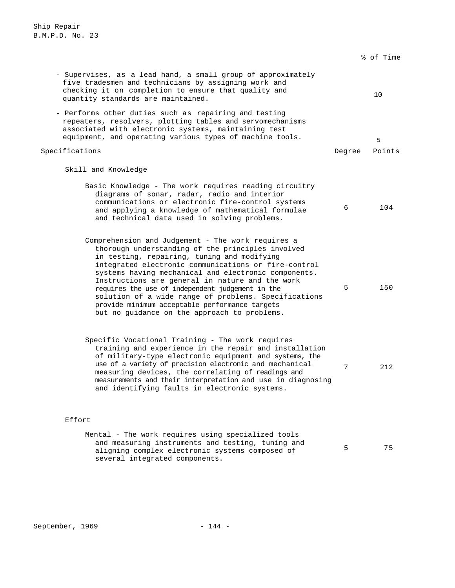|                                                                                                                                                                                                                                                                                                                                                                                                                                                                                                                                        |        | % of Time |
|----------------------------------------------------------------------------------------------------------------------------------------------------------------------------------------------------------------------------------------------------------------------------------------------------------------------------------------------------------------------------------------------------------------------------------------------------------------------------------------------------------------------------------------|--------|-----------|
| - Supervises, as a lead hand, a small group of approximately<br>five tradesmen and technicians by assigning work and<br>checking it on completion to ensure that quality and<br>quantity standards are maintained.                                                                                                                                                                                                                                                                                                                     |        | 10        |
| - Performs other duties such as repairing and testing<br>repeaters, resolvers, plotting tables and servomechanisms<br>associated with electronic systems, maintaining test<br>equipment, and operating various types of machine tools.                                                                                                                                                                                                                                                                                                 |        | 5         |
| Specifications                                                                                                                                                                                                                                                                                                                                                                                                                                                                                                                         | Degree | Points    |
| Skill and Knowledge                                                                                                                                                                                                                                                                                                                                                                                                                                                                                                                    |        |           |
| Basic Knowledge - The work requires reading circuitry<br>diagrams of sonar, radar, radio and interior<br>communications or electronic fire-control systems<br>and applying a knowledge of mathematical formulae<br>and technical data used in solving problems.                                                                                                                                                                                                                                                                        | 6      | 104       |
| Comprehension and Judgement - The work requires a<br>thorough understanding of the principles involved<br>in testing, repairing, tuning and modifying<br>integrated electronic communications or fire-control<br>systems having mechanical and electronic components.<br>Instructions are general in nature and the work<br>requires the use of independent judgement in the<br>solution of a wide range of problems. Specifications<br>provide minimum acceptable performance targets<br>but no guidance on the approach to problems. | 5      | 150       |
| Specific Vocational Training - The work requires<br>training and experience in the repair and installation<br>of military-type electronic equipment and systems, the<br>use of a variety of precision electronic and mechanical<br>measuring devices, the correlating of readings and<br>measurements and their interpretation and use in diagnosing<br>and identifying faults in electronic systems.                                                                                                                                  | 7      | 212       |
| Effort                                                                                                                                                                                                                                                                                                                                                                                                                                                                                                                                 |        |           |

| Mental - The work requires using specialized tools |                |    |
|----------------------------------------------------|----------------|----|
| and measuring instruments and testing, tuning and  |                |    |
| aligning complex electronic systems composed of    | 5 <sup>1</sup> | 75 |
| several integrated components.                     |                |    |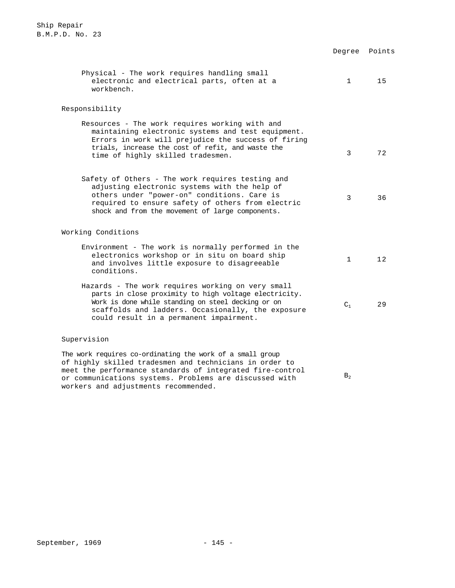|                                                                                                                                                                                                                                                                  | Degree         | Points |
|------------------------------------------------------------------------------------------------------------------------------------------------------------------------------------------------------------------------------------------------------------------|----------------|--------|
| Physical - The work requires handling small<br>electronic and electrical parts, often at a<br>workbench.                                                                                                                                                         | $\mathbf{1}$   | 15     |
| Responsibility                                                                                                                                                                                                                                                   |                |        |
| Resources - The work requires working with and<br>maintaining electronic systems and test equipment.<br>Errors in work will prejudice the success of firing<br>trials, increase the cost of refit, and waste the<br>time of highly skilled tradesmen.            | 3              | 72     |
| Safety of Others - The work requires testing and<br>adjusting electronic systems with the help of<br>others under "power-on" conditions. Care is<br>required to ensure safety of others from electric<br>shock and from the movement of large components.        | 3              | 36     |
| Working Conditions                                                                                                                                                                                                                                               |                |        |
| Environment - The work is normally performed in the<br>electronics workshop or in situ on board ship<br>and involves little exposure to disagreeable<br>conditions.                                                                                              | $\mathbf{1}$   | 12     |
| Hazards - The work requires working on very small<br>parts in close proximity to high voltage electricity.<br>Work is done while standing on steel decking or on<br>scaffolds and ladders. Occasionally, the exposure<br>could result in a permanent impairment. | C <sub>1</sub> | 29     |
| Supervision                                                                                                                                                                                                                                                      |                |        |
| The work requires co-ordinating the work of a small group<br>of highly skilled tradesmen and technicians in order to<br>meet the performance standards of integrated fire-control<br>or communications systems. Problems are discussed with                      | B <sub>2</sub> |        |

workers and adjustments recommended.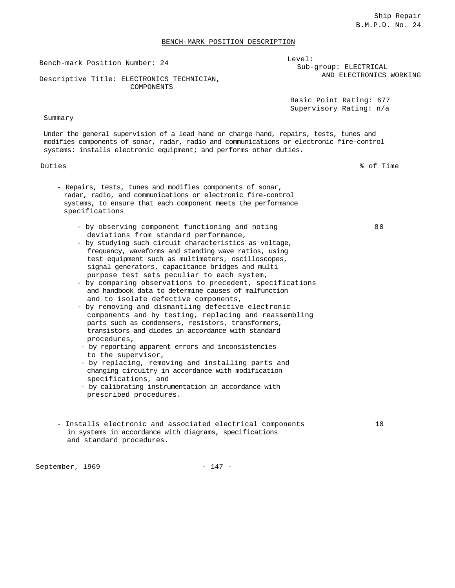10

## BENCH-MARK POSITION DESCRIPTION

| Bench-mark Position Number: 24                                                                                                                                                                                                                                                                                                                                                                                                                                                                                                                                                                                                                                                                                                                                                                                                                                                                                                                                                                                                                                          | Level:<br>Sub-group: ELECTRICAL                    |
|-------------------------------------------------------------------------------------------------------------------------------------------------------------------------------------------------------------------------------------------------------------------------------------------------------------------------------------------------------------------------------------------------------------------------------------------------------------------------------------------------------------------------------------------------------------------------------------------------------------------------------------------------------------------------------------------------------------------------------------------------------------------------------------------------------------------------------------------------------------------------------------------------------------------------------------------------------------------------------------------------------------------------------------------------------------------------|----------------------------------------------------|
| Descriptive Title: ELECTRONICS TECHNICIAN,<br>COMPONENTS                                                                                                                                                                                                                                                                                                                                                                                                                                                                                                                                                                                                                                                                                                                                                                                                                                                                                                                                                                                                                | AND ELECTRONICS WORKING                            |
| Summary                                                                                                                                                                                                                                                                                                                                                                                                                                                                                                                                                                                                                                                                                                                                                                                                                                                                                                                                                                                                                                                                 | Basic Point Rating: 677<br>Supervisory Rating: n/a |
|                                                                                                                                                                                                                                                                                                                                                                                                                                                                                                                                                                                                                                                                                                                                                                                                                                                                                                                                                                                                                                                                         |                                                    |
| Under the general supervision of a lead hand or charge hand, repairs, tests, tunes and<br>modifies components of sonar, radar, radio and communications or electronic fire-control<br>systems: installs electronic equipment; and performs other duties.                                                                                                                                                                                                                                                                                                                                                                                                                                                                                                                                                                                                                                                                                                                                                                                                                |                                                    |
| Duties                                                                                                                                                                                                                                                                                                                                                                                                                                                                                                                                                                                                                                                                                                                                                                                                                                                                                                                                                                                                                                                                  | % of Time                                          |
| - Repairs, tests, tunes and modifies components of sonar,<br>radar, radio, and communications or electronic fire-control<br>systems, to ensure that each component meets the performance<br>specifications                                                                                                                                                                                                                                                                                                                                                                                                                                                                                                                                                                                                                                                                                                                                                                                                                                                              |                                                    |
| - by observing component functioning and noting<br>deviations from standard performance,<br>- by studying such circuit characteristics as voltage,<br>frequency, waveforms and standing wave ratios, using<br>test equipment such as multimeters, oscilloscopes,<br>signal generators, capacitance bridges and multi<br>purpose test sets peculiar to each system,<br>- by comparing observations to precedent, specifications<br>and handbook data to determine causes of malfunction<br>and to isolate defective components,<br>- by removing and dismantling defective electronic<br>components and by testing, replacing and reassembling<br>parts such as condensers, resistors, transformers,<br>transistors and diodes in accordance with standard<br>procedures,<br>- by reporting apparent errors and inconsistencies<br>to the supervisor,<br>- by replacing, removing and installing parts and<br>changing circuitry in accordance with modification<br>specifications, and<br>- by calibrating instrumentation in accordance with<br>prescribed procedures. | 80                                                 |

- Installs electronic and associated electrical components in systems in accordance with diagrams, specifications and standard procedures.

September, 1969 - 147 -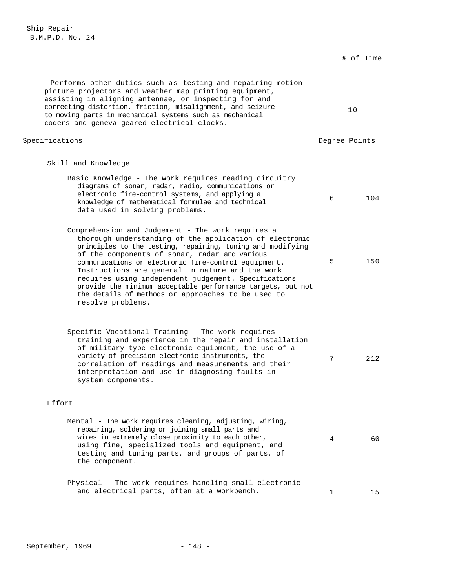|                                                                                                                                                                                                                                                                                                                                                                                                                                                                                                                                          |               | % of Time |
|------------------------------------------------------------------------------------------------------------------------------------------------------------------------------------------------------------------------------------------------------------------------------------------------------------------------------------------------------------------------------------------------------------------------------------------------------------------------------------------------------------------------------------------|---------------|-----------|
| - Performs other duties such as testing and repairing motion<br>picture projectors and weather map printing equipment,<br>assisting in aligning antennae, or inspecting for and<br>correcting distortion, friction, misalignment, and seizure<br>to moving parts in mechanical systems such as mechanical<br>coders and geneva-geared electrical clocks.                                                                                                                                                                                 |               | 10        |
| Specifications                                                                                                                                                                                                                                                                                                                                                                                                                                                                                                                           | Degree Points |           |
| Skill and Knowledge                                                                                                                                                                                                                                                                                                                                                                                                                                                                                                                      |               |           |
| Basic Knowledge - The work requires reading circuitry<br>diagrams of sonar, radar, radio, communications or<br>electronic fire-control systems, and applying a<br>knowledge of mathematical formulae and technical<br>data used in solving problems.                                                                                                                                                                                                                                                                                     | 6             | 104       |
| Comprehension and Judgement - The work requires a<br>thorough understanding of the application of electronic<br>principles to the testing, repairing, tuning and modifying<br>of the components of sonar, radar and various<br>communications or electronic fire-control equipment.<br>Instructions are general in nature and the work<br>requires using independent judgement. Specifications<br>provide the minimum acceptable performance targets, but not<br>the details of methods or approaches to be used to<br>resolve problems. | 5             | 150       |
| Specific Vocational Training - The work requires<br>training and experience in the repair and installation<br>of military-type electronic equipment, the use of a<br>variety of precision electronic instruments, the<br>correlation of readings and measurements and their<br>interpretation and use in diagnosing faults in<br>system components.                                                                                                                                                                                      | 7             | 212       |
| Effort                                                                                                                                                                                                                                                                                                                                                                                                                                                                                                                                   |               |           |
| Mental - The work requires cleaning, adjusting, wiring,<br>repairing, soldering or joining small parts and<br>wires in extremely close proximity to each other,<br>using fine, specialized tools and equipment, and<br>testing and tuning parts, and groups of parts, of<br>the component.                                                                                                                                                                                                                                               | 4             | 60        |
| Physical - The work requires handling small electronic<br>and electrical parts, often at a workbench.                                                                                                                                                                                                                                                                                                                                                                                                                                    | $\mathbf{1}$  | 15        |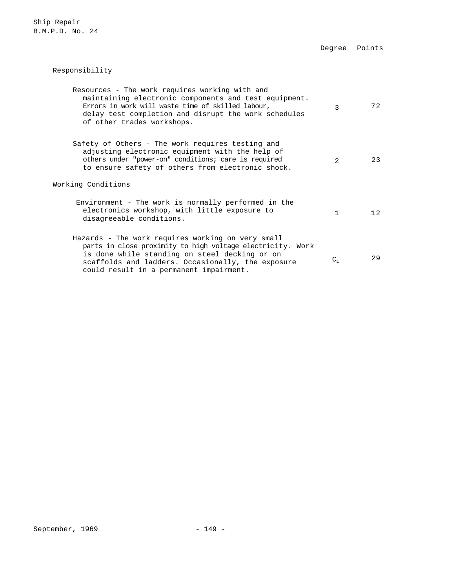## Responsibility

| Resources - The work requires working with and<br>maintaining electronic components and test equipment.<br>Errors in work will waste time of skilled labour,<br>delay test completion and disrupt the work schedules<br>of other trades workshops.               | 3              | 72  |
|------------------------------------------------------------------------------------------------------------------------------------------------------------------------------------------------------------------------------------------------------------------|----------------|-----|
| Safety of Others - The work requires testing and<br>adjusting electronic equipment with the help of<br>others under "power-on" conditions; care is required<br>to ensure safety of others from electronic shock.                                                 | $\mathfrak{D}$ | 23  |
| Working Conditions                                                                                                                                                                                                                                               |                |     |
| Environment - The work is normally performed in the<br>electronics workshop, with little exposure to<br>disagreeable conditions.                                                                                                                                 |                | 12  |
| Hazards - The work requires working on very small<br>parts in close proximity to high voltage electricity. Work<br>is done while standing on steel decking or on<br>scaffolds and ladders. Occasionally, the exposure<br>could result in a permanent impairment. | C <sub>1</sub> | 2.9 |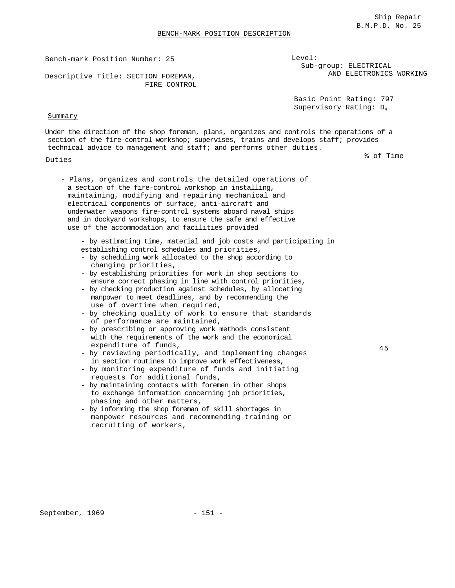45

Bench-mark Position Number: 25

Descriptive Title: SECTION FOREMAN, FIRE CONTROL Level: Sub-group: ELECTRICAL AND ELECTRONICS WORKING

Basic Point Rating: 797 Supervisory Rating: D4

### Summary

Under the direction of the shop foreman, plans, organizes and controls the operations of a section of the fire-control workshop; supervises, trains and develops staff; provides technical advice to management and staff; and performs other duties.

Duties % of Time

- Plans, organizes and controls the detailed operations of a section of the fire-control workshop in installing, maintaining, modifying and repairing mechanical and electrical components of surface, anti-aircraft and underwater weapons fire-control systems aboard naval ships and in dockyard workshops, to ensure the safe and effective use of the accommodation and facilities provided

- by estimating time, material and job costs and participating in establishing control schedules and priorities,

- by scheduling work allocated to the shop according to changing priorities,
- by establishing priorities for work in shop sections to ensure correct phasing in line with control priorities,
- by checking production against schedules, by allocating manpower to meet deadlines, and by recommending the use of overtime when required,
- by checking quality of work to ensure that standards of performance are maintained,
- by prescribing or approving work methods consistent with the requirements of the work and the economical expenditure of funds,
- by reviewing periodically, and implementing changes in section routines to improve work effectiveness,
- by monitoring expenditure of funds and initiating requests for additional funds,
- by maintaining contacts with foremen in other shops to exchange information concerning job priorities, phasing and other matters,
- by informing the shop foreman of skill shortages in manpower resources and recommending training or recruiting of workers,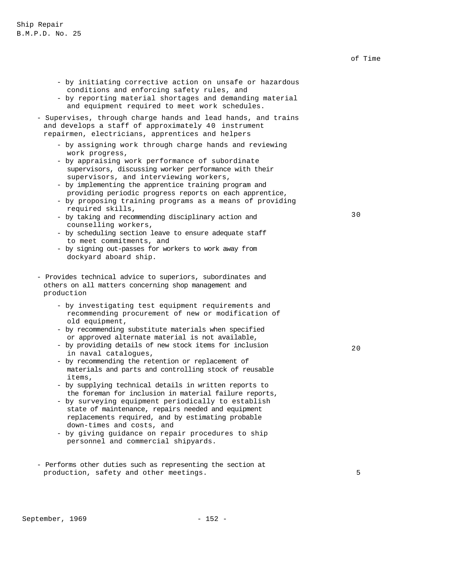- by reporting material shortages and demanding material and equipment required to meet work schedules.
- Supervises, through charge hands and lead hands, and trains and develops a staff of approximately 40 instrument repairmen, electricians, apprentices and helpers
	- by assigning work through charge hands and reviewing work progress,
	- by appraising work performance of subordinate supervisors, discussing worker performance with their supervisors, and interviewing workers,
	- by implementing the apprentice training program and providing periodic progress reports on each apprentice,
	- by proposing training programs as a means of providing required skills,
	- by taking and recommending disciplinary action and counselling workers,
	- by scheduling section leave to ensure adequate staff to meet commitments, and
	- by signing out-passes for workers to work away from dockyard aboard ship.
- Provides technical advice to superiors, subordinates and others on all matters concerning shop management and production
	- by investigating test equipment requirements and recommending procurement of new or modification of old equipment,
	- by recommending substitute materials when specified or approved alternate material is not available,
	- by providing details of new stock items for inclusion in naval catalogues,
	- by recommending the retention or replacement of materials and parts and controlling stock of reusable items,
	- by supplying technical details in written reports to the foreman for inclusion in material failure reports,
	- by surveying equipment periodically to establish state of maintenance, repairs needed and equipment replacements required, and by estimating probable down-times and costs, and
	- by giving guidance on repair procedures to ship personnel and commercial shipyards.
- Performs other duties such as representing the section at production, safety and other meetings. 5

30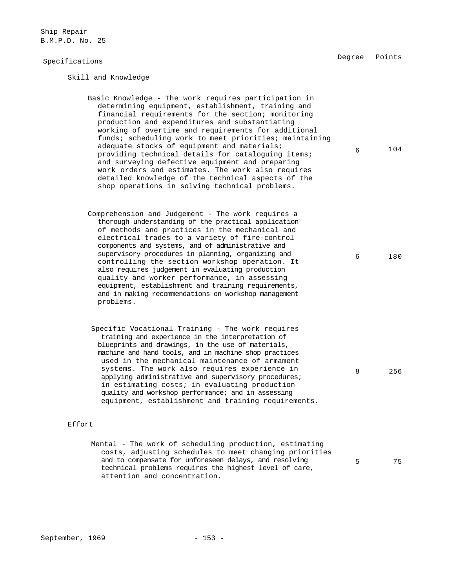# Specifications and the Specifications of the Specifications of the Degree Points of the Degree  $\alpha$

Skill and Knowledge

Basic Knowledge - The work requires participation in determining equipment, establishment, training and financial requirements for the section; monitoring production and expenditures and substantiating working of overtime and requirements for additional funds; scheduling work to meet priorities; maintaining adequate stocks of equipment and materials; providing technical details for cataloguing items; and surveying defective equipment and preparing work orders and estimates. The work also requires detailed knowledge of the technical aspects of the shop operations in solving technical problems.

Comprehension and Judgement - The work requires a thorough understanding of the practical application of methods and practices in the mechanical and electrical trades to a variety of fire-control components and systems, and of administrative and supervisory procedures in planning, organizing and controlling the section workshop operation. It also requires judgement in evaluating production quality and worker performance, in assessing equipment, establishment and training requirements, and in making recommendations on workshop management problems.

Specific Vocational Training - The work requires training and experience in the interpretation of blueprints and drawings, in the use of materials, machine and hand tools, and in machine shop practices used in the mechanical maintenance of armament systems. The work also requires experience in applying administrative and supervisory procedures; in estimating costs; in evaluating production quality and workshop performance; and in assessing equipment, establishment and training requirements.

### Effort

Mental - The work of scheduling production, estimating costs, adjusting schedules to meet changing priorities and to compensate for unforeseen delays, and resolving technical problems requires the highest level of care, attention and concentration. 5 75

6 104

6 180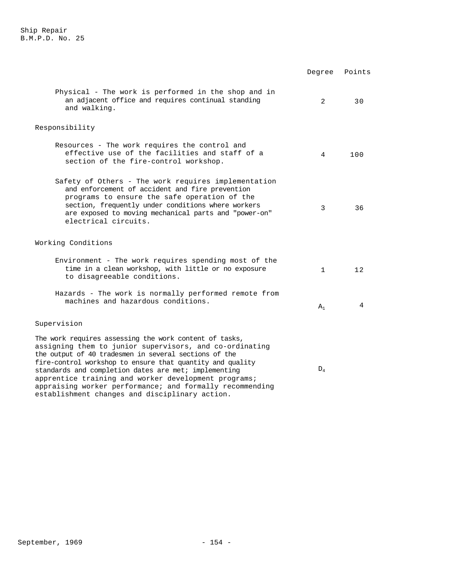|                                                                                                                                                                                                                                                                                                                                                                                                                                                                       | Degree      | Points |
|-----------------------------------------------------------------------------------------------------------------------------------------------------------------------------------------------------------------------------------------------------------------------------------------------------------------------------------------------------------------------------------------------------------------------------------------------------------------------|-------------|--------|
| Physical - The work is performed in the shop and in<br>an adjacent office and requires continual standing<br>and walking.                                                                                                                                                                                                                                                                                                                                             | 2           | 30     |
| Responsibility                                                                                                                                                                                                                                                                                                                                                                                                                                                        |             |        |
| Resources - The work requires the control and<br>effective use of the facilities and staff of a<br>section of the fire-control workshop.                                                                                                                                                                                                                                                                                                                              | 4           | 100    |
| Safety of Others - The work requires implementation<br>and enforcement of accident and fire prevention<br>programs to ensure the safe operation of the<br>section, frequently under conditions where workers<br>are exposed to moving mechanical parts and "power-on"<br>electrical circuits.                                                                                                                                                                         | 3           | 36     |
| Working Conditions                                                                                                                                                                                                                                                                                                                                                                                                                                                    |             |        |
| Environment - The work requires spending most of the<br>time in a clean workshop, with little or no exposure<br>to disagreeable conditions.                                                                                                                                                                                                                                                                                                                           | $\mathbf 1$ | 12     |
| Hazards - The work is normally performed remote from<br>machines and hazardous conditions.                                                                                                                                                                                                                                                                                                                                                                            | $A_1$       | 4      |
| Supervision                                                                                                                                                                                                                                                                                                                                                                                                                                                           |             |        |
| The work requires assessing the work content of tasks,<br>assigning them to junior supervisors, and co-ordinating<br>the output of 40 tradesmen in several sections of the<br>fire-control workshop to ensure that quantity and quality<br>standards and completion dates are met; implementing<br>apprentice training and worker development programs;<br>appraising worker performance; and formally recommending<br>establishment changes and disciplinary action. | $D_4$       |        |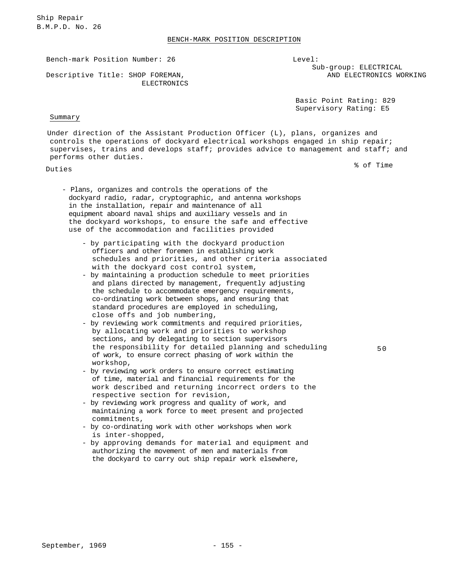### BENCH-MARK POSITION DESCRIPTION

Bench-mark Position Number: 26

Descriptive Title: SHOP FOREMAN, ELECTRONICS Level: Sub-group: ELECTRICAL AND ELECTRONICS WORKING

Basic Point Rating: 829 Supervisory Rating: E5

### Summary

Under direction of the Assistant Production Officer (L), plans, organizes and controls the operations of dockyard electrical workshops engaged in ship repair; supervises, trains and develops staff; provides advice to management and staff; and performs other duties.

Duties % of Time

- Plans, organizes and controls the operations of the dockyard radio, radar, cryptographic, and antenna workshops in the installation, repair and maintenance of all equipment aboard naval ships and auxiliary vessels and in the dockyard workshops, to ensure the safe and effective use of the accommodation and facilities provided
	- by participating with the dockyard production officers and other foremen in establishing work schedules and priorities, and other criteria associated with the dockyard cost control system,
	- by maintaining a production schedule to meet priorities and plans directed by management, frequently adjusting the schedule to accommodate emergency requirements, co-ordinating work between shops, and ensuring that standard procedures are employed in scheduling, close offs and job numbering,
	- by reviewing work commitments and required priorities, by allocating work and priorities to workshop sections, and by delegating to section supervisors the responsibility for detailed planning and scheduling of work, to ensure correct phasing of work within the workshop,
	- by reviewing work orders to ensure correct estimating of time, material and financial requirements for the work described and returning incorrect orders to the respective section for revision,
	- by reviewing work progress and quality of work, and maintaining a work force to meet present and projected commitments,
	- by co-ordinating work with other workshops when work is inter-shopped,
	- by approving demands for material and equipment and authorizing the movement of men and materials from the dockyard to carry out ship repair work elsewhere,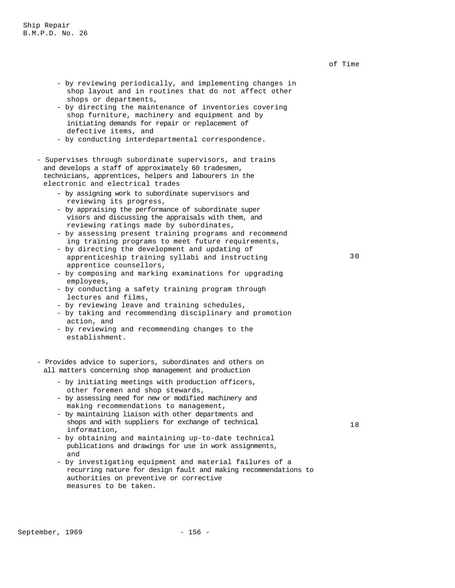- by reviewing periodically, and implementing changes in shop layout and in routines that do not affect other shops or departments,
- by directing the maintenance of inventories covering shop furniture, machinery and equipment and by initiating demands for repair or replacement of defective items, and
- by conducting interdepartmental correspondence.
- Supervises through subordinate supervisors, and trains and develops a staff of approximately 60 tradesmen, technicians, apprentices, helpers and labourers in the electronic and electrical trades
	- by assigning work to subordinate supervisors and reviewing its progress,
	- by appraising the performance of subordinate super visors and discussing the appraisals with them, and reviewing ratings made by subordinates,
	- by assessing present training programs and recommend ing training programs to meet future requirements,
	- by directing the development and updating of apprenticeship training syllabi and instructing apprentice counsellors,
	- by composing and marking examinations for upgrading employees,
	- by conducting a safety training program through lectures and films,
	- by reviewing leave and training schedules,
	- by taking and recommending disciplinary and promotion action, and
	- by reviewing and recommending changes to the establishment.
- Provides advice to superiors, subordinates and others on all matters concerning shop management and production
	- by initiating meetings with production officers, other foremen and shop stewards,
	- by assessing need for new or modified machinery and making recommendations to management,
	- by maintaining liaison with other departments and shops and with suppliers for exchange of technical information,
	- by obtaining and maintaining up-to-date technical publications and drawings for use in work assignments, and
	- by investigating equipment and material failures of a recurring nature for design fault and making recommendations to authorities on preventive or corrective measures to be taken.

30

of Time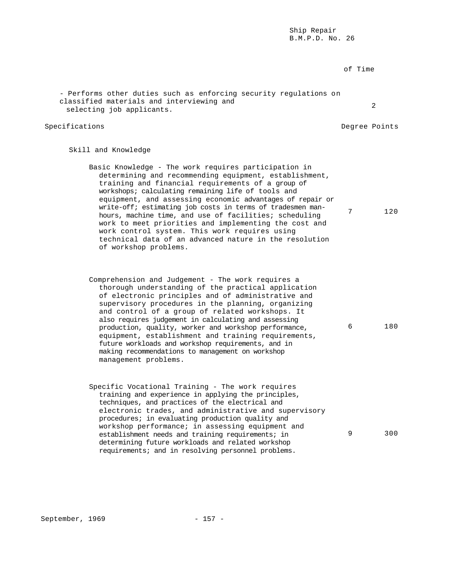- Performs other duties such as enforcing security regulations on classified materials and interviewing and assilied materials and interviewing and<br>selecting job applicants.

## Specifications **Degree Points Degree Points**

## Skill and Knowledge

Basic Knowledge - The work requires participation in determining and recommending equipment, establishment, training and financial requirements of a group of workshops; calculating remaining life of tools and equipment, and assessing economic advantages of repair or write-off; estimating job costs in terms of tradesmen manhours, machine time, and use of facilities; scheduling work to meet priorities and implementing the cost and work control system. This work requires using technical data of an advanced nature in the resolution of workshop problems.

Comprehension and Judgement - The work requires a thorough understanding of the practical application of electronic principles and of administrative and supervisory procedures in the planning, organizing and control of a group of related workshops. It also requires judgement in calculating and assessing production, quality, worker and workshop performance, equipment, establishment and training requirements, future workloads and workshop requirements, and in making recommendations to management on workshop management problems.

Specific Vocational Training - The work requires training and experience in applying the principles, techniques, and practices of the electrical and electronic trades, and administrative and supervisory procedures; in evaluating production quality and workshop performance; in assessing equipment and establishment needs and training requirements; in determining future workloads and related workshop requirements; and in resolving personnel problems.

Ship Repair B.M.P.D. No. 26

of Time

7 120

6 180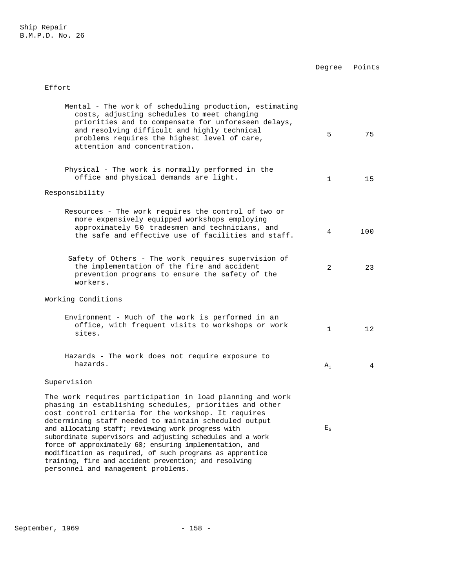Degree Points

## Effort

| Mental - The work of scheduling production, estimating<br>costs, adjusting schedules to meet changing<br>priorities and to compensate for unforeseen delays,<br>and resolving difficult and highly technical<br>problems requires the highest level of care,<br>attention and concentration.                                                                                                                                                                                                                                                                                   | 5            | 75             |
|--------------------------------------------------------------------------------------------------------------------------------------------------------------------------------------------------------------------------------------------------------------------------------------------------------------------------------------------------------------------------------------------------------------------------------------------------------------------------------------------------------------------------------------------------------------------------------|--------------|----------------|
| Physical - The work is normally performed in the<br>office and physical demands are light.                                                                                                                                                                                                                                                                                                                                                                                                                                                                                     | $\mathbf 1$  | 15             |
| Responsibility                                                                                                                                                                                                                                                                                                                                                                                                                                                                                                                                                                 |              |                |
| Resources - The work requires the control of two or<br>more expensively equipped workshops employing<br>approximately 50 tradesmen and technicians, and<br>the safe and effective use of facilities and staff.                                                                                                                                                                                                                                                                                                                                                                 | 4            | 100            |
| Safety of Others - The work requires supervision of<br>the implementation of the fire and accident<br>prevention programs to ensure the safety of the<br>workers.                                                                                                                                                                                                                                                                                                                                                                                                              | 2            | 23             |
| Working Conditions                                                                                                                                                                                                                                                                                                                                                                                                                                                                                                                                                             |              |                |
| Environment - Much of the work is performed in an<br>office, with frequent visits to workshops or work<br>sites.                                                                                                                                                                                                                                                                                                                                                                                                                                                               | $\mathbf{1}$ | 12             |
| Hazards - The work does not require exposure to<br>hazards.                                                                                                                                                                                                                                                                                                                                                                                                                                                                                                                    | $A_1$        | $\overline{4}$ |
| Supervision                                                                                                                                                                                                                                                                                                                                                                                                                                                                                                                                                                    |              |                |
| The work requires participation in load planning and work<br>phasing in establishing schedules, priorities and other<br>cost control criteria for the workshop. It requires<br>determining staff needed to maintain scheduled output<br>and allocating staff; reviewing work progress with<br>subordinate supervisors and adjusting schedules and a work<br>force of approximately 60; ensuring implementation, and<br>modification as required, of such programs as apprentice<br>training, fire and accident prevention; and resolving<br>personnel and management problems. | $E_5$        |                |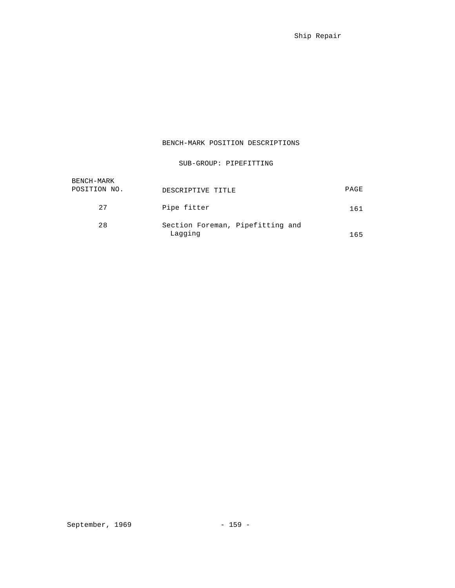Ship Repair

# BENCH-MARK POSITION DESCRIPTIONS

# SUB-GROUP: PIPEFITTING

| BENCH-MARK<br>POSITION NO. | DESCRIPTIVE TITLE                           | PAGE |
|----------------------------|---------------------------------------------|------|
| 27                         | Pipe fitter                                 | 161  |
| 28                         | Section Foreman, Pipefitting and<br>Lagging | 165  |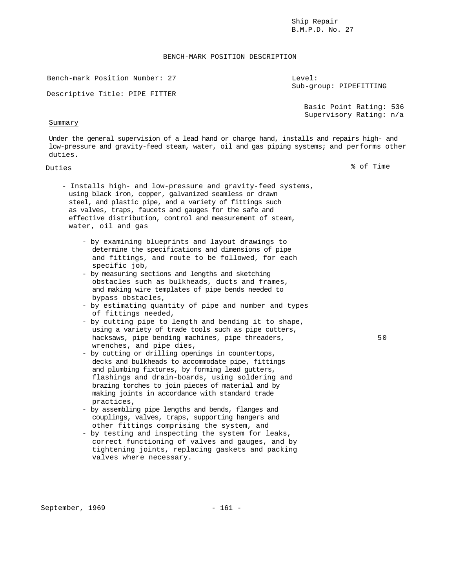#### BENCH-MARK POSITION DESCRIPTION

Bench-mark Position Number: 27

Descriptive Title: PIPE FITTER

Level: Sub-group: PIPEFITTING

> Basic Point Rating: 536 Supervisory Rating: n/a

## Summary

Under the general supervision of a lead hand or charge hand, installs and repairs high- and low-pressure and gravity-feed steam, water, oil and gas piping systems; and performs other duties.

Duties % of Time

- Installs high- and low-pressure and gravity-feed systems, using black iron, copper, galvanized seamless or drawn steel, and plastic pipe, and a variety of fittings such as valves, traps, faucets and gauges for the safe and effective distribution, control and measurement of steam, water, oil and gas
	- by examining blueprints and layout drawings to determine the specifications and dimensions of pipe and fittings, and route to be followed, for each specific job,
	- by measuring sections and lengths and sketching obstacles such as bulkheads, ducts and frames, and making wire templates of pipe bends needed to bypass obstacles,
	- by estimating quantity of pipe and number and types of fittings needed,
	- by cutting pipe to length and bending it to shape, using a variety of trade tools such as pipe cutters, hacksaws, pipe bending machines, pipe threaders, wrenches, and pipe dies,
	- by cutting or drilling openings in countertops, decks and bulkheads to accommodate pipe, fittings and plumbing fixtures, by forming lead gutters, flashings and drain-boards, using soldering and brazing torches to join pieces of material and by making joints in accordance with standard trade practices,
	- by assembling pipe lengths and bends, flanges and couplings, valves, traps, supporting hangers and other fittings comprising the system, and
	- by testing and inspecting the system for leaks, correct functioning of valves and gauges, and by tightening joints, replacing gaskets and packing valves where necessary.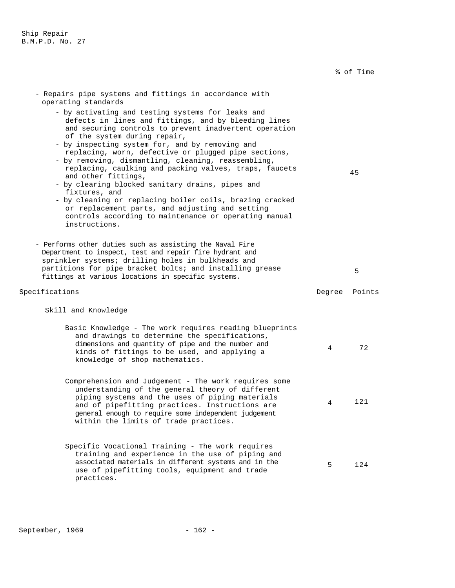% of Time

| - Repairs pipe systems and fittings in accordance with<br>operating standards                                                                                                                                                                                                                                                                                                                                                                                                                                                                                                                                                                                                                                        |        |        |
|----------------------------------------------------------------------------------------------------------------------------------------------------------------------------------------------------------------------------------------------------------------------------------------------------------------------------------------------------------------------------------------------------------------------------------------------------------------------------------------------------------------------------------------------------------------------------------------------------------------------------------------------------------------------------------------------------------------------|--------|--------|
| - by activating and testing systems for leaks and<br>defects in lines and fittings, and by bleeding lines<br>and securing controls to prevent inadvertent operation<br>of the system during repair,<br>- by inspecting system for, and by removing and<br>replacing, worn, defective or plugged pipe sections,<br>- by removing, dismantling, cleaning, reassembling,<br>replacing, caulking and packing valves, traps, faucets<br>and other fittings,<br>- by clearing blocked sanitary drains, pipes and<br>fixtures, and<br>- by cleaning or replacing boiler coils, brazing cracked<br>or replacement parts, and adjusting and setting<br>controls according to maintenance or operating manual<br>instructions. |        | 45     |
| - Performs other duties such as assisting the Naval Fire<br>Department to inspect, test and repair fire hydrant and<br>sprinkler systems; drilling holes in bulkheads and<br>partitions for pipe bracket bolts; and installing grease<br>fittings at various locations in specific systems.                                                                                                                                                                                                                                                                                                                                                                                                                          |        | 5      |
| Specifications                                                                                                                                                                                                                                                                                                                                                                                                                                                                                                                                                                                                                                                                                                       | Degree | Points |
| Skill and Knowledge                                                                                                                                                                                                                                                                                                                                                                                                                                                                                                                                                                                                                                                                                                  |        |        |
| Basic Knowledge - The work requires reading blueprints<br>and drawings to determine the specifications,<br>dimensions and quantity of pipe and the number and<br>kinds of fittings to be used, and applying a<br>knowledge of shop mathematics.                                                                                                                                                                                                                                                                                                                                                                                                                                                                      | 4      | 72     |
| Comprehension and Judgement - The work requires some<br>understanding of the general theory of different<br>piping systems and the uses of piping materials<br>and of pipefitting practices. Instructions are<br>general enough to require some independent judgement<br>within the limits of trade practices                                                                                                                                                                                                                                                                                                                                                                                                        | 4      | 121    |
| Specific Vocational Training - The work requires<br>training and experience in the use of piping and<br>associated materials in different systems and in the<br>use of pipefitting tools, equipment and trade<br>practices.                                                                                                                                                                                                                                                                                                                                                                                                                                                                                          | 5      | 124    |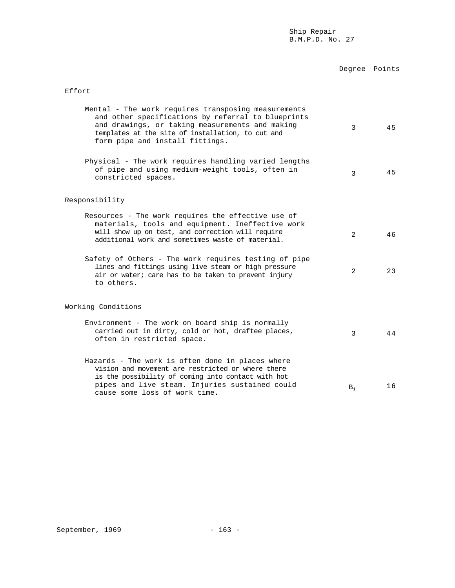Ship Repair

B.M.P.D. No. 27

Degree Points

| Effort                                                                                                                                                                                                                                               |       |    |  |
|------------------------------------------------------------------------------------------------------------------------------------------------------------------------------------------------------------------------------------------------------|-------|----|--|
| Mental - The work requires transposing measurements<br>and other specifications by referral to blueprints<br>and drawings, or taking measurements and making<br>templates at the site of installation, to cut and<br>form pipe and install fittings. | 3     | 45 |  |
| Physical - The work requires handling varied lengths<br>of pipe and using medium-weight tools, often in<br>constricted spaces.                                                                                                                       | 3     | 45 |  |
| Responsibility                                                                                                                                                                                                                                       |       |    |  |
| Resources - The work requires the effective use of<br>materials, tools and equipment. Ineffective work<br>will show up on test, and correction will require<br>additional work and sometimes waste of material.                                      | 2     | 46 |  |
| Safety of Others - The work requires testing of pipe<br>lines and fittings using live steam or high pressure<br>air or water; care has to be taken to prevent injury<br>to others.                                                                   | 2     | 23 |  |
| Working Conditions                                                                                                                                                                                                                                   |       |    |  |
| Environment - The work on board ship is normally<br>carried out in dirty, cold or hot, draftee places,<br>often in restricted space.                                                                                                                 | 3     | 44 |  |
| Hazards - The work is often done in places where<br>vision and movement are restricted or where there<br>is the possibility of coming into contact with hot<br>pipes and live steam. Injuries sustained could<br>cause some loss of work time.       | $B_1$ | 16 |  |

September, 1969 - 163 -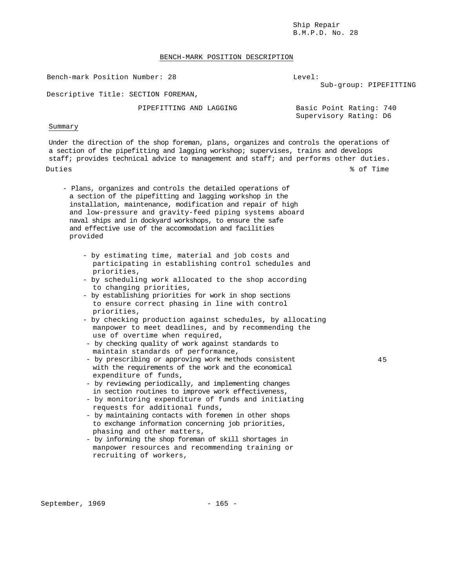#### BENCH-MARK POSITION DESCRIPTION

Bench-mark Position Number: 28

Level: Sub-group: PIPEFITTING

45

Descriptive Title: SECTION FOREMAN,

PIPEFITTING AND LAGGING Basic Point Rating: 740 Supervisory Rating: D6

## Summary

Under the direction of the shop foreman, plans, organizes and controls the operations of a section of the pipefitting and lagging workshop; supervises, trains and develops staff; provides technical advice to management and staff; and performs other duties. Duties % of Time

- Plans, organizes and controls the detailed operations of a section of the pipefitting and lagging workshop in the installation, maintenance, modification and repair of high and low-pressure and gravity-feed piping systems aboard naval ships and in dockyard workshops, to ensure the safe and effective use of the accommodation and facilities provided

- by estimating time, material and job costs and participating in establishing control schedules and priorities,
- by scheduling work allocated to the shop according to changing priorities,
- by establishing priorities for work in shop sections to ensure correct phasing in line with control priorities,
- by checking production against schedules, by allocating manpower to meet deadlines, and by recommending the use of overtime when required,
- by checking quality of work against standards to maintain standards of performance,
- by prescribing or approving work methods consistent with the requirements of the work and the economical expenditure of funds,
- by reviewing periodically, and implementing changes in section routines to improve work effectiveness,
- by monitoring expenditure of funds and initiating requests for additional funds,
- by maintaining contacts with foremen in other shops to exchange information concerning job priorities, phasing and other matters,
- by informing the shop foreman of skill shortages in manpower resources and recommending training or recruiting of workers,

September, 1969 - 165 -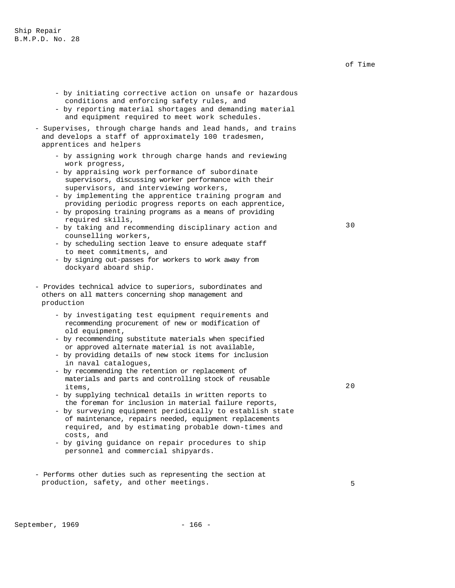- by initiating corrective action on unsafe or hazardous conditions and enforcing safety rules, and
- by reporting material shortages and demanding material and equipment required to meet work schedules.
- Supervises, through charge hands and lead hands, and trains and develops a staff of approximately 100 tradesmen, apprentices and helpers
	- by assigning work through charge hands and reviewing work progress,
	- by appraising work performance of subordinate supervisors, discussing worker performance with their supervisors, and interviewing workers,
	- by implementing the apprentice training program and providing periodic progress reports on each apprentice,
	- by proposing training programs as a means of providing required skills,
	- by taking and recommending disciplinary action and counselling workers,
	- by scheduling section leave to ensure adequate staff to meet commitments, and
	- by signing out-passes for workers to work away from dockyard aboard ship.
- Provides technical advice to superiors, subordinates and others on all matters concerning shop management and production
	- by investigating test equipment requirements and recommending procurement of new or modification of old equipment,
	- by recommending substitute materials when specified or approved alternate material is not available,
	- by providing details of new stock items for inclusion in naval catalogues,
	- by recommending the retention or replacement of materials and parts and controlling stock of reusable items,
	- by supplying technical details in written reports to the foreman for inclusion in material failure reports,
	- by surveying equipment periodically to establish state of maintenance, repairs needed, equipment replacements required, and by estimating probable down-times and costs, and
	- by giving guidance on repair procedures to ship personnel and commercial shipyards.
- Performs other duties such as representing the section at production, safety, and other meetings. 5

20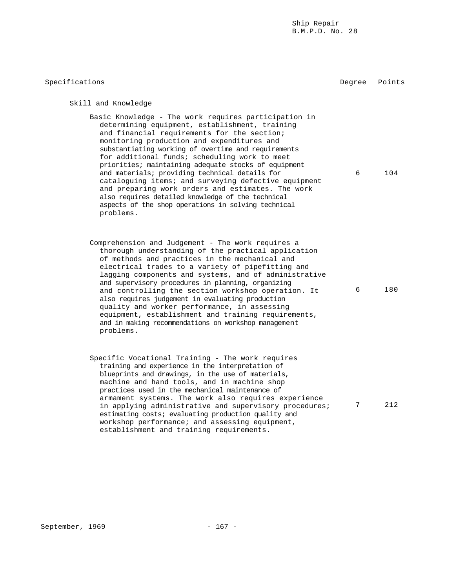Specifications Degree Points Skill and Knowledge Basic Knowledge - The work requires participation in determining equipment, establishment, training and financial requirements for the section; monitoring production and expenditures and substantiating working of overtime and requirements for additional funds; scheduling work to meet priorities; maintaining adequate stocks of equipment and materials; providing technical details for cataloguing items; and surveying defective equipment and preparing work orders and estimates. The work also requires detailed knowledge of the technical aspects of the shop operations in solving technical problems. 6 104 Comprehension and Judgement - The work requires a thorough understanding of the practical application of methods and practices in the mechanical and electrical trades to a variety of pipefitting and lagging components and systems, and of administrative and supervisory procedures in planning, organizing and controlling the section workshop operation. It also requires judgement in evaluating production quality and worker performance, in assessing equipment, establishment and training requirements, and in making recommendations on workshop management problems. 6 180 Specific Vocational Training - The work requires training and experience in the interpretation of blueprints and drawings, in the use of materials, machine and hand tools, and in machine shop practices used in the mechanical maintenance of armament systems. The work also requires experience in applying administrative and supervisory procedures; estimating costs; evaluating production quality and workshop performance; and assessing equipment, establishment and training requirements. 7 212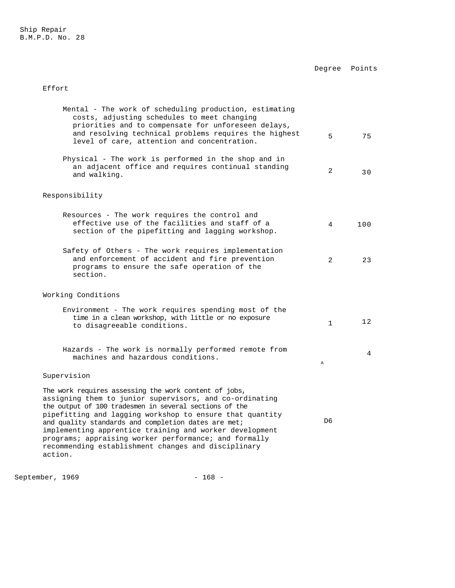Degree Points

Effort

| Mental - The work of scheduling production, estimating<br>costs, adjusting schedules to meet changing<br>priorities and to compensate for unforeseen delays,<br>and resolving technical problems requires the highest<br>level of care, attention and concentration.                                                                                                                                                                                                                | 5             | 75  |
|-------------------------------------------------------------------------------------------------------------------------------------------------------------------------------------------------------------------------------------------------------------------------------------------------------------------------------------------------------------------------------------------------------------------------------------------------------------------------------------|---------------|-----|
| Physical - The work is performed in the shop and in<br>an adjacent office and requires continual standing<br>and walking.                                                                                                                                                                                                                                                                                                                                                           | $\mathcal{L}$ | 3 O |
| Responsibility                                                                                                                                                                                                                                                                                                                                                                                                                                                                      |               |     |
| Resources - The work requires the control and<br>effective use of the facilities and staff of a<br>section of the pipefitting and lagging workshop.                                                                                                                                                                                                                                                                                                                                 | 4             | 100 |
| Safety of Others - The work requires implementation<br>and enforcement of accident and fire prevention<br>programs to ensure the safe operation of the<br>section.                                                                                                                                                                                                                                                                                                                  | 2             | 23  |
| Working Conditions                                                                                                                                                                                                                                                                                                                                                                                                                                                                  |               |     |
| Environment - The work requires spending most of the<br>time in a clean workshop, with little or no exposure<br>to disagreeable conditions.                                                                                                                                                                                                                                                                                                                                         | $\mathbf{1}$  | 12  |
| Hazards - The work is normally performed remote from<br>machines and hazardous conditions.                                                                                                                                                                                                                                                                                                                                                                                          | $\mathbb{A}$  | 4   |
| Supervision                                                                                                                                                                                                                                                                                                                                                                                                                                                                         |               |     |
| The work requires assessing the work content of jobs,<br>assigning them to junior supervisors, and co-ordinating<br>the output of 100 tradesmen in several sections of the<br>pipefitting and lagging workshop to ensure that quantity<br>and quality standards and completion dates are met;<br>implementing apprentice training and worker development<br>programs; appraising worker performance; and formally<br>recommending establishment changes and disciplinary<br>action. | D6            |     |

September, 1969 - 168 -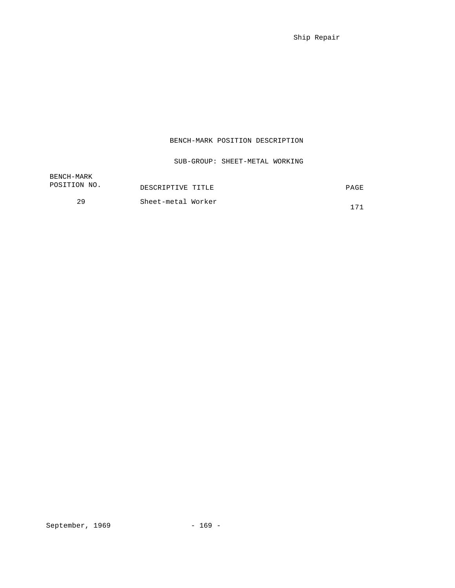Ship Repair

# BENCH-MARK POSITION DESCRIPTION

SUB-GROUP: SHEET-METAL WORKING

| BENCH-MARK   |                    |      |
|--------------|--------------------|------|
| POSITION NO. | DESCRIPTIVE TITLE  | PAGE |
| 29           | Sheet-metal Worker | 171  |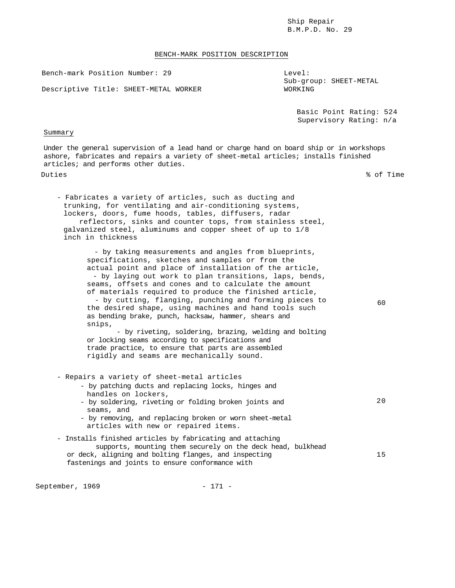### BENCH-MARK POSITION DESCRIPTION

Bench-mark Position Number: 29

Level: Sub-group: SHEET-METAL **WORKING** 

Descriptive Title: SHEET-METAL WORKER

Basic Point Rating: 524 Supervisory Rating: n/a

### Summary

Under the general supervision of a lead hand or charge hand on board ship or in workshops ashore, fabricates and repairs a variety of sheet-metal articles; installs finished articles; and performs other duties. Duties % of Time

 $60$ 

- Fabricates a variety of articles, such as ducting and trunking, for ventilating and air-conditioning systems, lockers, doors, fume hoods, tables, diffusers, radar reflectors, sinks and counter tops, from stainless steel, galvanized steel, aluminums and copper sheet of up to 1/8 inch in thickness

> - by taking measurements and angles from blueprints, specifications, sketches and samples or from the actual point and place of installation of the article, - by laying out work to plan transitions, laps, bends, seams, offsets and cones and to calculate the amount of materials required to produce the finished article, - by cutting, flanging, punching and forming pieces to

> the desired shape, using machines and hand tools such as bending brake, punch, hacksaw, hammer, shears and snips,

> - by riveting, soldering, brazing, welding and bolting or locking seams according to specifications and trade practice, to ensure that parts are assembled rigidly and seams are mechanically sound.

- Repairs a variety of sheet-metal articles

- by patching ducts and replacing locks, hinges and handles on lockers, - by soldering, riveting or folding broken joints and seams, and - by removing, and replacing broken or worn sheet-metal articles with new or repaired items.  $20$
- Installs finished articles by fabricating and attaching supports, mounting them securely on the deck head, bulkhead or deck, aligning and bolting flanges, and inspecting fastenings and joints to ensure conformance with 15

September, 1969 - 171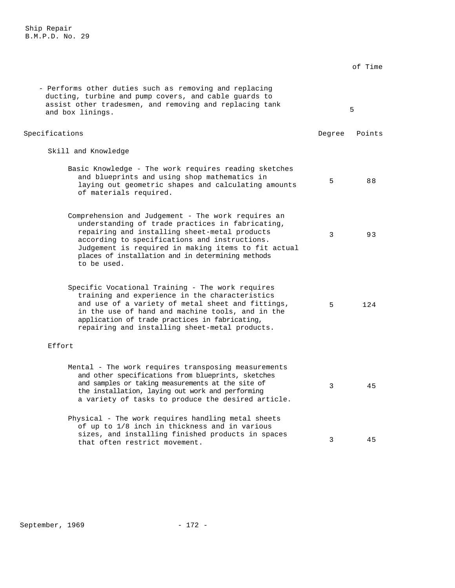|                                                                                                                                                                                                                                                                                                                                     |        | of Time |
|-------------------------------------------------------------------------------------------------------------------------------------------------------------------------------------------------------------------------------------------------------------------------------------------------------------------------------------|--------|---------|
| - Performs other duties such as removing and replacing<br>ducting, turbine and pump covers, and cable guards to<br>assist other tradesmen, and removing and replacing tank<br>and box linings.                                                                                                                                      |        | 5       |
| Specifications                                                                                                                                                                                                                                                                                                                      | Degree | Points  |
| Skill and Knowledge                                                                                                                                                                                                                                                                                                                 |        |         |
| Basic Knowledge - The work requires reading sketches<br>and blueprints and using shop mathematics in<br>laying out geometric shapes and calculating amounts<br>of materials required.                                                                                                                                               | 5      | 88      |
| Comprehension and Judgement - The work requires an<br>understanding of trade practices in fabricating,<br>repairing and installing sheet-metal products<br>according to specifications and instructions.<br>Judgement is required in making items to fit actual<br>places of installation and in determining methods<br>to be used. | 3      | 93      |
| Specific Vocational Training - The work requires<br>training and experience in the characteristics<br>and use of a variety of metal sheet and fittings,<br>in the use of hand and machine tools, and in the<br>application of trade practices in fabricating,<br>repairing and installing sheet-metal products.                     | 5      | 124     |
| Effort                                                                                                                                                                                                                                                                                                                              |        |         |
| Mental - The work requires transposing measurements<br>and other specifications from blueprints, sketches<br>and samples or taking measurements at the site of<br>the installation, laying out work and performing<br>a variety of tasks to produce the desired article.                                                            | 3      | 45      |
| Physical - The work requires handling metal sheets<br>of up to 1/8 inch in thickness and in various<br>sizes, and installing finished products in spaces<br>that often restrict movement.                                                                                                                                           | 3      | 45      |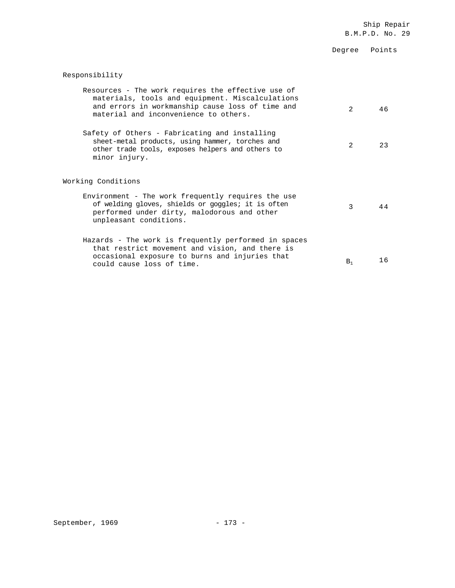Degree Points

# Responsibility

| Resources - The work requires the effective use of<br>materials, tools and equipment. Miscalculations<br>and errors in workmanship cause loss of time and<br>material and inconvenience to others. | $\mathfrak{D}$ | 46  |
|----------------------------------------------------------------------------------------------------------------------------------------------------------------------------------------------------|----------------|-----|
| Safety of Others - Fabricating and installing<br>sheet-metal products, using hammer, torches and<br>other trade tools, exposes helpers and others to<br>minor injury.                              | $\mathfrak{D}$ | 23  |
| Working Conditions                                                                                                                                                                                 |                |     |
| Environment - The work frequently requires the use<br>of welding gloves, shields or goggles; it is often<br>performed under dirty, malodorous and other<br>unpleasant conditions.                  | $\mathcal{E}$  | 44  |
| Hazards - The work is frequently performed in spaces<br>that restrict movement and vision, and there is<br>occasional exposure to burns and injuries that<br>could cause loss of time.             | $B_1$          | 1 6 |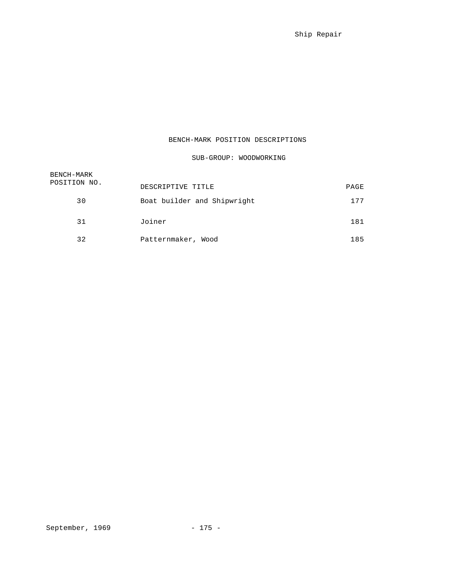# BENCH-MARK POSITION DESCRIPTIONS

# SUB-GROUP: WOODWORKING

| BENCH-MARK   |                             |      |
|--------------|-----------------------------|------|
| POSITION NO. | DESCRIPTIVE TITLE           | PAGE |
| 30           | Boat builder and Shipwright | 177  |
| 31           | Joiner                      | 181  |
| 32           | Patternmaker, Wood          | 185  |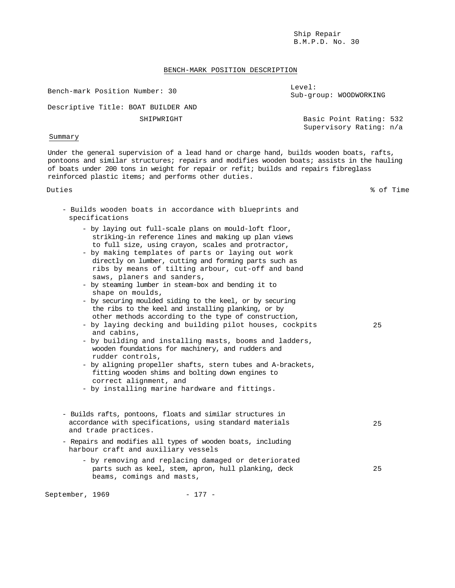## BENCH-MARK POSITION DESCRIPTION

Bench-mark Position Number: 30

Level: Sub-group: WOODWORKING

Descriptive Title: BOAT BUILDER AND

Summary

Under the general supervision of a lead hand or charge hand, builds wooden boats, rafts, pontoons and similar structures; repairs and modifies wooden boats; assists in the hauling of boats under 200 tons in weight for repair or refit; builds and repairs fibreglass reinforced plastic items; and performs other duties.

Duties % of Time

- Builds wooden boats in accordance with blueprints and specifications
	- by laying out full-scale plans on mould-loft floor, striking-in reference lines and making up plan views to full size, using crayon, scales and protractor,
	- by making templates of parts or laying out work directly on lumber, cutting and forming parts such as ribs by means of tilting arbour, cut-off and band saws, planers and sanders,
	- by steaming lumber in steam-box and bending it to shape on moulds,
	- by securing moulded siding to the keel, or by securing the ribs to the keel and installing planking, or by other methods according to the type of construction,
	- by laying decking and building pilot houses, cockpits and cabins,
	- by building and installing masts, booms and ladders, wooden foundations for machinery, and rudders and rudder controls,
	- by aligning propeller shafts, stern tubes and A-brackets, fitting wooden shims and bolting down engines to correct alignment, and
	- by installing marine hardware and fittings.

| - Builds rafts, pontoons, floats and similar structures in<br>accordance with specifications, using standard materials<br>and trade practices. | 25 |
|------------------------------------------------------------------------------------------------------------------------------------------------|----|
| - Repairs and modifies all types of wooden boats, including<br>harbour craft and auxiliary vessels                                             |    |
| - by removing and replacing damaged or deteriorated<br>parts such as keel, stem, apron, hull planking, deck<br>beams, comings and masts,       | 25 |

September, 1969 - 177 -

SHIPWRIGHT Basic Point Rating: 532 Supervisory Rating: n/a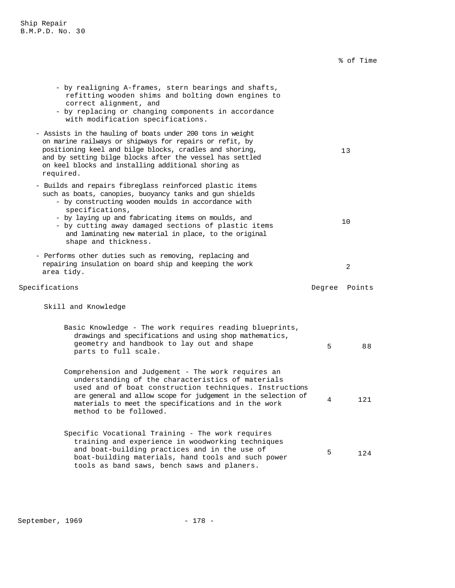- by realigning A-frames, stern bearings and shafts, refitting wooden shims and bolting down engines to correct alignment, and - by replacing or changing components in accordance with modification specifications. - Assists in the hauling of boats under 200 tons in weight on marine railways or shipways for repairs or refit, by positioning keel and bilge blocks, cradles and shoring, and by setting bilge blocks after the vessel has settled on keel blocks and installing additional shoring as required. 13 - Builds and repairs fibreglass reinforced plastic items such as boats, canopies, buoyancy tanks and gun shields - by constructing wooden moulds in accordance with specifications, - by laying up and fabricating items on moulds, and - by cutting away damaged sections of plastic items and laminating new material in place, to the original shape and thickness. 10 - Performs other duties such as removing, replacing and repairing insulation on board ship and keeping the work area tidy. 2 Specifications **Degree** Points **Degree** Points Skill and Knowledge Basic Knowledge - The work requires reading blueprints, drawings and specifications and using shop mathematics, geometry and handbook to lay out and shape parts to full scale. 5 88 Comprehension and Judgement - The work requires an understanding of the characteristics of materials used and of boat construction techniques. Instructions are general and allow scope for judgement in the selection of materials to meet the specifications and in the work method to be followed. 4 121 Specific Vocational Training - The work requires training and experience in woodworking techniques and boat-building practices and in the use of 5 124

% of Time

boat-building materials, hand tools and such power

tools as band saws, bench saws and planers.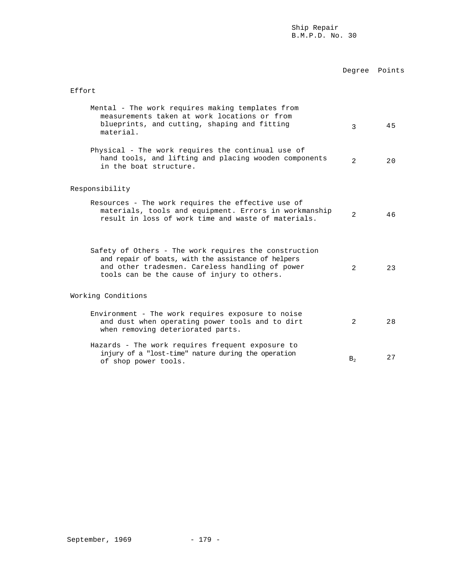|                                                                                                                                                                                                                | Degree         | Points |
|----------------------------------------------------------------------------------------------------------------------------------------------------------------------------------------------------------------|----------------|--------|
| Effort                                                                                                                                                                                                         |                |        |
| Mental - The work requires making templates from<br>measurements taken at work locations or from<br>blueprints, and cutting, shaping and fitting<br>material.                                                  | 3              | 45     |
| Physical - The work requires the continual use of<br>hand tools, and lifting and placing wooden components<br>in the boat structure.                                                                           | $\overline{2}$ | 20     |
| Responsibility                                                                                                                                                                                                 |                |        |
| Resources - The work requires the effective use of<br>materials, tools and equipment. Errors in workmanship<br>result in loss of work time and waste of materials.                                             | $\overline{a}$ | 46     |
| Safety of Others - The work requires the construction<br>and repair of boats, with the assistance of helpers<br>and other tradesmen. Careless handling of power<br>tools can be the cause of injury to others. | 2              | 23     |
| Working Conditions                                                                                                                                                                                             |                |        |
| Environment - The work requires exposure to noise<br>and dust when operating power tools and to dirt<br>when removing deteriorated parts.                                                                      | $\overline{a}$ | 28     |
| Hazards - The work requires frequent exposure to<br>injury of a "lost-time" nature during the operation<br>of shop power tools.                                                                                | B <sub>2</sub> | 27     |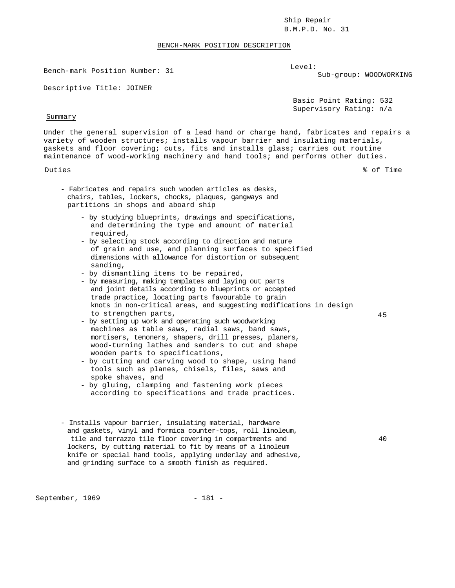## BENCH-MARK POSITION DESCRIPTION

Bench-mark Position Number: 31

Level: Sub-group: WOODWORKING

### Descriptive Title: JOINER

Basic Point Rating: 532 Supervisory Rating: n/a

## Summary

Under the general supervision of a lead hand or charge hand, fabricates and repairs a variety of wooden structures; installs vapour barrier and insulating materials, gaskets and floor covering; cuts, fits and installs glass; carries out routine maintenance of wood-working machinery and hand tools; and performs other duties.

Duties % of Time

45

40

- Fabricates and repairs such wooden articles as desks, chairs, tables, lockers, chocks, plaques, gangways and partitions in shops and aboard ship
	- by studying blueprints, drawings and specifications, and determining the type and amount of material required,
	- by selecting stock according to direction and nature of grain and use, and planning surfaces to specified dimensions with allowance for distortion or subsequent sanding,
	- by dismantling items to be repaired,
	- by measuring, making templates and laying out parts and joint details according to blueprints or accepted trade practice, locating parts favourable to grain knots in non-critical areas, and suggesting modifications in design to strengthen parts,
	- by setting up work and operating such woodworking machines as table saws, radial saws, band saws, mortisers, tenoners, shapers, drill presses, planers, wood-turning lathes and sanders to cut and shape wooden parts to specifications,
	- by cutting and carving wood to shape, using hand tools such as planes, chisels, files, saws and spoke shaves, and
	- by gluing, clamping and fastening work pieces according to specifications and trade practices.
- Installs vapour barrier, insulating material, hardware and gaskets, vinyl and formica counter-tops, roll linoleum, tile and terrazzo tile floor covering in compartments and lockers, by cutting material to fit by means of a linoleum knife or special hand tools, applying underlay and adhesive, and grinding surface to a smooth finish as required.

September, 1969 - 181 -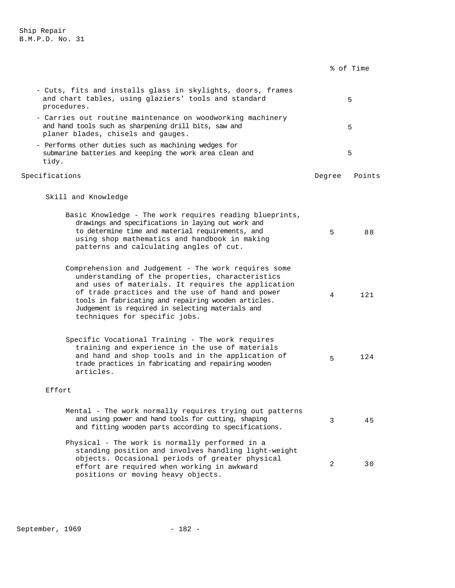|                                                                                                                                                                                                                                                                                                                                                                |                | % of Time |
|----------------------------------------------------------------------------------------------------------------------------------------------------------------------------------------------------------------------------------------------------------------------------------------------------------------------------------------------------------------|----------------|-----------|
| - Cuts, fits and installs glass in skylights, doors, frames<br>and chart tables, using glaziers' tools and standard<br>procedures.                                                                                                                                                                                                                             |                | 5         |
| - Carries out routine maintenance on woodworking machinery<br>and hand tools such as sharpening drill bits, saw and<br>planer blades, chisels and gauges.                                                                                                                                                                                                      |                | 5         |
| - Performs other duties such as machining wedges for<br>submarine batteries and keeping the work area clean and<br>tidy.                                                                                                                                                                                                                                       |                | 5         |
| Specifications                                                                                                                                                                                                                                                                                                                                                 | Degree         | Points    |
| Skill and Knowledge                                                                                                                                                                                                                                                                                                                                            |                |           |
| Basic Knowledge - The work requires reading blueprints,<br>drawings and specifications in laying out work and<br>to determine time and material requirements, and<br>using shop mathematics and handbook in making<br>patterns and calculating angles of cut.                                                                                                  | 5              | 88        |
| Comprehension and Judgement - The work requires some<br>understanding of the properties, characteristics<br>and uses of materials. It requires the application<br>of trade practices and the use of hand and power<br>tools in fabricating and repairing wooden articles.<br>Judgement is required in selecting materials and<br>techniques for specific jobs. | 4              | 121       |
| Specific Vocational Training - The work requires<br>training and experience in the use of materials<br>and hand and shop tools and in the application of<br>trade practices in fabricating and repairing wooden<br>articles.                                                                                                                                   | 5              | 124       |
| Effort                                                                                                                                                                                                                                                                                                                                                         |                |           |
| Mental - The work normally requires trying out patterns<br>and using power and hand tools for cutting, shaping<br>and fitting wooden parts according to specifications.                                                                                                                                                                                        | 3              | 45        |
| Physical - The work is normally performed in a<br>standing position and involves handling light-weight<br>objects. Occasional periods of greater physical<br>effort are required when working in awkward<br>positions or moving heavy objects.                                                                                                                 | $\overline{2}$ | 30        |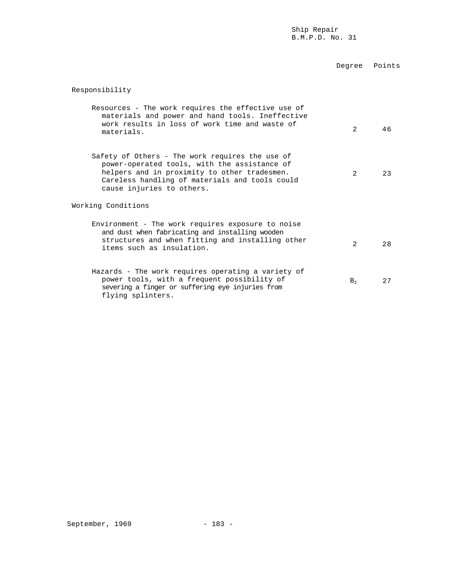Degree Points

| Responsibility                                                                                                                                                                                                                 |                |     |
|--------------------------------------------------------------------------------------------------------------------------------------------------------------------------------------------------------------------------------|----------------|-----|
| Resources - The work requires the effective use of<br>materials and power and hand tools. Ineffective<br>work results in loss of work time and waste of<br>materials.                                                          | $\mathfrak{D}$ | 46  |
| Safety of Others - The work requires the use of<br>power-operated tools, with the assistance of<br>helpers and in proximity to other tradesmen.<br>Careless handling of materials and tools could<br>cause injuries to others. | $\mathcal{L}$  | 23  |
| Working Conditions                                                                                                                                                                                                             |                |     |
| Environment - The work requires exposure to noise<br>and dust when fabricating and installing wooden<br>structures and when fitting and installing other<br>items such as insulation.                                          | $\overline{a}$ | 2.8 |
| Hazards - The work requires operating a variety of<br>power tools, with a frequent possibility of<br>severing a finger or suffering eye injuries from                                                                          | B <sub>2</sub> | 27  |

September, 1969 - 183 -

flying splinters.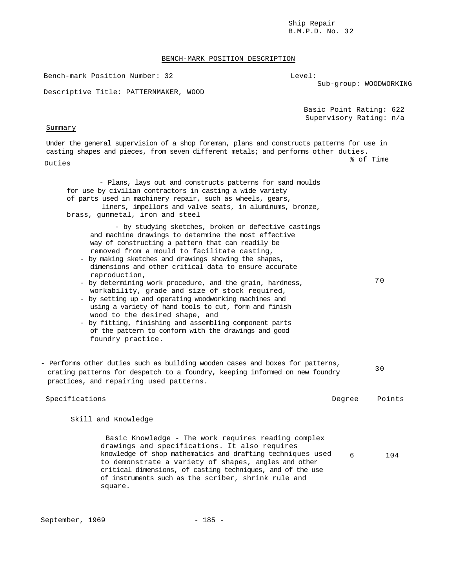### BENCH-MARK POSITION DESCRIPTION

Bench-mark Position Number: 32

Level:

Descriptive Title: PATTERNMAKER, WOOD

Sub-group: WOODWORKING

Basic Point Rating: 622 Supervisory Rating: n/a

Summary

Under the general supervision of a shop foreman, plans and constructs patterns for use in casting shapes and pieces, from seven different metals; and performs other duties. Duties % of Time

- Plans, lays out and constructs patterns for sand moulds for use by civilian contractors in casting a wide variety of parts used in machinery repair, such as wheels, gears, liners, impellors and valve seats, in aluminums, bronze, brass, gunmetal, iron and steel

- by studying sketches, broken or defective castings and machine drawings to determine the most effective way of constructing a pattern that can readily be removed from a mould to facilitate casting,

- by making sketches and drawings showing the shapes, dimensions and other critical data to ensure accurate reproduction,

- by determining work procedure, and the grain, hardness, workability, grade and size of stock required,
- by setting up and operating woodworking machines and using a variety of hand tools to cut, form and finish wood to the desired shape, and
- by fitting, finishing and assembling component parts of the pattern to conform with the drawings and good foundry practice.
- Performs other duties such as building wooden cases and boxes for patterns, crating patterns for despatch to a foundry, keeping informed on new foundry practices, and repairing used patterns. 30

Specifications Degree Points

70

Skill and Knowledge

Basic Knowledge - The work requires reading complex drawings and specifications. It also requires knowledge of shop mathematics and drafting techniques used to demonstrate a variety of shapes, angles and other critical dimensions, of casting techniques, and of the use of instruments such as the scriber, shrink rule and square. 6 104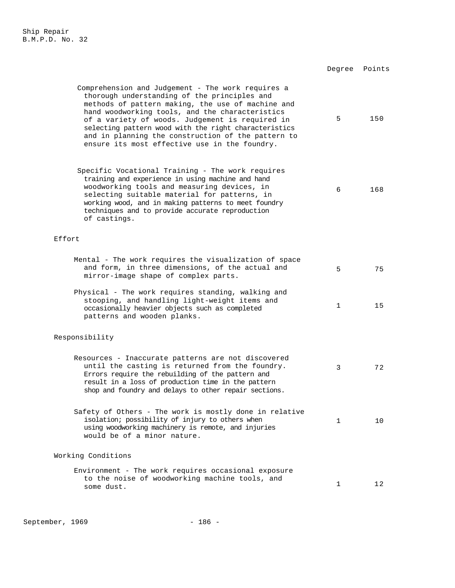|                                                                                                                                                                                                                                                                                                                                                                                                                              | Degree       | Points |  |
|------------------------------------------------------------------------------------------------------------------------------------------------------------------------------------------------------------------------------------------------------------------------------------------------------------------------------------------------------------------------------------------------------------------------------|--------------|--------|--|
| Comprehension and Judgement - The work requires a<br>thorough understanding of the principles and<br>methods of pattern making, the use of machine and<br>hand woodworking tools, and the characteristics<br>of a variety of woods. Judgement is required in<br>selecting pattern wood with the right characteristics<br>and in planning the construction of the pattern to<br>ensure its most effective use in the foundry. | 5            | 150    |  |
| Specific Vocational Training - The work requires<br>training and experience in using machine and hand<br>woodworking tools and measuring devices, in<br>selecting suitable material for patterns, in<br>working wood, and in making patterns to meet foundry<br>techniques and to provide accurate reproduction<br>of castings.                                                                                              | 6            | 168    |  |
| Effort                                                                                                                                                                                                                                                                                                                                                                                                                       |              |        |  |
| Mental - The work requires the visualization of space<br>and form, in three dimensions, of the actual and<br>mirror-image shape of complex parts.                                                                                                                                                                                                                                                                            | 5            | 75     |  |
| Physical - The work requires standing, walking and<br>stooping, and handling light-weight items and<br>occasionally heavier objects such as completed<br>patterns and wooden planks.                                                                                                                                                                                                                                         | $\mathbf{1}$ | 15     |  |
| Responsibility                                                                                                                                                                                                                                                                                                                                                                                                               |              |        |  |
| Resources - Inaccurate patterns are not discovered<br>until the casting is returned from the foundry.<br>Errors require the rebuilding of the pattern and<br>result in a loss of production time in the pattern<br>shop and foundry and delays to other repair sections.                                                                                                                                                     | 3            | 72     |  |
| Safety of Others - The work is mostly done in relative<br>isolation; possibility of injury to others when<br>using woodworking machinery is remote, and injuries<br>would be of a minor nature.                                                                                                                                                                                                                              | 1            | 10     |  |
| Working Conditions                                                                                                                                                                                                                                                                                                                                                                                                           |              |        |  |
| Environment - The work requires occasional exposure<br>to the noise of woodworking machine tools, and<br>some dust.                                                                                                                                                                                                                                                                                                          | 1            | 12     |  |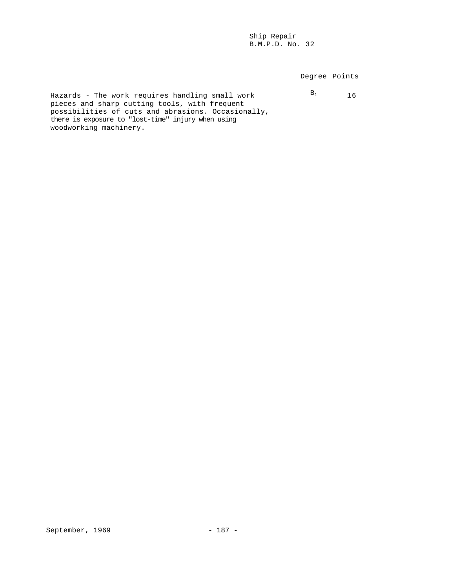Degree Points

 $B_1$  16

Hazards - The work requires handling small work pieces and sharp cutting tools, with frequent possibilities of cuts and abrasions. Occasionally, there is exposure to "lost-time" injury when using woodworking machinery.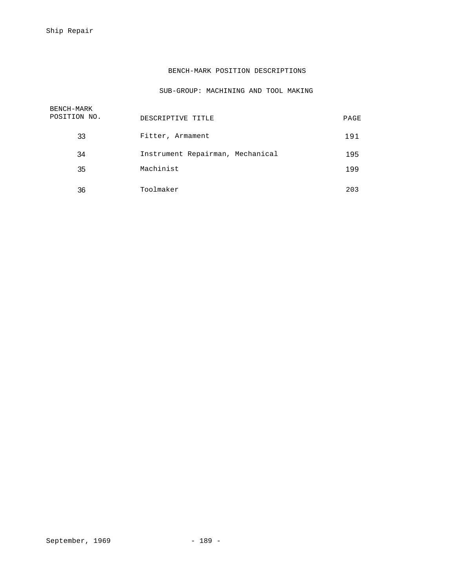# BENCH-MARK POSITION DESCRIPTIONS

## SUB-GROUP: MACHINING AND TOOL MAKING

| BENCH-MARK<br>POSITION NO. | DESCRIPTIVE TITLE                | PAGE |
|----------------------------|----------------------------------|------|
| 33                         | Fitter, Armament                 | 191  |
| 34                         | Instrument Repairman, Mechanical | 195  |
| 35                         | Machinist                        | 199  |
| 36                         | Toolmaker                        | 203  |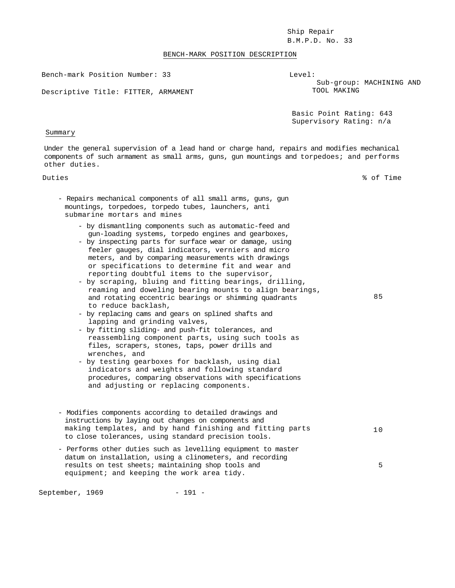### BENCH-MARK POSITION DESCRIPTION

Bench-mark Position Number: 33

Level: Sub-group: MACHINING AND TOOL MAKING

Descriptive Title: FITTER, ARMAMENT

Basic Point Rating: 643 Supervisory Rating: n/a

### Summary

Under the general supervision of a lead hand or charge hand, repairs and modifies mechanical components of such armament as small arms, guns, gun mountings and torpedoes; and performs other duties.

Duties % of Time

- Repairs mechanical components of all small arms, guns, gun mountings, torpedoes, torpedo tubes, launchers, anti submarine mortars and mines
	- by dismantling components such as automatic-feed and gun-loading systems, torpedo engines and gearboxes,
	- by inspecting parts for surface wear or damage, using feeler gauges, dial indicators, verniers and micro meters, and by comparing measurements with drawings or specifications to determine fit and wear and reporting doubtful items to the supervisor,
	- by scraping, bluing and fitting bearings, drilling, reaming and doweling bearing mounts to align bearings, and rotating eccentric bearings or shimming quadrants to reduce backlash,
	- by replacing cams and gears on splined shafts and lapping and grinding valves,
	- by fitting sliding- and push-fit tolerances, and reassembling component parts, using such tools as files, scrapers, stones, taps, power drills and wrenches, and
	- by testing gearboxes for backlash, using dial indicators and weights and following standard procedures, comparing observations with specifications and adjusting or replacing components.
- Modifies components according to detailed drawings and instructions by laying out changes on components and making templates, and by hand finishing and fitting parts to close tolerances, using standard precision tools. 10 - Performs other duties such as levelling equipment to master datum on installation, using a clinometers, and recording
- results on test sheets; maintaining shop tools and equipment; and keeping the work area tidy.

September, 1969 - 191

85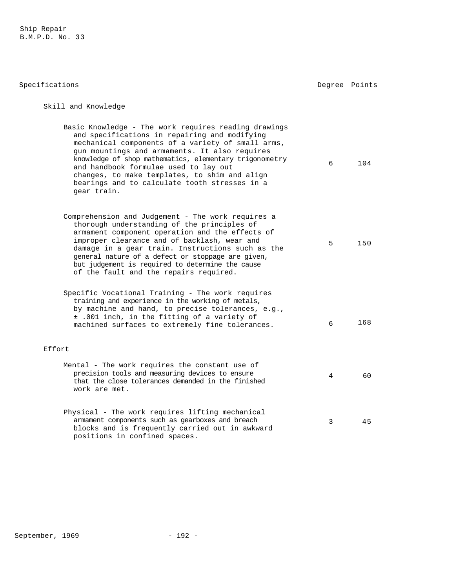| Skill and Knowledge                                                                                                                                                                                                                                                                                                                                                                                                             |                |     |
|---------------------------------------------------------------------------------------------------------------------------------------------------------------------------------------------------------------------------------------------------------------------------------------------------------------------------------------------------------------------------------------------------------------------------------|----------------|-----|
| Basic Knowledge - The work requires reading drawings<br>and specifications in repairing and modifying<br>mechanical components of a variety of small arms,<br>gun mountings and armaments. It also requires<br>knowledge of shop mathematics, elementary trigonometry<br>and handbook formulae used to lay out<br>changes, to make templates, to shim and align<br>bearings and to calculate tooth stresses in a<br>qear train. | 6              | 104 |
| Comprehension and Judgement - The work requires a<br>thorough understanding of the principles of<br>armament component operation and the effects of<br>improper clearance and of backlash, wear and<br>damage in a gear train. Instructions such as the<br>general nature of a defect or stoppage are given,<br>but judgement is required to determine the cause<br>of the fault and the repairs required.                      | 5              | 150 |
| Specific Vocational Training - The work requires<br>training and experience in the working of metals,<br>by machine and hand, to precise tolerances, e.g.,<br>± .001 inch, in the fitting of a variety of<br>machined surfaces to extremely fine tolerances.<br>Effort                                                                                                                                                          | 6              | 168 |
| Mental - The work requires the constant use of<br>precision tools and measuring devices to ensure<br>that the close tolerances demanded in the finished<br>work are met.                                                                                                                                                                                                                                                        | $\overline{4}$ | 60  |
| Physical - The work requires lifting mechanical<br>armament components such as gearboxes and breach<br>blocks and is frequently carried out in awkward<br>positions in confined spaces.                                                                                                                                                                                                                                         | 3              | 45  |

Specifications **Degree** Points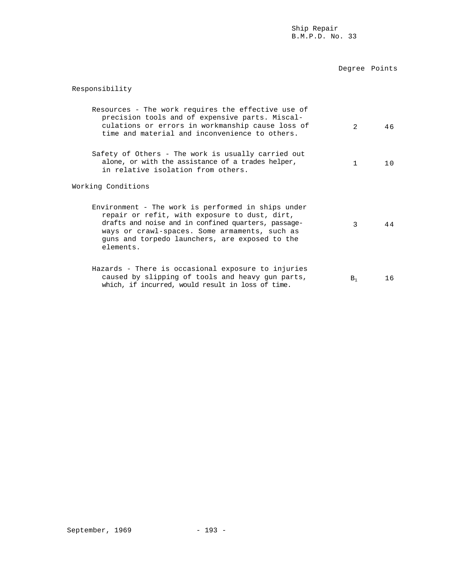|                                                                                                                                                                                                                                                                            |              | Degree Points  |
|----------------------------------------------------------------------------------------------------------------------------------------------------------------------------------------------------------------------------------------------------------------------------|--------------|----------------|
| Responsibility                                                                                                                                                                                                                                                             |              |                |
| Resources - The work requires the effective use of<br>precision tools and of expensive parts. Miscal-<br>culations or errors in workmanship cause loss of<br>time and material and inconvenience to others.                                                                | $2^{1}$      | 46             |
| Safety of Others - The work is usually carried out<br>alone, or with the assistance of a trades helper,<br>in relative isolation from others.                                                                                                                              | $\mathbf{1}$ | 1 <sub>0</sub> |
| Working Conditions                                                                                                                                                                                                                                                         |              |                |
| Environment - The work is performed in ships under<br>repair or refit, with exposure to dust, dirt,<br>drafts and noise and in confined quarters, passage-<br>ways or crawl-spaces. Some armaments, such as<br>quns and torpedo launchers, are exposed to the<br>elements. | 3            | 44             |
| Hazards - There is occasional exposure to injuries                                                                                                                                                                                                                         |              |                |

caused by slipping of tools and heavy gun parts,  $B_1$  16

which, if incurred, would result in loss of time.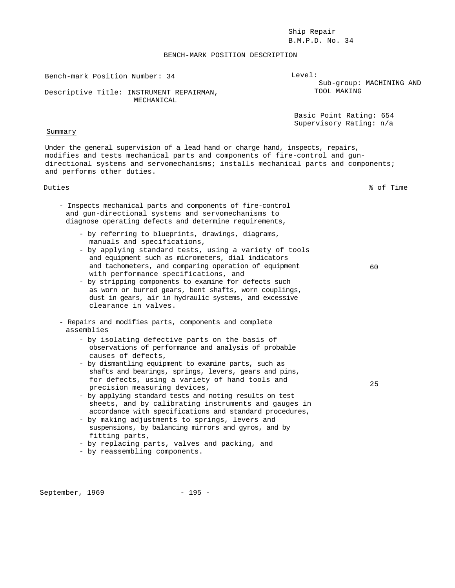### BENCH-MARK POSITION DESCRIPTION

Bench-mark Position Number: 34

Descriptive Title: INSTRUMENT REPAIRMAN,

MECHANICAL

# Level:

Sub-group: MACHINING AND TOOL MAKING

Basic Point Rating: 654 Supervisory Rating: n/a

### Summary

Under the general supervision of a lead hand or charge hand, inspects, repairs, modifies and tests mechanical parts and components of fire-control and gundirectional systems and servomechanisms; installs mechanical parts and components; and performs other duties.

Duties % of Time

- Inspects mechanical parts and components of fire-control and gun-directional systems and servomechanisms to diagnose operating defects and determine requirements,
	- by referring to blueprints, drawings, diagrams, manuals and specifications,
	- by applying standard tests, using a variety of tools and equipment such as micrometers, dial indicators and tachometers, and comparing operation of equipment with performance specifications, and
	- by stripping components to examine for defects such as worn or burred gears, bent shafts, worn couplings, dust in gears, air in hydraulic systems, and excessive clearance in valves.
- Repairs and modifies parts, components and complete assemblies
	- by isolating defective parts on the basis of observations of performance and analysis of probable causes of defects,
	- by dismantling equipment to examine parts, such as shafts and bearings, springs, levers, gears and pins, for defects, using a variety of hand tools and precision measuring devices,
	- by applying standard tests and noting results on test sheets, and by calibrating instruments and gauges in accordance with specifications and standard procedures,
	- by making adjustments to springs, levers and suspensions, by balancing mirrors and gyros, and by fitting parts,
	- by replacing parts, valves and packing, and
	- by reassembling components.

60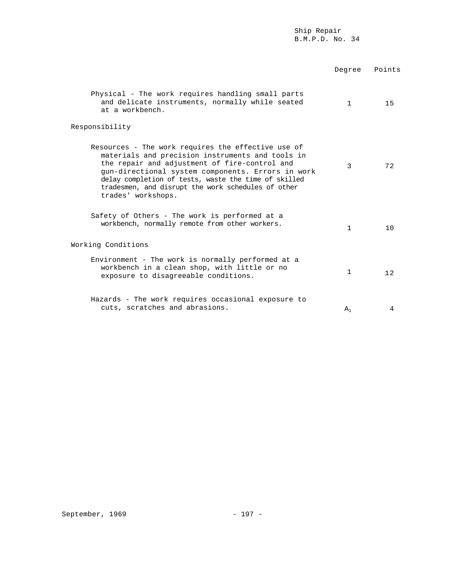|                                                                                                                                                                                                                                                                                                                                                  | Degree       | Points |
|--------------------------------------------------------------------------------------------------------------------------------------------------------------------------------------------------------------------------------------------------------------------------------------------------------------------------------------------------|--------------|--------|
| Physical - The work requires handling small parts<br>and delicate instruments, normally while seated<br>at a workbench.                                                                                                                                                                                                                          | $\mathbf{1}$ | 15     |
| Responsibility                                                                                                                                                                                                                                                                                                                                   |              |        |
| Resources - The work requires the effective use of<br>materials and precision instruments and tools in<br>the repair and adjustment of fire-control and<br>gun-directional system components. Errors in work<br>delay completion of tests, waste the time of skilled<br>tradesmen, and disrupt the work schedules of other<br>trades' workshops. | 3            | 72     |
| Safety of Others - The work is performed at a<br>workbench, normally remote from other workers.                                                                                                                                                                                                                                                  | $\mathbf{1}$ | 10     |
| Working Conditions                                                                                                                                                                                                                                                                                                                               |              |        |
| Environment - The work is normally performed at a<br>workbench in a clean shop, with little or no<br>exposure to disagreeable conditions.                                                                                                                                                                                                        | $\mathbf{1}$ | 12.    |
| Hazards - The work requires occasional exposure to<br>cuts, scratches and abrasions.                                                                                                                                                                                                                                                             | $A_1$        | 4      |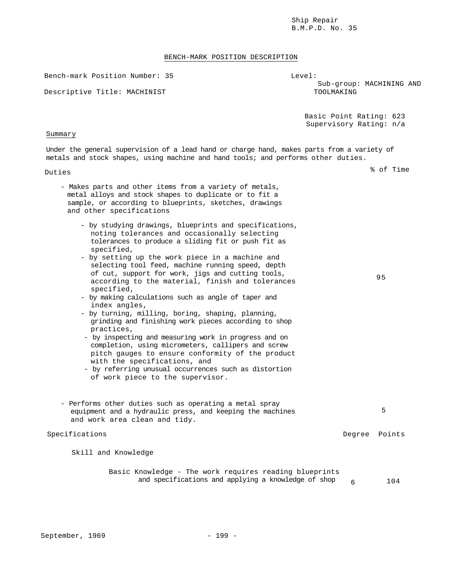## BENCH-MARK POSITION DESCRIPTION

Bench-mark Position Number: 35

### Level:

Sub-group: MACHINING AND TOOLMAKING

Descriptive Title: MACHINIST

Basic Point Rating: 623 Supervisory Rating: n/a

## Summary

Under the general supervision of a lead hand or charge hand, makes parts from a variety of metals and stock shapes, using machine and hand tools; and performs other duties.

Duties % of Time

95

| - Makes parts and other items from a variety of metals, |
|---------------------------------------------------------|
| metal alloys and stock shapes to duplicate or to fit a  |
| sample, or according to blueprints, sketches, drawings  |
| and other specifications                                |
|                                                         |

- by studying drawings, blueprints and specifications, noting tolerances and occasionally selecting tolerances to produce a sliding fit or push fit as specified,
- by setting up the work piece in a machine and selecting tool feed, machine running speed, depth of cut, support for work, jigs and cutting tools, according to the material, finish and tolerances specified,
- by making calculations such as angle of taper and index angles,
- by turning, milling, boring, shaping, planning, grinding and finishing work pieces according to shop practices,
- by inspecting and measuring work in progress and on completion, using micrometers, callipers and screw pitch gauges to ensure conformity of the product with the specifications, and
- by referring unusual occurrences such as distortion of work piece to the supervisor.
- Performs other duties such as operating a metal spray equipment and a hydraulic press, and keeping the machines and work area clean and tidy. 5 Specifications and the contractions of the contractions of the contractions of the contractions of the contractions of the contractions of the contractions of the contractions of the contractions of the contractions of the Skill and Knowledge

Basic Knowledge - The work requires reading blueprints and specifications and applying a knowledge of shop  $6 \times 104$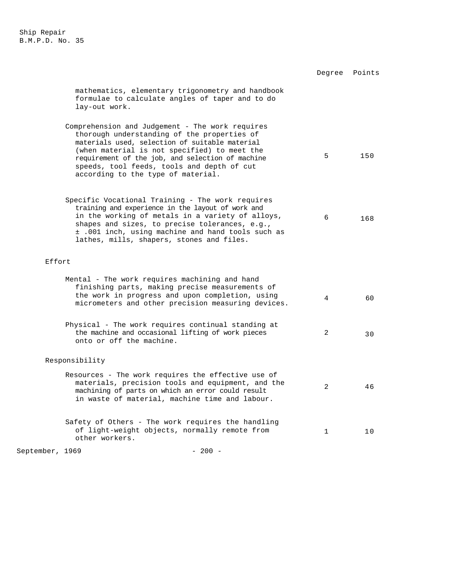|                 |                                                                                                                                                                                                                                                                                                                                          | Degree         | Points |
|-----------------|------------------------------------------------------------------------------------------------------------------------------------------------------------------------------------------------------------------------------------------------------------------------------------------------------------------------------------------|----------------|--------|
|                 | mathematics, elementary trigonometry and handbook<br>formulae to calculate angles of taper and to do<br>lay-out work.                                                                                                                                                                                                                    |                |        |
|                 | Comprehension and Judgement - The work requires<br>thorough understanding of the properties of<br>materials used, selection of suitable material<br>(when material is not specified) to meet the<br>requirement of the job, and selection of machine<br>speeds, tool feeds, tools and depth of cut<br>according to the type of material. | 5              | 150    |
|                 | Specific Vocational Training - The work requires<br>training and experience in the layout of work and<br>in the working of metals in a variety of alloys,<br>shapes and sizes, to precise tolerances, e.g.,<br>± .001 inch, using machine and hand tools such as<br>lathes, mills, shapers, stones and files.                            | 6              | 168    |
| Effort          |                                                                                                                                                                                                                                                                                                                                          |                |        |
|                 | Mental - The work requires machining and hand<br>finishing parts, making precise measurements of<br>the work in progress and upon completion, using<br>micrometers and other precision measuring devices.                                                                                                                                | 4              | 60     |
|                 | Physical - The work requires continual standing at<br>the machine and occasional lifting of work pieces<br>onto or off the machine.                                                                                                                                                                                                      | 2              | 30     |
|                 | Responsibility                                                                                                                                                                                                                                                                                                                           |                |        |
|                 | Resources - The work requires the effective use of<br>materials, precision tools and equipment, and the<br>machining of parts on which an error could result<br>in waste of material, machine time and labour.                                                                                                                           | $\overline{2}$ | 46     |
|                 | Safety of Others - The work requires the handling<br>of light-weight objects, normally remote from<br>other workers.                                                                                                                                                                                                                     | 1              | 10     |
| September, 1969 | $-200 -$                                                                                                                                                                                                                                                                                                                                 |                |        |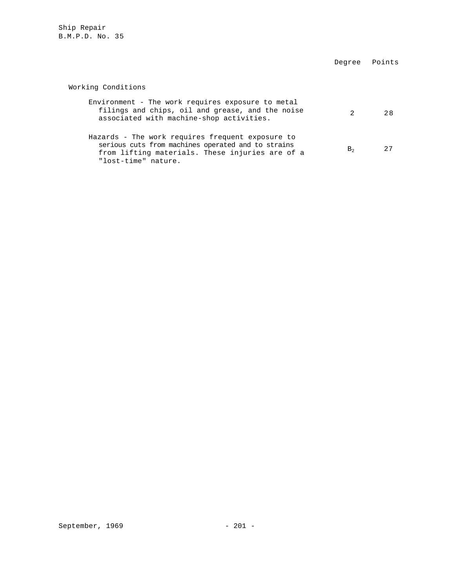Degree Points

Working Conditions

| Environment - The work requires exposure to metal<br>filings and chips, oil and grease, and the noise<br>associated with machine-shop activities.                                |                | 2. R |
|----------------------------------------------------------------------------------------------------------------------------------------------------------------------------------|----------------|------|
| Hazards - The work requires frequent exposure to<br>serious cuts from machines operated and to strains<br>from lifting materials. These injuries are of a<br>"lost-time" nature. | B <sub>2</sub> | 27   |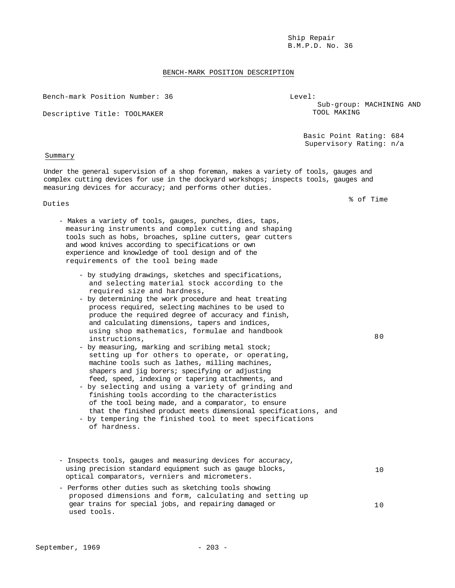Ship Repair B.M.P.D. No. 36

## BENCH-MARK POSITION DESCRIPTION

Bench-mark Position Number: 36 Descriptive Title: TOOLMAKER Level: Sub-group: MACHINING AND TOOL MAKING Basic Point Rating: 684 Supervisory Rating: n/a Summary Under the general supervision of a shop foreman, makes a variety of tools, gauges and complex cutting devices for use in the dockyard workshops; inspects tools, gauges and measuring devices for accuracy; and performs other duties. Duties % of Time - Makes a variety of tools, gauges, punches, dies, taps, measuring instruments and complex cutting and shaping tools such as hobs, broaches, spline cutters, gear cutters and wood knives according to specifications or own experience and knowledge of tool design and of the requirements of the tool being made - by studying drawings, sketches and specifications, and selecting material stock according to the required size and hardness, - by determining the work procedure and heat treating process required, selecting machines to be used to produce the required degree of accuracy and finish, and calculating dimensions, tapers and indices, using shop mathematics, formulae and handbook instructions, - by measuring, marking and scribing metal stock; setting up for others to operate, or operating, machine tools such as lathes, milling machines, shapers and jig borers; specifying or adjusting feed, speed, indexing or tapering attachments, and - by selecting and using a variety of grinding and finishing tools according to the characteristics of the tool being made, and a comparator, to ensure that the finished product meets dimensional specifications, and - by tempering the finished tool to meet specifications of hardness. 80 - Inspects tools, gauges and measuring devices for accuracy, using precision standard equipment such as gauge blocks, optical comparators, verniers and micrometers.  $1<sub>0</sub>$ - Performs other duties such as sketching tools showing proposed dimensions and form, calculating and setting up gear trains for special jobs, and repairing damaged or used tools. 10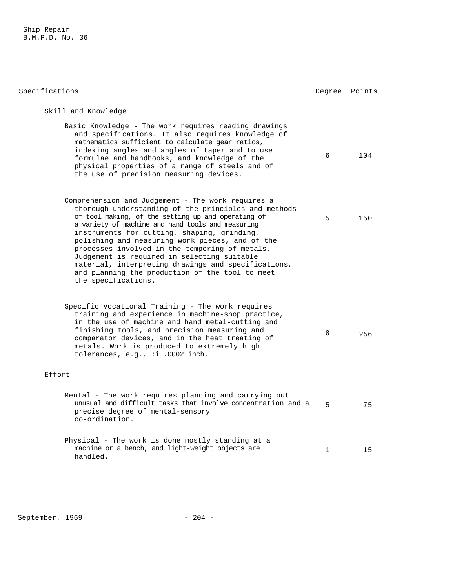Ship Repair B.M.P.D. No. 36

| Specifications                                                                                                                                                                                                                                                                                                                                                                                                                                                                                                                                           | Degree       | Points |
|----------------------------------------------------------------------------------------------------------------------------------------------------------------------------------------------------------------------------------------------------------------------------------------------------------------------------------------------------------------------------------------------------------------------------------------------------------------------------------------------------------------------------------------------------------|--------------|--------|
| Skill and Knowledge                                                                                                                                                                                                                                                                                                                                                                                                                                                                                                                                      |              |        |
| Basic Knowledge - The work requires reading drawings<br>and specifications. It also requires knowledge of<br>mathematics sufficient to calculate gear ratios,<br>indexing angles and angles of taper and to use<br>formulae and handbooks, and knowledge of the<br>physical properties of a range of steels and of<br>the use of precision measuring devices.                                                                                                                                                                                            | 6            | 104    |
| Comprehension and Judgement - The work requires a<br>thorough understanding of the principles and methods<br>of tool making, of the setting up and operating of<br>a variety of machine and hand tools and measuring<br>instruments for cutting, shaping, grinding,<br>polishing and measuring work pieces, and of the<br>processes involved in the tempering of metals.<br>Judgement is required in selecting suitable<br>material, interpreting drawings and specifications,<br>and planning the production of the tool to meet<br>the specifications. | 5            | 150    |
| Specific Vocational Training - The work requires<br>training and experience in machine-shop practice,<br>in the use of machine and hand metal-cutting and<br>finishing tools, and precision measuring and<br>comparator devices, and in the heat treating of<br>metals. Work is produced to extremely high<br>tolerances, e.g., :i .0002 inch.                                                                                                                                                                                                           | 8            | 256    |
| Effort                                                                                                                                                                                                                                                                                                                                                                                                                                                                                                                                                   |              |        |
| Mental - The work requires planning and carrying out<br>unusual and difficult tasks that involve concentration and a<br>precise degree of mental-sensory<br>co-ordination.                                                                                                                                                                                                                                                                                                                                                                               | 5            | 75     |
| Physical - The work is done mostly standing at a<br>machine or a bench, and light-weight objects are<br>handled.                                                                                                                                                                                                                                                                                                                                                                                                                                         | $\mathbf{1}$ | 15     |